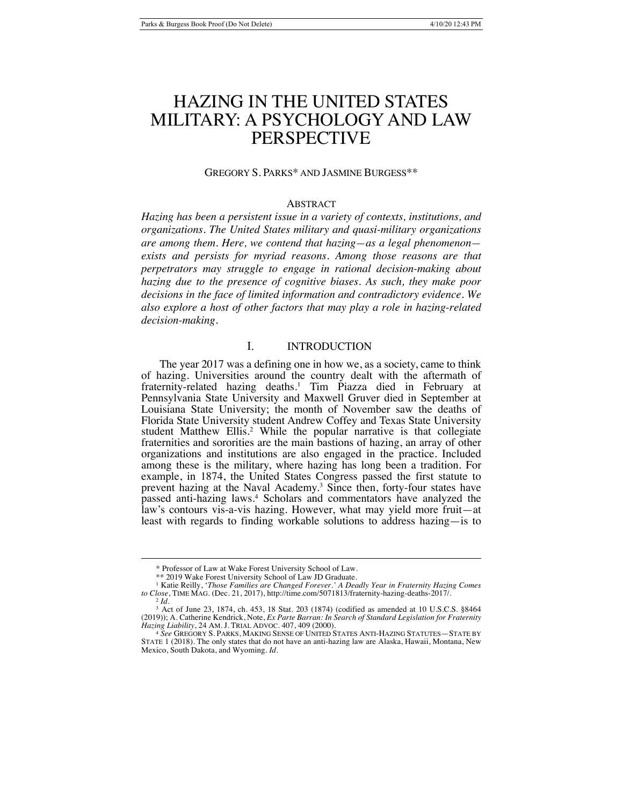# HAZING IN THE UNITED STATES MILITARY: A PSYCHOLOGY AND LAW PERSPECTIVE

# GREGORY S. PARKS\* AND JASMINE BURGESS\*\*

# **ABSTRACT**

*Hazing has been a persistent issue in a variety of contexts, institutions, and organizations. The United States military and quasi-military organizations are among them. Here, we contend that hazing—as a legal phenomenon exists and persists for myriad reasons. Among those reasons are that perpetrators may struggle to engage in rational decision-making about hazing due to the presence of cognitive biases. As such, they make poor decisions in the face of limited information and contradictory evidence. We also explore a host of other factors that may play a role in hazing-related decision-making.*

# I. INTRODUCTION

The year 2017 was a defining one in how we, as a society, came to think of hazing. Universities around the country dealt with the aftermath of fraternity-related hazing deaths.1 Tim Piazza died in February at Pennsylvania State University and Maxwell Gruver died in September at Louisiana State University; the month of November saw the deaths of Florida State University student Andrew Coffey and Texas State University student Matthew Ellis.<sup>2</sup> While the popular narrative is that collegiate fraternities and sororities are the main bastions of hazing, an array of other organizations and institutions are also engaged in the practice. Included among these is the military, where hazing has long been a tradition. For example, in 1874, the United States Congress passed the first statute to prevent hazing at the Naval Academy.<sup>3</sup> Since then, forty-four states have passed anti-hazing laws.4 Scholars and commentators have analyzed the law's contours vis-a-vis hazing. However, what may yield more fruit—at least with regards to finding workable solutions to address hazing—is to

<sup>\*</sup> Professor of Law at Wake Forest University School of Law.

<sup>\*\* 2019</sup> Wake Forest University School of Law JD Graduate.

<sup>1</sup> Katie Reilly, '*Those Families are Changed Forever.' A Deadly Year in Fraternity Hazing Comes to Close*, TIME MAG. (Dec. 21, 2017), http://time.com/5071813/fraternity-hazing-deaths-2017/. <sup>2</sup> *Id*.

<sup>3</sup> Act of June 23, 1874, ch. 453, 18 Stat. 203 (1874) (codified as amended at 10 U.S.C.S. §8464 (2019)); A. Catherine Kendrick, Note, *Ex Parte Barran: In Search of Standard Legislation for Fraternity Hazing Liability*, 24 AM. J. TRIAL ADVOC. 407, 409 (2000).

<sup>4</sup> *See* GREGORY S. PARKS, MAKING SENSE OF UNITED STATES ANTI-HAZING STATUTES—STATE BY STATE 1 (2018). The only states that do not have an anti-hazing law are Alaska, Hawaii, Montana, New Mexico, South Dakota, and Wyoming. *Id*.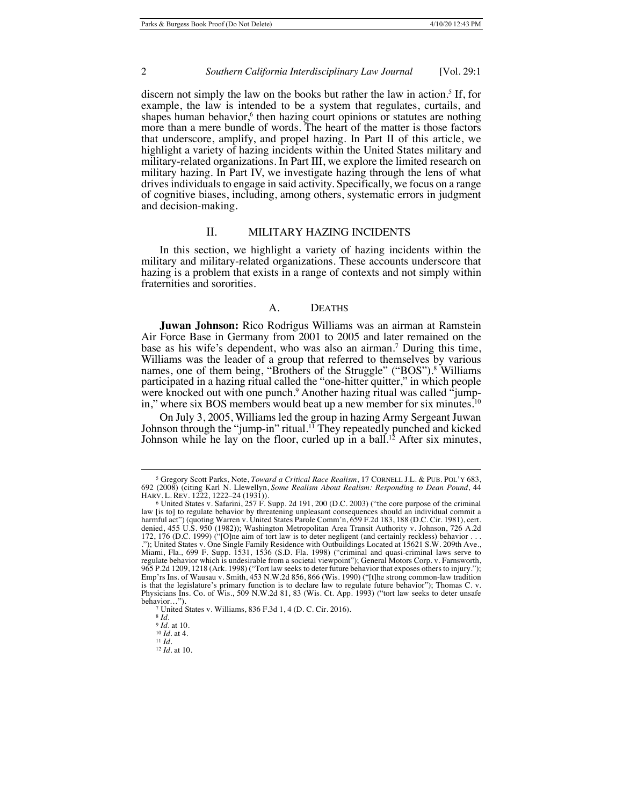discern not simply the law on the books but rather the law in action.<sup>5</sup> If, for example, the law is intended to be a system that regulates, curtails, and shapes human behavior,<sup>6</sup> then hazing court opinions or statutes are nothing more than a mere bundle of words. The heart of the matter is those factors that underscore, amplify, and propel hazing. In Part II of this article, we highlight a variety of hazing incidents within the United States military and military-related organizations. In Part III, we explore the limited research on military hazing. In Part IV, we investigate hazing through the lens of what drives individuals to engage in said activity. Specifically, we focus on a range of cognitive biases, including, among others, systematic errors in judgment and decision-making.

# II. MILITARY HAZING INCIDENTS

In this section, we highlight a variety of hazing incidents within the military and military-related organizations. These accounts underscore that hazing is a problem that exists in a range of contexts and not simply within fraternities and sororities.

#### A. DEATHS

**Juwan Johnson:** Rico Rodrigus Williams was an airman at Ramstein Air Force Base in Germany from 2001 to 2005 and later remained on the base as his wife's dependent, who was also an airman.7 During this time, Williams was the leader of a group that referred to themselves by various names, one of them being, "Brothers of the Struggle" ("BOS").<sup>8</sup> Williams participated in a hazing ritual called the "one-hitter quitter," in which people were knocked out with one punch.<sup>9</sup> Another hazing ritual was called "jumpin," where six BOS members would beat up a new member for six minutes.<sup>10</sup>

On July 3, 2005, Williams led the group in hazing Army Sergeant Juwan Johnson through the "jump-in" ritual.<sup>11</sup> They repeatedly punched and kicked Johnson while he lay on the floor, curled up in a ball.<sup>12</sup> After six minutes,

<sup>5</sup> Gregory Scott Parks, Note, *Toward a Critical Race Realism*, 17 CORNELL J.L. & PUB. POL'Y 683, 692 (2008) (citing Karl N. Llewellyn, *Some Realism About Realism: Responding to Dean Pound*, 44 HARV. L. REV. 1222, 1222–24 (1931)).

<sup>6</sup> United States v. Safarini, 257 F. Supp. 2d 191, 200 (D.C. 2003) ("the core purpose of the criminal law [is to] to regulate behavior by threatening unpleasant consequences should an individual commit a harmful act") (quoting Warren v. United States Parole Comm'n, 659 F.2d 183, 188 (D.C. Cir. 1981), cert. denied, 455 U.S. 950 (1982)); Washington Metropolitan Area Transit Authority v. Johnson, 726 A.2d 172, 176 (D.C. 1999) ("[O]ne aim of tort law is to deter negligent (and certainly reckless) behavior . . . ."); United States v. One Single Family Residence with Outbuildings Located at 15621 S.W. 209th Ave., Miami, Fla., 699 F. Supp. 1531, 1536 (S.D. Fla. 1998) ("criminal and quasi-criminal laws serve to regulate behavior which is undesirable from a societal viewpoint"); General Motors Corp. v. Farnsworth, 965 P.2d 1209, 1218 (Ark. 1998) ("Tort law seeks to deter future behavior that exposes others to injury."); Emp'rs Ins. of Wausau v. Smith, 453 N.W.2d 856, 866 (Wis. 1990) ("[t]he strong common-law tradition is that the legislature's primary function is to declare law to regulate future behavior"); Thomas C. v. Physicians Ins. Co. of Wis., 509 N.W.2d 81, 83 (Wis. Ct. App. 1993) ("tort law seeks to deter unsafe behavior…").

<sup>7</sup> United States v. Williams, 836 F.3d 1, 4 (D. C. Cir. 2016).

<sup>8</sup> *Id.* <sup>9</sup> *Id.* at 10.

<sup>10</sup> *Id.* at 4.

<sup>11</sup> *Id.*

<sup>12</sup> *Id*. at 10.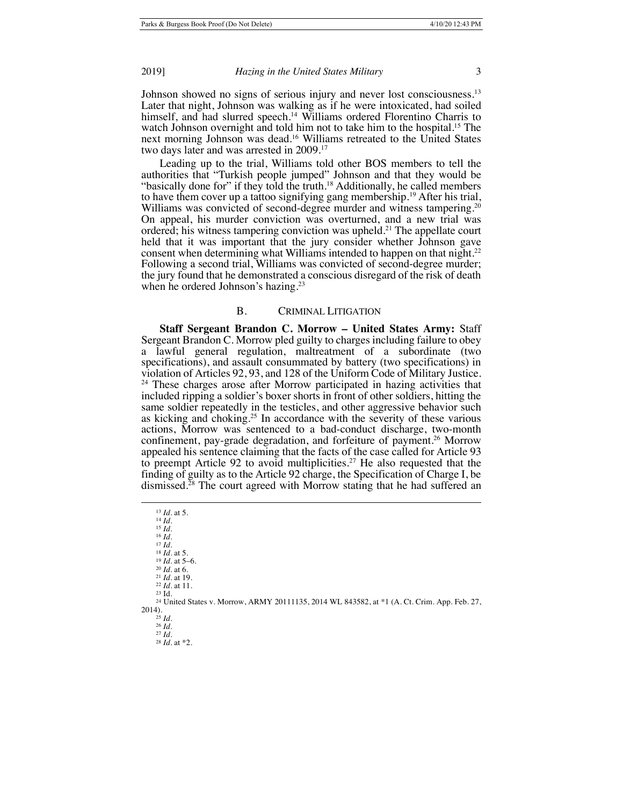Johnson showed no signs of serious injury and never lost consciousness.<sup>13</sup> Later that night, Johnson was walking as if he were intoxicated, had soiled himself, and had slurred speech.<sup>14</sup> Williams ordered Florentino Charris to watch Johnson overnight and told him not to take him to the hospital.<sup>15</sup> The next morning Johnson was dead.16 Williams retreated to the United States two days later and was arrested in 2009.17

Leading up to the trial, Williams told other BOS members to tell the authorities that "Turkish people jumped" Johnson and that they would be "basically done for" if they told the truth.18 Additionally, he called members to have them cover up a tattoo signifying gang membership.19 After his trial, Williams was convicted of second-degree murder and witness tampering.<sup>20</sup> On appeal, his murder conviction was overturned, and a new trial was ordered; his witness tampering conviction was upheld.21 The appellate court held that it was important that the jury consider whether Johnson gave consent when determining what Williams intended to happen on that night.<sup>22</sup> Following a second trial, Williams was convicted of second-degree murder; the jury found that he demonstrated a conscious disregard of the risk of death when he ordered Johnson's hazing.<sup>23</sup>

#### B. CRIMINAL LITIGATION

**Staff Sergeant Brandon C. Morrow – United States Army:** Staff Sergeant Brandon C. Morrow pled guilty to charges including failure to obey a lawful general regulation, maltreatment of a subordinate (two specifications), and assault consummated by battery (two specifications) in violation of Articles 92, 93, and 128 of the Uniform Code of Military Justice.  $24$  These charges arose after Morrow participated in hazing activities that included ripping a soldier's boxer shorts in front of other soldiers, hitting the same soldier repeatedly in the testicles, and other aggressive behavior such as kicking and choking.25 In accordance with the severity of these various actions, Morrow was sentenced to a bad-conduct discharge, two-month confinement, pay-grade degradation, and forfeiture of payment.26 Morrow appealed his sentence claiming that the facts of the case called for Article 93 to preempt Article 92 to avoid multiplicities.<sup>27</sup> He also requested that the finding of guilty as to the Article 92 charge, the Specification of Charge I, be dismissed.<sup>28</sup> The court agreed with Morrow stating that he had suffered an

<sup>13</sup> *Id.* at 5. <sup>14</sup> *Id*. <sup>15</sup> *Id.* <sup>16</sup> *Id.* <sup>17</sup> *Id.* <sup>18</sup> *Id.* at 5. <sup>19</sup> *Id*. at 5–6. <sup>20</sup> *Id*. at 6. <sup>21</sup> *Id*. at 19. <sup>22</sup> *Id*. at 11. <sup>23</sup> Id. <sup>24</sup> United States v. Morrow, ARMY 20111135, 2014 WL 843582, at \*1 (A. Ct. Crim. App. Feb. 27, 2014). <sup>25</sup> *Id.* <sup>26</sup> *Id.* <sup>27</sup> *Id.* <sup>28</sup> *Id*. at \*2.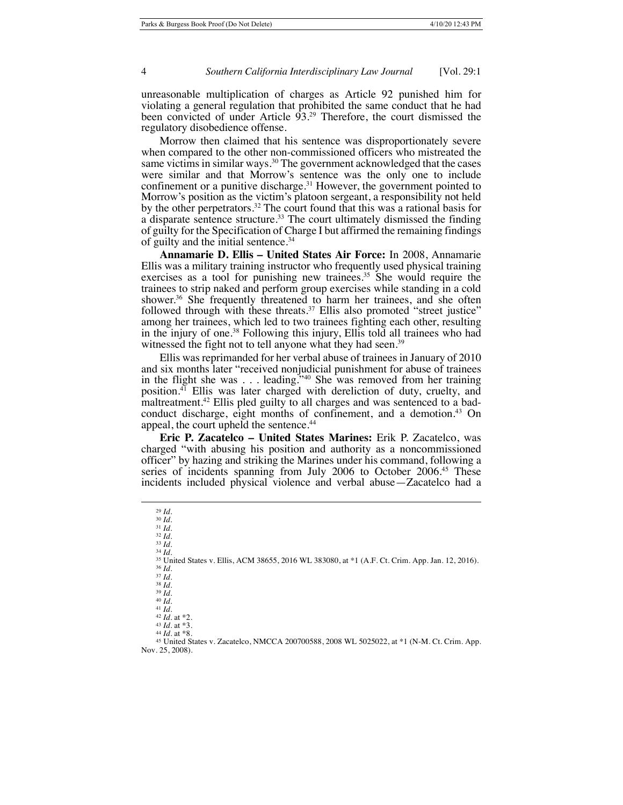unreasonable multiplication of charges as Article 92 punished him for violating a general regulation that prohibited the same conduct that he had been convicted of under Article 93. <sup>29</sup> Therefore, the court dismissed the regulatory disobedience offense.

Morrow then claimed that his sentence was disproportionately severe when compared to the other non-commissioned officers who mistreated the same victims in similar ways.<sup>30</sup> The government acknowledged that the cases were similar and that Morrow's sentence was the only one to include confinement or a punitive discharge.<sup>31</sup> However, the government pointed to Morrow's position as the victim's platoon sergeant, a responsibility not held by the other perpetrators.<sup>32</sup> The court found that this was a rational basis for  $\alpha$  disparate sentence structure.<sup>33</sup> The court ultimately dismissed the finding of guilty for the Specification of Charge I but affirmed the remaining findings of guilty and the initial sentence.34

**Annamarie D. Ellis – United States Air Force:** In 2008, Annamarie Ellis was a military training instructor who frequently used physical training exercises as a tool for punishing new trainees.<sup>35</sup> She would require the trainees to strip naked and perform group exercises while standing in a cold shower.36 She frequently threatened to harm her trainees, and she often followed through with these threats.<sup>37</sup> Ellis also promoted "street justice" among her trainees, which led to two trainees fighting each other, resulting in the injury of one.<sup>38</sup> Following this injury, Ellis told all trainees who had witnessed the fight not to tell anyone what they had seen.<sup>39</sup>

Ellis was reprimanded for her verbal abuse of trainees in January of 2010 and six months later "received nonjudicial punishment for abuse of trainees in the flight she was . . . leading.<sup>740</sup> She was removed from her training position.<sup>41</sup> Ellis was later charged with dereliction of duty, cruelty, and maltreatment.<sup>42</sup> Ellis pled guilty to all charges and was sentenced to a bad-<br>conduct discharge, eight months of confinement, and a demotion.<sup>43</sup> On appeal, the court upheld the sentence.<sup>44</sup>

**Eric P. Zacatelco – United States Marines:** Erik P. Zacatelco, was charged "with abusing his position and authority as a noncommissioned officer" by hazing and striking the Marines under his command, following a series of incidents spanning from July 2006 to October 2006.<sup>45</sup> These incidents included physical violence and verbal abuse—Zacatelco had a

<sup>32</sup> *Id.*

<sup>33</sup> *Id.*

<sup>34</sup> *Id.*

<sup>35</sup> United States v. Ellis, ACM 38655, 2016 WL 383080, at \*1 (A.F. Ct. Crim. App. Jan. 12, 2016). <sup>36</sup> *Id.*

<sup>37</sup> *Id.* <sup>38</sup> *Id.*

<sup>39</sup> *Id.*

- <sup>40</sup> *Id.*
- <sup>41</sup> *Id.*

<sup>42</sup> *Id.* at \*2. <sup>43</sup> *Id.* at \*3.

<sup>45</sup> United States v. Zacatelco, NMCCA 200700588, 2008 WL 5025022, at \*1 (N-M. Ct. Crim. App. Nov. 25, 2008).

<sup>29</sup> *Id.*

<sup>30</sup> *Id.* <sup>31</sup> *Id.*

<sup>44</sup> *Id.* at \*8.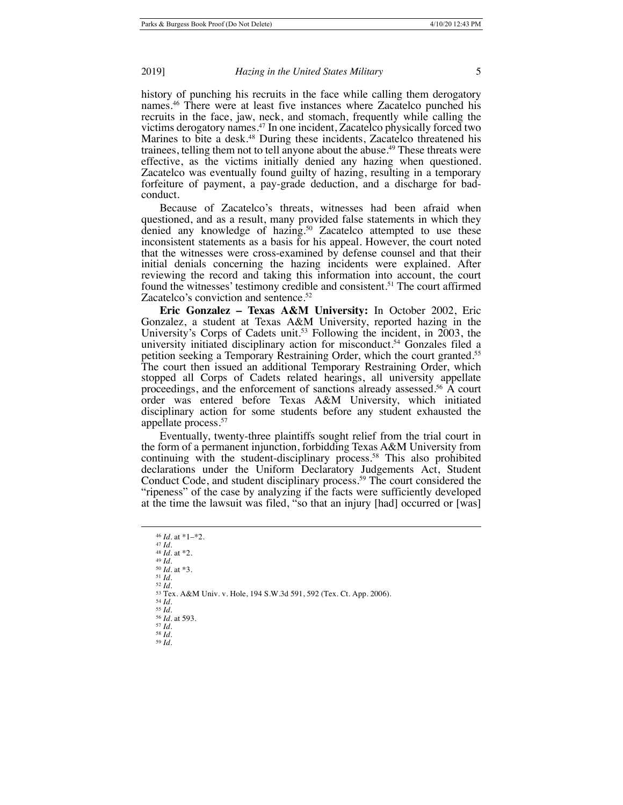history of punching his recruits in the face while calling them derogatory names.46 There were at least five instances where Zacatelco punched his recruits in the face, jaw, neck, and stomach, frequently while calling the victims derogatory names.47 In one incident, Zacatelco physically forced two Marines to bite a desk.<sup>48</sup> During these incidents, Zacatelco threatened his trainees, telling them not to tell anyone about the abuse.<sup>49</sup> These threats were effective, as the victims initially denied any hazing when questioned. Zacatelco was eventually found guilty of hazing, resulting in a temporary forfeiture of payment, a pay-grade deduction, and a discharge for badconduct.

Because of Zacatelco's threats, witnesses had been afraid when questioned, and as a result, many provided false statements in which they denied any knowledge of hazing.<sup>50</sup> Zacatelco attempted to use these inconsistent statements as a basis for his appeal. However, the court noted that the witnesses were cross-examined by defense counsel and that their initial denials concerning the hazing incidents were explained. After reviewing the record and taking this information into account, the court found the witnesses' testimony credible and consistent.<sup>51</sup> The court affirmed Zacatelco's conviction and sentence.<sup>52</sup>

**Eric Gonzalez – Texas A&M University:** In October 2002, Eric Gonzalez, a student at Texas A&M University, reported hazing in the University's Corps of Cadets unit.<sup>53</sup> Following the incident, in 2003, the university initiated disciplinary action for misconduct.<sup>54</sup> Gonzales filed a petition seeking a Temporary Restraining Order, which the court granted.<sup>55</sup> The court then issued an additional Temporary Restraining Order, which stopped all Corps of Cadets related hearings, all university appellate proceedings, and the enforcement of sanctions already assessed.56 A court order was entered before Texas A&M University, which initiated disciplinary action for some students before any student exhausted the appellate process.<sup>57</sup>

Eventually, twenty-three plaintiffs sought relief from the trial court in the form of a permanent injunction, forbidding Texas A&M University from continuing with the student-disciplinary process.<sup>58</sup> This also prohibited declarations under the Uniform Declaratory Judgements Act, Student Conduct Code, and student disciplinary process.<sup>59</sup> The court considered the "ripeness" of the case by analyzing if the facts were sufficiently developed at the time the lawsuit was filed, "so that an injury [had] occurred or [was]

<sup>46</sup> *Id.* at \*1–\*2. <sup>47</sup> *Id.* <sup>48</sup> *Id*. at \*2.  $49$   $\overline{Id}$ . <sup>50</sup> *Id.* at \*3. <sup>51</sup> *Id.* <sup>52</sup> *Id.* <sup>53</sup> Tex. A&M Univ. v. Hole, 194 S.W.3d 591, 592 (Tex. Ct. App. 2006). <sup>54</sup> *Id.* <sup>55</sup> *Id.* <sup>56</sup> *Id.* at 593. <sup>57</sup> *Id.* <sup>58</sup> *Id.* <sup>59</sup> *Id.*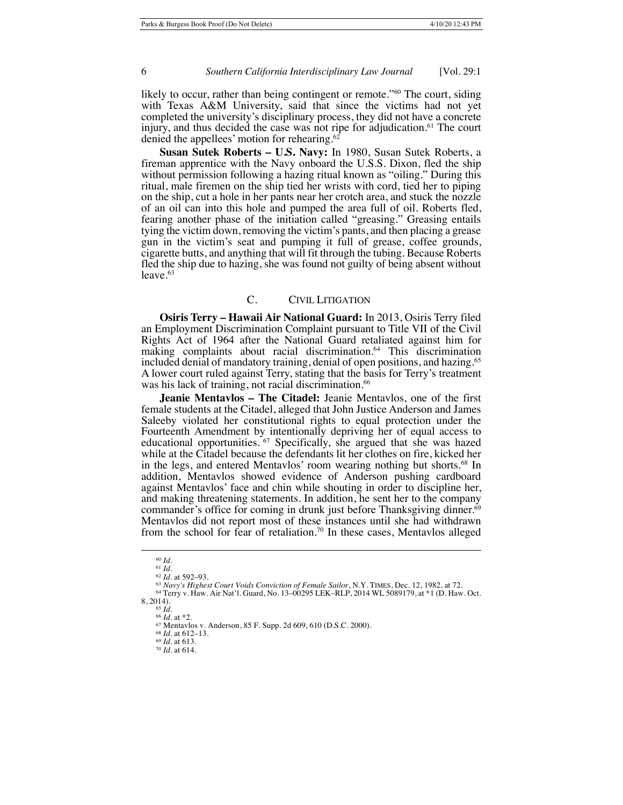likely to occur, rather than being contingent or remote."<sup>60</sup> The court, siding with Texas A&M University, said that since the victims had not yet completed the university's disciplinary process, they did not have a concrete injury, and thus decided the case was not ripe for adjudication.<sup>61</sup> The court denied the appellees' motion for rehearing.<sup>62</sup>

**Susan Sutek Roberts – U.S. Navy:** In 1980, Susan Sutek Roberts, a fireman apprentice with the Navy onboard the U.S.S. Dixon, fled the ship without permission following a hazing ritual known as "oiling." During this ritual, male firemen on the ship tied her wrists with cord, tied her to piping on the ship, cut a hole in her pants near her crotch area, and stuck the nozzle of an oil can into this hole and pumped the area full of oil. Roberts fled, fearing another phase of the initiation called "greasing." Greasing entails tying the victim down, removing the victim's pants, and then placing a grease gun in the victim's seat and pumping it full of grease, coffee grounds, cigarette butts, and anything that will fit through the tubing. Because Roberts fled the ship due to hazing, she was found not guilty of being absent without leave. $63$ 

# C. CIVIL LITIGATION

**Osiris Terry – Hawaii Air National Guard:** In 2013, Osiris Terry filed an Employment Discrimination Complaint pursuant to Title VII of the Civil Rights Act of 1964 after the National Guard retaliated against him for making complaints about racial discrimination.<sup>64</sup> This discrimination included denial of mandatory training, denial of open positions, and hazing.<sup>65</sup> A lower court ruled against Terry, stating that the basis for Terry's treatment was his lack of training, not racial discrimination.<sup>66</sup>

**Jeanie Mentavlos – The Citadel:** Jeanie Mentavlos, one of the first female students at the Citadel, alleged that John Justice Anderson and James Saleeby violated her constitutional rights to equal protection under the Fourteenth Amendment by intentionally depriving her of equal access to educational opportunities. <sup>67</sup> Specifically, she argued that she was hazed while at the Citadel because the defendants lit her clothes on fire, kicked her in the legs, and entered Mentavlos' room wearing nothing but shorts.<sup>68</sup> In addition, Mentavlos showed evidence of Anderson pushing cardboard against Mentavlos' face and chin while shouting in order to discipline her, and making threatening statements. In addition, he sent her to the company commander's office for coming in drunk just before Thanksgiving dinner.<sup>69</sup> Mentavlos did not report most of these instances until she had withdrawn from the school for fear of retaliation.70 In these cases, Mentavlos alleged

8, 2014).

<sup>60</sup> *Id.* <sup>61</sup> *Id.*

<sup>62</sup> *Id.* at 592–93.

<sup>&</sup>lt;sup>63</sup> *Navy's Highest Court Voids Conviction of Female Sailor* , N.Y. TIMES, Dec. 12, 1982, at 72.<br><sup>64</sup> Terry v. Haw. Air Nat'l. Guard, No. 13–00295 LEK–RLP, 2014 WL 5089179, at \*1 (D. Haw. Oct.

<sup>65</sup> *Id.*

<sup>66</sup> *Id.* at \*2.

<sup>67</sup> Mentavlos v. Anderson, 85 F. Supp. 2d 609, 610 (D.S.C. 2000).

<sup>68</sup> *Id.* at 612–13. <sup>69</sup> *Id.* at 613.

<sup>70</sup> *Id.* at 614.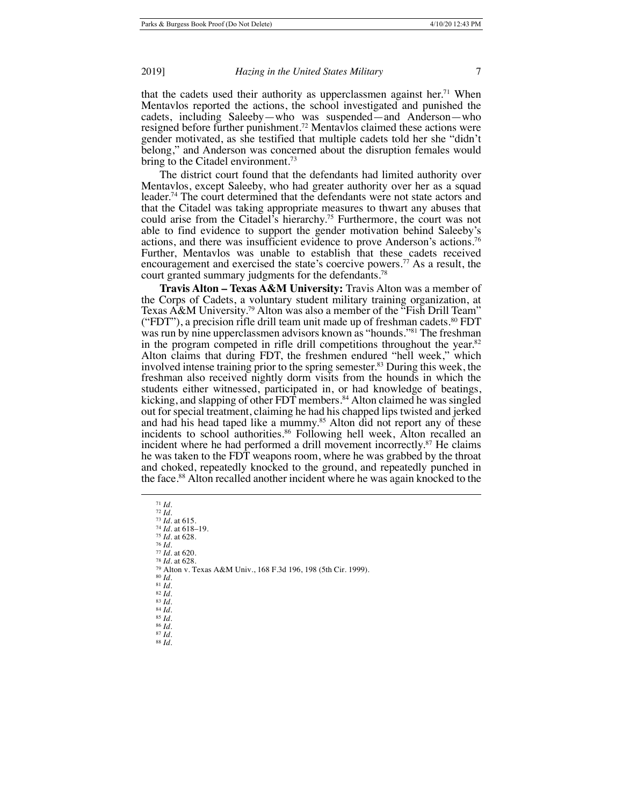that the cadets used their authority as upperclassmen against her.<sup>71</sup> When Mentavlos reported the actions, the school investigated and punished the cadets, including Saleeby—who was suspended—and Anderson—who resigned before further punishment.<sup>72</sup> Mentavlos claimed these actions were gender motivated, as she testified that multiple cadets told her she "didn't belong," and Anderson was concerned about the disruption females would bring to the Citadel environment.<sup>73</sup>

The district court found that the defendants had limited authority over Mentavlos, except Saleeby, who had greater authority over her as a squad leader.<sup>74</sup> The court determined that the defendants were not state actors and that the Citadel was taking appropriate measures to thwart any abuses that could arise from the Citadel's hierarchy.<sup>75</sup> Furthermore, the court was not able to find evidence to support the gender motivation behind Saleeby's actions, and there was insufficient evidence to prove Anderson's actions.76 Further, Mentavlos was unable to establish that these cadets received encouragement and exercised the state's coercive powers.<sup>77</sup> As a result, the court granted summary judgments for the defendants.<sup>78</sup>

**Travis Alton – Texas A&M University:** Travis Alton was a member of the Corps of Cadets, a voluntary student military training organization, at Texas A&M University.<sup>79</sup> Alton was also a member of the "Fish Drill Team" ("FDT"), a precision rifle drill team unit made up of freshman cadets.80 FDT was run by nine upperclassmen advisors known as "hounds."<sup>81</sup> The freshman in the program competed in rifle drill competitions throughout the year.82 Alton claims that during FDT, the freshmen endured "hell week," which involved intense training prior to the spring semester.<sup>83</sup> During this week, the freshman also received nightly dorm visits from the hounds in which the students either witnessed, participated in, or had knowledge of beatings, kicking, and slapping of other FDT members.<sup>84</sup> Alton claimed he was singled out for special treatment, claiming he had his chapped lips twisted and jerked and had his head taped like a mummy.<sup>85</sup> Alton did not report any of these incidents to school authorities.<sup>86</sup> Following hell week, Alton recalled an incident where he had performed a drill movement incorrectly.<sup>87</sup> He claims he was taken to the FDT weapons room, where he was grabbed by the throat and choked, repeatedly knocked to the ground, and repeatedly punched in the face.88 Alton recalled another incident where he was again knocked to the

<sup>71</sup> *Id.* <sup>72</sup> *Id.*

<sup>73</sup> *Id.* at 615.

<sup>74</sup> *Id*. at 618–19.

<sup>75</sup> *Id.* at 628.

<sup>76</sup> *Id.*

<sup>77</sup> *Id*. at 620. <sup>78</sup> *Id*. at 628.

<sup>79</sup> Alton v. Texas A&M Univ., 168 F.3d 196, 198 (5th Cir. 1999).

<sup>80</sup> *Id.* <sup>81</sup> *Id.*

<sup>82</sup> *Id.*

<sup>83</sup> *Id.*

<sup>84</sup> *Id.*

<sup>85</sup> *Id.* <sup>86</sup> *Id.*

<sup>87</sup> *Id.*

<sup>88</sup> *Id.*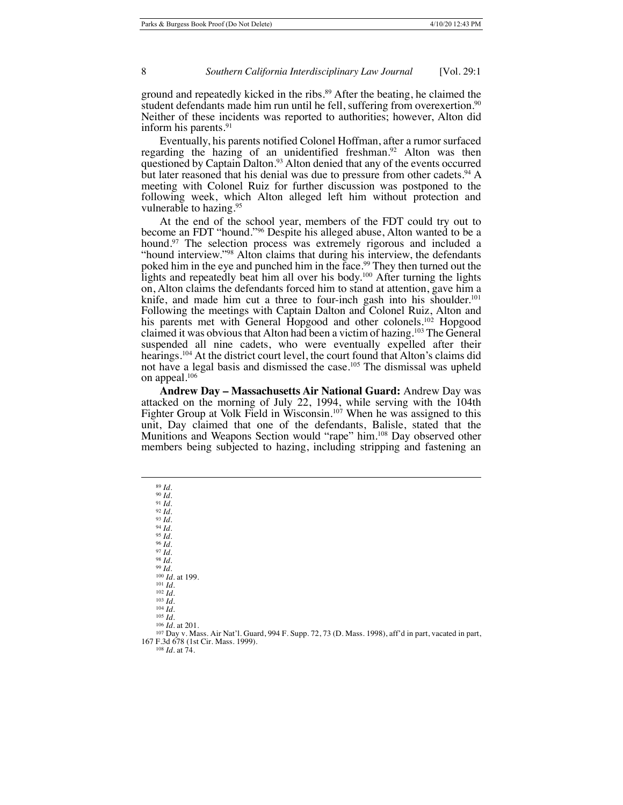ground and repeatedly kicked in the ribs.<sup>89</sup> After the beating, he claimed the student defendants made him run until he fell, suffering from overexertion.<sup>90</sup> Neither of these incidents was reported to authorities; however, Alton did inform his parents.<sup>91</sup>

Eventually, his parents notified Colonel Hoffman, after a rumor surfaced regarding the hazing of an unidentified freshman.<sup>92</sup> Alton was then questioned by Captain Dalton.<sup>93</sup> Alton denied that any of the events occurred but later reasoned that his denial was due to pressure from other cadets.<sup>94</sup> A meeting with Colonel Ruiz for further discussion was postponed to the following week, which Alton alleged left him without protection and vulnerable to hazing.<sup>95</sup>

At the end of the school year, members of the FDT could try out to become an FDT "hound."96 Despite his alleged abuse, Alton wanted to be a hound.<sup>97</sup> The selection process was extremely rigorous and included a "hound interview."98 Alton claims that during his interview, the defendants poked him in the eye and punched him in the face.<sup>99</sup> They then turned out the lights and repeatedly beat him all over his body.<sup>100</sup> After turning the lights on, Alton claims the defendants forced him to stand at attention, gave him a knife, and made him cut a three to four-inch gash into his shoulder.<sup>101</sup> Following the meetings with Captain Dalton and Colonel Ruiz, Alton and his parents met with General Hopgood and other colonels.<sup>102</sup> Hopgood claimed it was obvious that Alton had been a victim of hazing.<sup>103</sup> The General suspended all nine cadets, who were eventually expelled after their hearings.<sup>104</sup> At the district court level, the court found that Alton's claims did not have a legal basis and dismissed the case.<sup>105</sup> The dismissal was upheld on appeal.<sup>106</sup>

**Andrew Day – Massachusetts Air National Guard:** Andrew Day was attacked on the morning of July 22, 1994, while serving with the 104th Fighter Group at Volk Field in Wisconsin.<sup>107</sup> When he was assigned to this unit, Day claimed that one of the defendants, Balisle, stated that the Munitions and Weapons Section would "rape" him.108 Day observed other members being subjected to hazing, including stripping and fastening an

<sup>89</sup> *Id.*  $90 \overline{Id}$ . <sup>91</sup> *Id.* <sup>92</sup> *Id*. <sup>93</sup> *Id.* <sup>94</sup> *Id.* <sup>95</sup> *Id.* <sup>96</sup> *Id.* <sup>97</sup> *Id.* <sup>98</sup> *Id.* <sup>99</sup> *Id.* <sup>100</sup> *Id.* at 199. <sup>101</sup> *Id.* <sup>102</sup> *Id.* <sup>103</sup> *Id.* <sup>104</sup> *Id.* <sup>105</sup> *Id.* <sup>106</sup> *Id.* at 201. <sup>107</sup> Day v. Mass. Air Nat'l. Guard, 994 F. Supp. 72, 73 (D. Mass. 1998), aff'd in part, vacated in part, 167 F.3d 678 (1st Cir. Mass. 1999). <sup>108</sup> *Id.* at 74.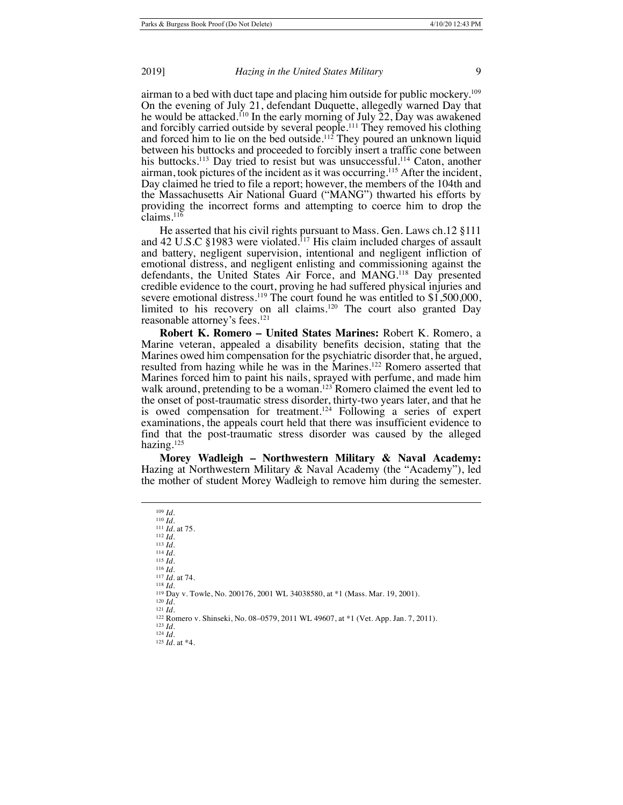airman to a bed with duct tape and placing him outside for public mockery.109 On the evening of July 21, defendant Duquette, allegedly warned Day that he would be attacked.<sup>110</sup> In the early morning of July 22, Day was awakened and forcibly carried outside by several people.<sup>111</sup> They removed his clothing and forced him to lie on the bed outside.<sup>112</sup> They poured an unknown liquid between his buttocks and proceeded to forcibly insert a traffic cone between his buttocks.<sup>113</sup> Day tried to resist but was unsuccessful.<sup>114</sup> Caton, another airman, took pictures of the incident as it was occurring.115 After the incident, Day claimed he tried to file a report; however, the members of the 104th and the Massachusetts Air National Guard ("MANG") thwarted his efforts by providing the incorrect forms and attempting to coerce him to drop the claims. $116$ 

He asserted that his civil rights pursuant to Mass. Gen. Laws ch.12 §111 and 42 U.S.C  $\S 1983$  were violated.<sup>117</sup> His claim included charges of assault and battery, negligent supervision, intentional and negligent infliction of emotional distress, and negligent enlisting and commissioning against the defendants, the United States Air Force, and MANG.118 Day presented credible evidence to the court, proving he had suffered physical injuries and severe emotional distress.<sup>119</sup> The court found he was entitled to  $$1,500,000$ , limited to his recovery on all claims.<sup>120</sup> The court also granted Day reasonable attorney's fees.<sup>121</sup>

**Robert K. Romero – United States Marines:** Robert K. Romero, a Marine veteran, appealed a disability benefits decision, stating that the Marines owed him compensation for the psychiatric disorder that, he argued, resulted from hazing while he was in the Marines.122 Romero asserted that Marines forced him to paint his nails, sprayed with perfume, and made him walk around, pretending to be a woman.<sup>123</sup> Romero claimed the event led to the onset of post-traumatic stress disorder, thirty-two years later, and that he is owed compensation for treatment.124 Following a series of expert examinations, the appeals court held that there was insufficient evidence to find that the post-traumatic stress disorder was caused by the alleged hazing.125

**Morey Wadleigh – Northwestern Military & Naval Academy:**  Hazing at Northwestern Military & Naval Academy (the "Academy"), led the mother of student Morey Wadleigh to remove him during the semester.

<sup>109</sup> *Id.* <sup>110</sup> *Id.* <sup>111</sup> *Id.* at 75. <sup>112</sup> *Id.* <sup>113</sup> *Id.* <sup>114</sup> *Id.* <sup>115</sup> *Id.* <sup>116</sup> *Id.* <sup>117</sup> *Id.* at 74. <sup>118</sup> *Id.* <sup>119</sup> Day v. Towle, No. 200176, 2001 WL 34038580, at \*1 (Mass. Mar. 19, 2001). <sup>120</sup> *Id.* <sup>121</sup> *Id.* <sup>122</sup> Romero v. Shinseki, No. 08–0579, 2011 WL 49607, at \*1 (Vet. App. Jan. 7, 2011). <sup>123</sup> *Id.* <sup>124</sup> *Id.* <sup>125</sup> *Id*. at \*4.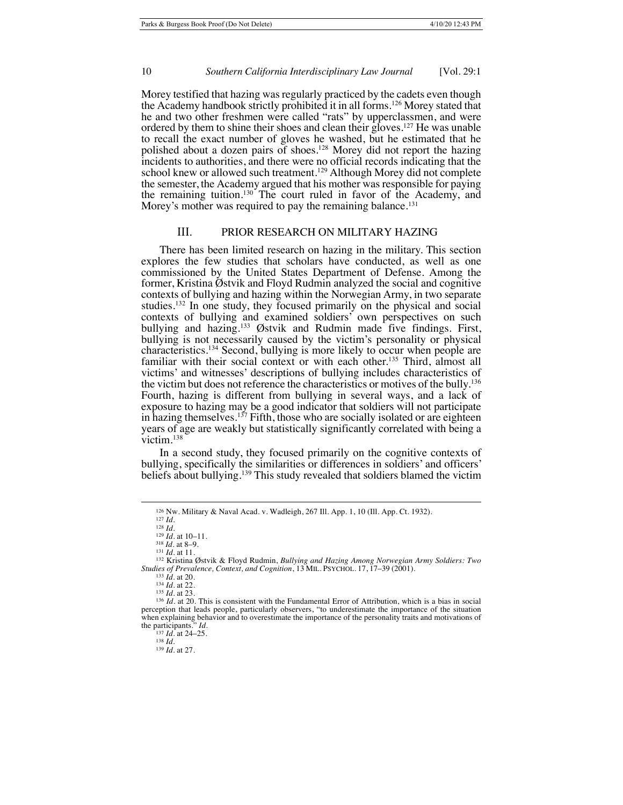Morey testified that hazing was regularly practiced by the cadets even though the Academy handbook strictly prohibited it in all forms.126 Morey stated that he and two other freshmen were called "rats" by upperclassmen, and were ordered by them to shine their shoes and clean their gloves.<sup>127</sup> He was unable to recall the exact number of gloves he washed, but he estimated that he polished about a dozen pairs of shoes.<sup>128</sup> Morey did not report the hazing incidents to authorities, and there were no official records indicating that the school knew or allowed such treatment.<sup>129</sup> Although Morey did not complete the semester, the Academy argued that his mother was responsible for paying the remaining tuition.<sup>130</sup> The court ruled in favor of the Academy, and Morey's mother was required to pay the remaining balance.<sup>131</sup>

# III. PRIOR RESEARCH ON MILITARY HAZING

There has been limited research on hazing in the military. This section explores the few studies that scholars have conducted, as well as one commissioned by the United States Department of Defense. Among the former, Kristina Østvik and Floyd Rudmin analyzed the social and cognitive contexts of bullying and hazing within the Norwegian Army, in two separate studies.<sup>132</sup> In one study, they focused primarily on the physical and social contexts of bullying and examined soldiers' own perspectives on such bullying and hazing.133 Østvik and Rudmin made five findings. First, bullying is not necessarily caused by the victim's personality or physical characteristics.134 Second, bullying is more likely to occur when people are familiar with their social context or with each other.<sup>135</sup> Third, almost all victims' and witnesses' descriptions of bullying includes characteristics of the victim but does not reference the characteristics or motives of the bully.136 Fourth, hazing is different from bullying in several ways, and a lack of exposure to hazing may be a good indicator that soldiers will not participate in hazing themselves.<sup>137</sup> Fifth, those who are socially isolated or are eighteen years of age are weakly but statistically significantly correlated with being a victim.138

In a second study, they focused primarily on the cognitive contexts of bullying, specifically the similarities or differences in soldiers' and officers' beliefs about bullying.<sup>139</sup> This study revealed that soldiers blamed the victim

<sup>126</sup> Nw. Military & Naval Acad. v. Wadleigh, 267 Ill. App. 1, 10 (Ill. App. Ct. 1932).

<sup>127</sup> *Id.*

<sup>128</sup> *Id.*

<sup>129</sup> *Id.* at 10–11. <sup>318</sup> *Id.* at 8–9.

<sup>131</sup> *Id.* at 11.

<sup>132</sup> Kristina Østvik & Floyd Rudmin, *Bullying and Hazing Among Norwegian Army Soldiers: Two Studies of Prevalence, Context, and Cognition*, 13 MIL. PSYCHOL. 17, 17–39 (2001).

<sup>133</sup> *Id.* at 20.

<sup>134</sup> *Id.* at 22. <sup>135</sup> *Id.* at 23.

<sup>136</sup> *Id.* at 20. This is consistent with the Fundamental Error of Attribution, which is a bias in social perception that leads people, particularly observers, "to underestimate the importance of the situation when explaining behavior and to overestimate the importance of the personality traits and motivations of the participants." *Id*.

<sup>137</sup> *Id.* at 24–25.

<sup>138</sup> *Id*.

<sup>139</sup> *Id.* at 27.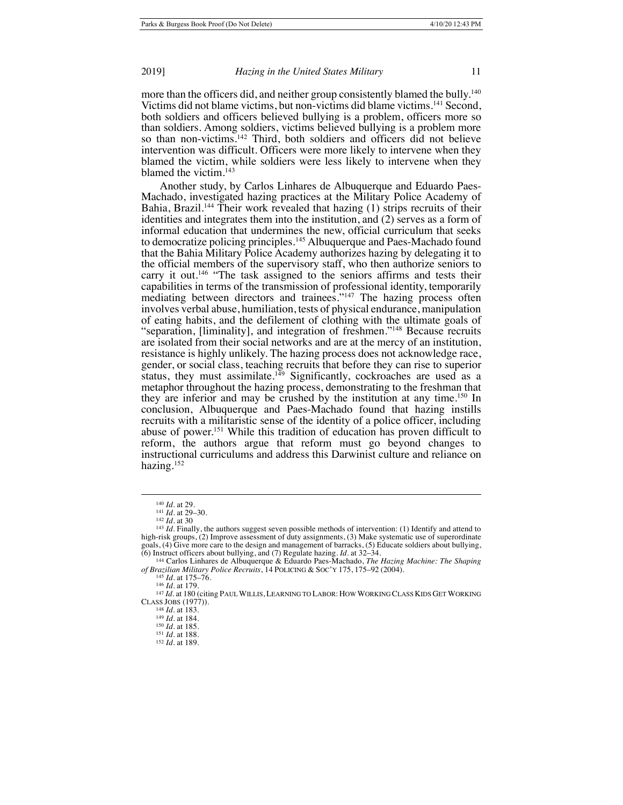more than the officers did, and neither group consistently blamed the bully.<sup>140</sup> Victims did not blame victims, but non-victims did blame victims.141 Second, both soldiers and officers believed bullying is a problem, officers more so than soldiers. Among soldiers, victims believed bullying is a problem more so than non-victims.<sup>142</sup> Third, both soldiers and officers did not believe intervention was difficult. Officers were more likely to intervene when they blamed the victim, while soldiers were less likely to intervene when they blamed the victim.<sup>143</sup>

Another study, by Carlos Linhares de Albuquerque and Eduardo Paes- Machado, investigated hazing practices at the Military Police Academy of Bahia, Brazil.<sup>144</sup> Their work revealed that hazing  $(1)$  strips recruits of their identities and integrates them into the institution, and (2) serves as a form of informal education that undermines the new, official curriculum that seeks to democratize policing principles.<sup>145</sup> Albuquerque and Paes-Machado found that the Bahia Military Police Academy authorizes hazing by delegating it to the official members of the supervisory staff, who then authorize seniors to carry it out.<sup>146</sup> "The task assigned to the seniors affirms and tests their capabilities in terms of the transmission of professional identity, temporarily mediating between directors and trainees."<sup>147</sup> The hazing process often involves verbal abuse, humiliation, tests of physical endurance, manipulation of eating habits, and the defilement of clothing with the ultimate goals of "separation, [liminality], and integration of freshmen."148 Because recruits are isolated from their social networks and are at the mercy of an institution, resistance is highly unlikely. The hazing process does not acknowledge race, gender, or social class, teaching recruits that before they can rise to superior status, they must assimilate.<sup>149</sup> Significantly, cockroaches are used as a metaphor throughout the hazing process, demonstrating to the freshman that they are inferior and may be crushed by the institution at any time.<sup>150</sup> In conclusion, Albuquerque and Paes-Machado found that hazing instills recruits with a militaristic sense of the identity of a police officer, including abuse of power.151 While this tradition of education has proven difficult to reform, the authors argue that reform must go beyond changes to instructional curriculums and address this Darwinist culture and reliance on hazing.152

<sup>140</sup> *Id.* at 29. <sup>141</sup> *Id.* at 29–30.

<sup>142</sup> *Id.* at 30

<sup>143</sup> *Id.* Finally, the authors suggest seven possible methods of intervention: (1) Identify and attend to high-risk groups, (2) Improve assessment of duty assignments, (3) Make systematic use of superordinate goals, (4) Give more care to the design and management of barracks, (5) Educate soldiers about bullying, (6) Instruct officers about bullying, and (7) Regulate hazing. *Id.* at 32–34.

<sup>&</sup>lt;sup>144</sup> Carlos Linhares de Albuquerque & Eduardo Paes-Machado, *The Hazing Machine: The Shaping of Brazilian Military Police Recruits*, 14 POLICING & SOC'Y 175, 175–92 (2004).

<sup>145</sup> *Id.* at 175–76. <sup>146</sup> *Id.* at 179.

<sup>147</sup> *Id.* at 180 (citing PAUL WILLIS, LEARNING TO LABOR: HOW WORKING CLASS KIDS GET WORKING CLASS JOBS (1977)). <sup>148</sup> *Id.* at 183.

<sup>149</sup> *Id.* at 184. <sup>150</sup> *Id.* at 185.

<sup>151</sup> *Id.* at 188.

<sup>152</sup> *Id.* at 189.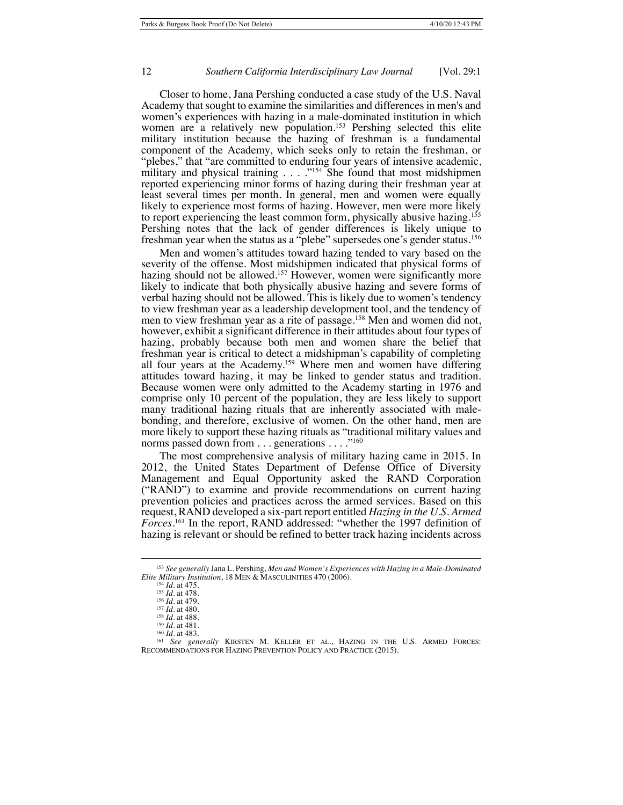Closer to home, Jana Pershing conducted a case study of the U.S. Naval Academy that sought to examine the similarities and differences in men's and women's experiences with hazing in a male-dominated institution in which women are a relatively new population.<sup>153</sup> Pershing selected this elite military institution because the hazing of freshman is a fundamental component of the Academy, which seeks only to retain the freshman, or "plebes," that "are committed to enduring four years of intensive academic, military and physical training . . . ."154 She found that most midshipmen reported experiencing minor forms of hazing during their freshman year at least several times per month. In general, men and women were equally likely to experience most forms of hazing. However, men were more likely to report experiencing the least common form, physically abusive hazing.<sup>155</sup> Pershing notes that the lack of gender differences is likely unique to freshman year when the status as a "plebe" supersedes one's gender status.156

Men and women's attitudes toward hazing tended to vary based on the severity of the offense. Most midshipmen indicated that physical forms of hazing should not be allowed.<sup>157</sup> However, women were significantly more likely to indicate that both physically abusive hazing and severe forms of verbal hazing should not be allowed. This is likely due to women's tendency to view freshman year as a leadership development tool, and the tendency of men to view freshman year as a rite of passage.<sup>158</sup> Men and women did not, however, exhibit a significant difference in their attitudes about four types of hazing, probably because both men and women share the belief that freshman year is critical to detect a midshipman's capability of completing all four years at the Academy.<sup>159</sup> Where men and women have differing attitudes toward hazing, it may be linked to gender status and tradition. Because women were only admitted to the Academy starting in 1976 and comprise only 10 percent of the population, they are less likely to support many traditional hazing rituals that are inherently associated with malebonding, and therefore, exclusive of women. On the other hand, men are more likely to support these hazing rituals as "traditional military values and norms passed down from . . . generations . . . ."<sup>160</sup>

The most comprehensive analysis of military hazing came in 2015. In 2012, the United States Department of Defense Office of Diversity Management and Equal Opportunity asked the RAND Corporation ("RAND") to examine and provide recommendations on current hazing prevention policies and practices across the armed services. Based on this request, RAND developed a six-part report entitled *Hazing in the U.S. Armed Forces*. <sup>161</sup> In the report, RAND addressed: "whether the 1997 definition of hazing is relevant or should be refined to better track hazing incidents across

<sup>153</sup> *See generally* Jana L. Pershing, *Men and Women's Experiences with Hazing in a Male-Dominated Elite Military Institution*, 18 MEN & MASCULINITIES 470 (2006).

<sup>154</sup> *Id.* at 475.

<sup>155</sup> *Id.* at 478.

<sup>156</sup> *Id.* at 479.

<sup>157</sup> *Id.* at 480.

<sup>158</sup> *Id.* at 488.

<sup>159</sup> *Id.* at 481.

<sup>160</sup> *Id.* at 483.

<sup>161</sup> *See generally* KIRSTEN M. KELLER ET AL., HAZING IN THE U.S. ARMED FORCES: RECOMMENDATIONS FOR HAZING PREVENTION POLICY AND PRACTICE (2015).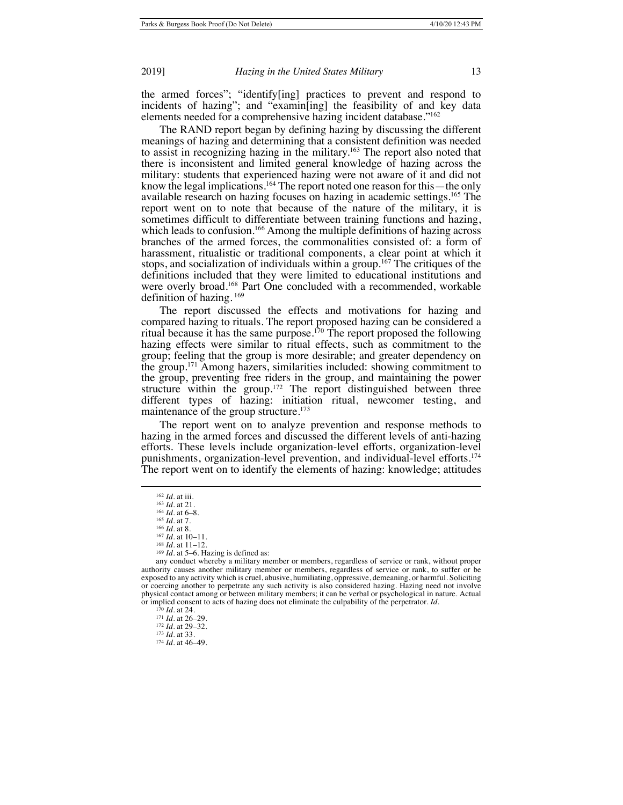the armed forces"; "identify[ing] practices to prevent and respond to incidents of hazing"; and "examin[ing] the feasibility of and key data elements needed for a comprehensive hazing incident database."162

The RAND report began by defining hazing by discussing the different meanings of hazing and determining that a consistent definition was needed to assist in recognizing hazing in the military.163 The report also noted that there is inconsistent and limited general knowledge of hazing across the military: students that experienced hazing were not aware of it and did not know the legal implications.<sup>164</sup> The report noted one reason for this—the only available research on hazing focuses on hazing in academic settings.165 The report went on to note that because of the nature of the military, it is sometimes difficult to differentiate between training functions and hazing, which leads to confusion.<sup>166</sup> Among the multiple definitions of hazing across branches of the armed forces, the commonalities consisted of: a form of harassment, ritualistic or traditional components, a clear point at which it stops, and socialization of individuals within a group.<sup>167</sup> The critiques of the definitions included that they were limited to educational institutions and were overly broad.<sup>168</sup> Part One concluded with a recommended, workable definition of hazing. <sup>169</sup>

The report discussed the effects and motivations for hazing and compared hazing to rituals. The report proposed hazing can be considered a ritual because it has the same purpose.<sup>170</sup> The report proposed the following hazing effects were similar to ritual effects, such as commitment to the group; feeling that the group is more desirable; and greater dependency on the group.171 Among hazers, similarities included: showing commitment to the group, preventing free riders in the group, and maintaining the power structure within the group.<sup>172</sup> The report distinguished between three different types of hazing: initiation ritual, newcomer testing, and maintenance of the group structure.<sup>173</sup>

The report went on to analyze prevention and response methods to hazing in the armed forces and discussed the different levels of anti-hazing efforts. These levels include organization-level efforts, organization-level punishments, organization-level prevention, and individual-level efforts.174 The report went on to identify the elements of hazing: knowledge; attitudes

<sup>162</sup> *Id.* at iii. <sup>163</sup> *Id.* at 21.

<sup>164</sup> *Id.* at 6–8.

<sup>165</sup> *Id.* at 7.

<sup>166</sup> *Id.* at 8.

<sup>167</sup> *Id.* at 10–11.

<sup>168</sup> *Id.* at 11–12.

<sup>169</sup> *Id.* at 5–6. Hazing is defined as:

any conduct whereby a military member or members, regardless of service or rank, without proper authority causes another military member or members, regardless of service or rank, to suffer or be exposed to any activity which is cruel, abusive, humiliating, oppressive, demeaning, or harmful. Soliciting or coercing another to perpetrate any such activity is also considered hazing. Hazing need not involve physical contact among or between military members; it can be verbal or psychological in nature. Actual or implied consent to acts of hazing does not eliminate the culpability of the perpetrator. *Id.*

 $^{170}$  *Id.* at 24.

<sup>171</sup> *Id.* at 26–29. <sup>172</sup> *Id.* at 29–32.

<sup>173</sup> *Id.* at 33.

<sup>174</sup> *Id.* at 46–49.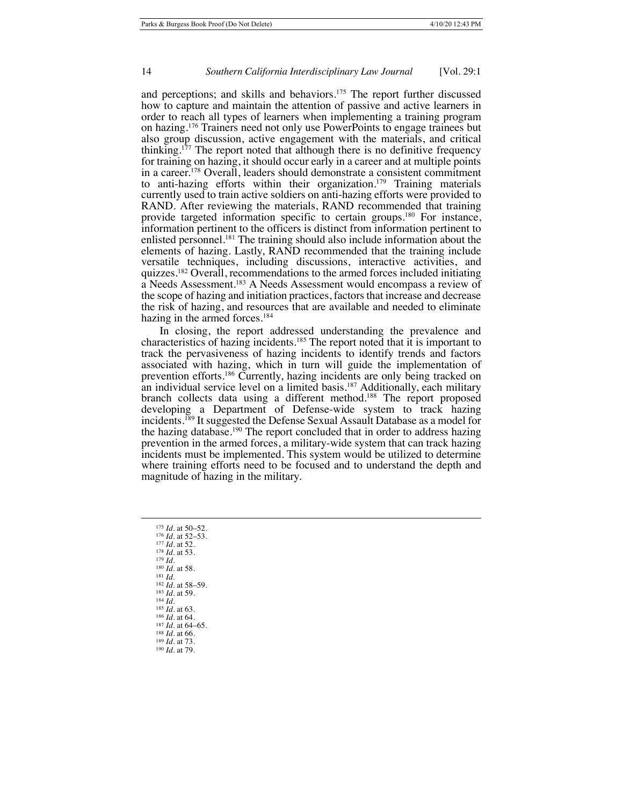and perceptions; and skills and behaviors.<sup>175</sup> The report further discussed how to capture and maintain the attention of passive and active learners in order to reach all types of learners when implementing a training program on hazing.176 Trainers need not only use PowerPoints to engage trainees but also group discussion, active engagement with the materials, and critical thinking.<sup>177</sup> The report noted that although there is no definitive frequency for training on hazing, it should occur early in a career and at multiple points in a career.178 Overall, leaders should demonstrate a consistent commitment to anti-hazing efforts within their organization.<sup>179</sup> Training materials currently used to train active soldiers on anti-hazing efforts were provided to RAND. After reviewing the materials, RAND recommended that training provide targeted information specific to certain groups.<sup>180</sup> For instance, information pertinent to the officers is distinct from information pertinent to enlisted personnel.<sup>181</sup> The training should also include information about the elements of hazing. Lastly, RAND recommended that the training include versatile techniques, including discussions, interactive activities, and quizzes.182 Overall, recommendations to the armed forces included initiating a Needs Assessment.183 A Needs Assessment would encompass a review of the scope of hazing and initiation practices, factors that increase and decrease the risk of hazing, and resources that are available and needed to eliminate hazing in the armed forces.<sup>184</sup>

In closing, the report addressed understanding the prevalence and characteristics of hazing incidents.185 The report noted that it is important to track the pervasiveness of hazing incidents to identify trends and factors associated with hazing, which in turn will guide the implementation of prevention efforts.<sup>186</sup> Currently, hazing incidents are only being tracked on an individual service level on a limited basis.<sup>187</sup> Additionally, each military branch collects data using a different method.<sup>188</sup> The report proposed developing a Department of Defense-wide system to track hazing incidents.<sup>189</sup> It suggested the Defense Sexual Assault Database as a model for the hazing database.190 The report concluded that in order to address hazing prevention in the armed forces, a military-wide system that can track hazing incidents must be implemented. This system would be utilized to determine where training efforts need to be focused and to understand the depth and magnitude of hazing in the military.

 *Id.* at 50–52. *Id.* at 52–53. *Id.* at 52. *Id.* at 53. <sup>179</sup> *Id. Id.* at 58. <sup>181</sup> *Id*. *Id.* at 58–59. *Id.* at 59. <sup>184</sup> *Id. Id.* at 63. *Id.* at 64. *Id.* at 64–65. *Id.* at 66. *Id.* at 73. *Id.* at 79.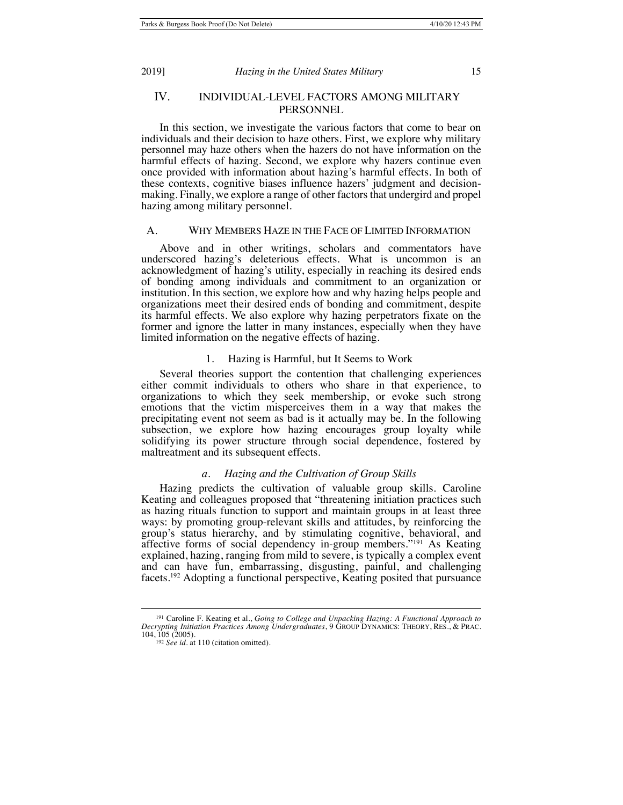# IV. INDIVIDUAL-LEVEL FACTORS AMONG MILITARY **PERSONNEL**

In this section, we investigate the various factors that come to bear on individuals and their decision to haze others. First, we explore why military personnel may haze others when the hazers do not have information on the harmful effects of hazing. Second, we explore why hazers continue even once provided with information about hazing's harmful effects. In both of these contexts, cognitive biases influence hazers' judgment and decision- making. Finally, we explore a range of other factors that undergird and propel hazing among military personnel.

# A. WHY MEMBERS HAZE IN THE FACE OF LIMITED INFORMATION

Above and in other writings, scholars and commentators have underscored hazing's deleterious effects. What is uncommon is an acknowledgment of hazing's utility, especially in reaching its desired ends of bonding among individuals and commitment to an organization or institution. In this section, we explore how and why hazing helps people and organizations meet their desired ends of bonding and commitment, despite its harmful effects. We also explore why hazing perpetrators fixate on the former and ignore the latter in many instances, especially when they have limited information on the negative effects of hazing.

#### 1. Hazing is Harmful, but It Seems to Work

Several theories support the contention that challenging experiences either commit individuals to others who share in that experience, to organizations to which they seek membership, or evoke such strong emotions that the victim misperceives them in a way that makes the precipitating event not seem as bad is it actually may be. In the following subsection, we explore how hazing encourages group loyalty while solidifying its power structure through social dependence, fostered by maltreatment and its subsequent effects.

# *a. Hazing and the Cultivation of Group Skills*

Hazing predicts the cultivation of valuable group skills. Caroline Keating and colleagues proposed that "threatening initiation practices such as hazing rituals function to support and maintain groups in at least three ways: by promoting group-relevant skills and attitudes, by reinforcing the group's status hierarchy, and by stimulating cognitive, behavioral, and affective forms of social dependency in-group members."191 As Keating explained, hazing, ranging from mild to severe, is typically a complex event and can have fun, embarrassing, disgusting, painful, and challenging facets.192 Adopting a functional perspective, Keating posited that pursuance

<sup>191</sup> Caroline F. Keating et al., *Going to College and Unpacking Hazing: A Functional Approach to Decrypting Initiation Practices Among Undergraduates*, 9 GROUP DYNAMICS: THEORY, RES., & PRAC. 104, 105 (2005).

<sup>192</sup> *See id.* at 110 (citation omitted).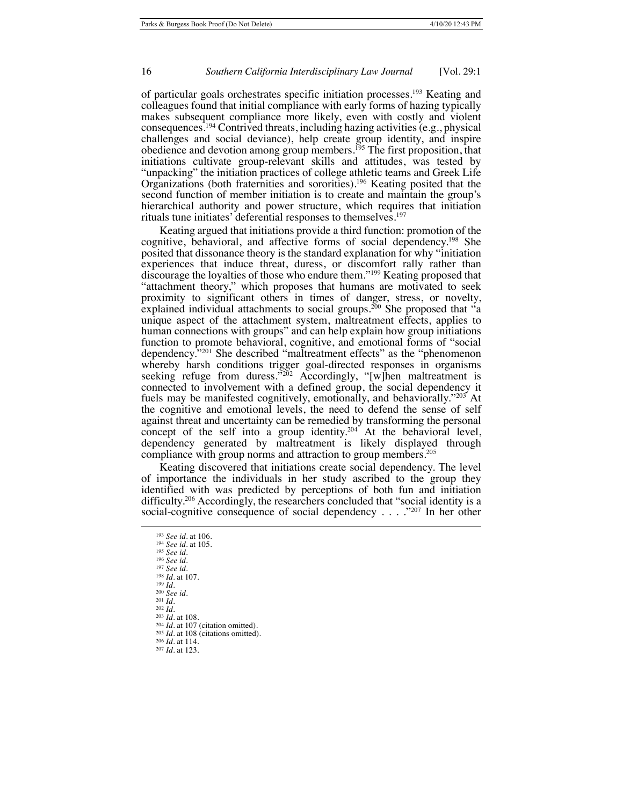of particular goals orchestrates specific initiation processes.193 Keating and colleagues found that initial compliance with early forms of hazing typically makes subsequent compliance more likely, even with costly and violent consequences.194 Contrived threats, including hazing activities (e.g., physical challenges and social deviance), help create group identity, and inspire obedience and devotion among group members.<sup>195</sup> The first proposition, that initiations cultivate group-relevant skills and attitudes, was tested by "unpacking" the initiation practices of college athletic teams and Greek Life Organizations (both fraternities and sororities).<sup>196</sup> Keating posited that the second function of member initiation is to create and maintain the group's hierarchical authority and power structure, which requires that initiation rituals tune initiates' deferential responses to themselves.197

Keating argued that initiations provide a third function: promotion of the cognitive, behavioral, and affective forms of social dependency.198 She posited that dissonance theory is the standard explanation for why "initiation experiences that induce threat, duress, or discomfort rally rather than discourage the loyalties of those who endure them."199 Keating proposed that "attachment theory," which proposes that humans are motivated to seek proximity to significant others in times of danger, stress, or novelty, explained individual attachments to social groups.<sup>200</sup> She proposed that  $\ddot{a}$ unique aspect of the attachment system, maltreatment effects, applies to human connections with groups" and can help explain how group initiations function to promote behavioral, cognitive, and emotional forms of "social dependency."<sup>201</sup> She described "maltreatment effects" as the "phenomenon whereby harsh conditions trigger goal-directed responses in organisms seeking refuge from duress."<sup>202</sup> Accordingly, "[w]hen maltreatment is connected to involvement with a defined group, the social dependency it fuels may be manifested cognitively, emotionally, and behaviorally."203<sup>7</sup> At the cognitive and emotional levels, the need to defend the sense of self against threat and uncertainty can be remedied by transforming the personal concept of the self into a group identity.<sup>204</sup> At the behavioral level, dependency generated by maltreatment is likely displayed through compliance with group norms and attraction to group members.<sup>205</sup>

Keating discovered that initiations create social dependency. The level of importance the individuals in her study ascribed to the group they identified with was predicted by perceptions of both fun and initiation difficulty.206 Accordingly, the researchers concluded that "social identity is a social-cognitive consequence of social dependency . . . . . . 2007 In her other

<sup>193</sup> *See id.* at 106. <sup>194</sup> *See id.* at 105. <sup>195</sup> *See id.* <sup>196</sup> *See id.*

<sup>197</sup> *See id.* <sup>198</sup> *Id.* at 107.

<sup>199</sup> *Id.*

<sup>200</sup> *See id.*

<sup>201</sup> *Id.*

<sup>202</sup> *Id.*

<sup>203</sup> *Id.* at 108.

<sup>204</sup> *Id.* at 107 (citation omitted). <sup>205</sup> *Id.* at 108 (citations omitted).

<sup>206</sup> *Id.* at 114.

<sup>207</sup> *Id.* at 123.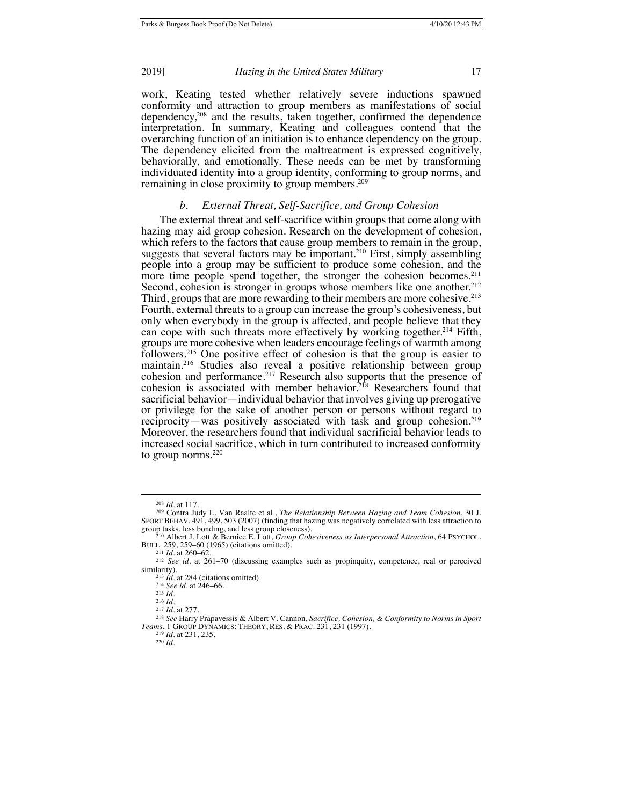work, Keating tested whether relatively severe inductions spawned conformity and attraction to group members as manifestations of social dependency,208 and the results, taken together, confirmed the dependence interpretation. In summary, Keating and colleagues contend that the overarching function of an initiation is to enhance dependency on the group. The dependency elicited from the maltreatment is expressed cognitively, behaviorally, and emotionally. These needs can be met by transforming individuated identity into a group identity, conforming to group norms, and remaining in close proximity to group members.<sup>209</sup>

#### *b. External Threat, Self-Sacrifice, and Group Cohesion*

The external threat and self-sacrifice within groups that come along with hazing may aid group cohesion. Research on the development of cohesion, which refers to the factors that cause group members to remain in the group, suggests that several factors may be important.<sup>210</sup> First, simply assembling people into a group may be sufficient to produce some cohesion, and the more time people spend together, the stronger the cohesion becomes.211 Second, cohesion is stronger in groups whose members like one another.<sup>212</sup> Third, groups that are more rewarding to their members are more cohesive.<sup>213</sup> Fourth, external threats to a group can increase the group's cohesiveness, but only when everybody in the group is affected, and people believe that they can cope with such threats more effectively by working together.<sup>214</sup> Fifth, groups are more cohesive when leaders encourage feelings of warmth among followers.215 One positive effect of cohesion is that the group is easier to maintain.216 Studies also reveal a positive relationship between group cohesion and performance.<sup>217</sup> Research also supports that the presence of cohesion is associated with member behavior.<sup>218</sup> Researchers found that sacrificial behavior—individual behavior that involves giving up prerogative or privilege for the sake of another person or persons without regard to reciprocity—was positively associated with task and group cohesion.<sup>219</sup> Moreover, the researchers found that individual sacrificial behavior leads to increased social sacrifice, which in turn contributed to increased conformity to group norms.<sup>220</sup>

<sup>219</sup> *Id.* at 231, 235.

<sup>220</sup> *Id.*

<sup>208</sup> *Id.* at 117.

<sup>209</sup> Contra Judy L. Van Raalte et al., *The Relationship Between Hazing and Team Cohesion*, 30 J. SPORT BEHAV. 491, 499, 503 (2007) (finding that hazing was negatively correlated with less attraction to group tasks, less bonding, and less group closeness).

<sup>210</sup> Albert J. Lott & Bernice E. Lott, *Group Cohesiveness as Interpersonal Attraction*, 64 PSYCHOL. BULL. 259, 259–60 (1965) (citations omitted).

 $^{211}$  *Id.* at 260–62

<sup>&</sup>lt;sup>212</sup> *See id.* at 261-70 (discussing examples such as propinquity, competence, real or perceived similarity).<br><sup>213</sup> *Id*. at 284 (citations omitted).

<sup>214</sup> *See id.* at 246–66.

<sup>215</sup> *Id.* <sup>216</sup> *Id.*

<sup>217</sup> *Id.* at 277.

<sup>218</sup> *See* Harry Prapavessis & Albert V. Cannon, *Sacrifice, Cohesion, & Conformity to Norms in Sport Teams*, 1 GROUP DYNAMICS: THEORY, RES. & PRAC. 231, 231 (1997).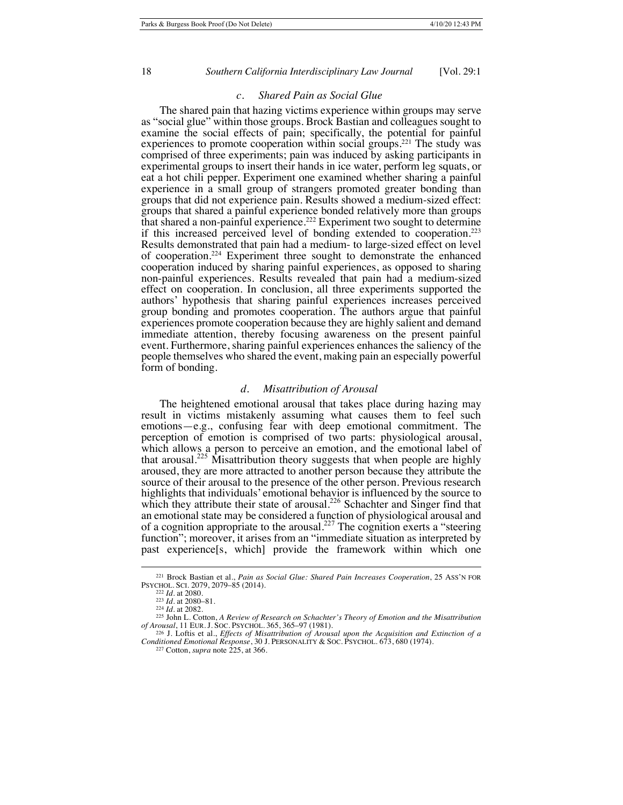# *c. Shared Pain as Social Glue*

The shared pain that hazing victims experience within groups may serve as "social glue" within those groups. Brock Bastian and colleagues sought to examine the social effects of pain; specifically, the potential for painful experiences to promote cooperation within social groups.<sup>221</sup> The study was comprised of three experiments; pain was induced by asking participants in experimental groups to insert their hands in ice water, perform leg squats, or eat a hot chili pepper. Experiment one examined whether sharing a painful experience in a small group of strangers promoted greater bonding than groups that did not experience pain. Results showed a medium-sized effect: groups that shared a painful experience bonded relatively more than groups that shared a non-painful experience.<sup>222</sup> Experiment two sought to determine if this increased perceived level of bonding extended to cooperation.223 Results demonstrated that pain had a medium- to large-sized effect on level of cooperation.224 Experiment three sought to demonstrate the enhanced cooperation induced by sharing painful experiences, as opposed to sharing non-painful experiences. Results revealed that pain had a medium-sized effect on cooperation. In conclusion, all three experiments supported the authors' hypothesis that sharing painful experiences increases perceived group bonding and promotes cooperation. The authors argue that painful experiences promote cooperation because they are highly salient and demand immediate attention, thereby focusing awareness on the present painful event. Furthermore, sharing painful experiences enhances the saliency of the people themselves who shared the event, making pain an especially powerful form of bonding.

# *d. Misattribution of Arousal*

The heightened emotional arousal that takes place during hazing may result in victims mistakenly assuming what causes them to feel such emotions—e.g., confusing fear with deep emotional commitment. The perception of emotion is comprised of two parts: physiological arousal, which allows a person to perceive an emotion, and the emotional label of that arousal.<sup>225</sup> Misattribution theory suggests that when people are highly aroused, they are more attracted to another person because they attribute the source of their arousal to the presence of the other person. Previous research highlights that individuals' emotional behavior is influenced by the source to which they attribute their state of arousal.<sup>226</sup> Schachter and Singer find that an emotional state may be considered a function of physiological arousal and of a cognition appropriate to the arousal.<sup>227</sup> The cognition exerts a "steering" function"; moreover, it arises from an "immediate situation as interpreted by past experience[s, which] provide the framework within which one

<sup>221</sup> Brock Bastian et al., *Pain as Social Glue: Shared Pain Increases Cooperation*, 25 ASS'N FOR PSYCHOL. SCI. 2079, 2079–85 (2014).

<sup>222</sup> *Id.* at 2080. <sup>223</sup> *Id.* at 2080–81.

<sup>224</sup> *Id.* at 2082.

<sup>225</sup> John L. Cotton, *A Review of Research on Schachter's Theory of Emotion and the Misattribution of Arousal*, 11 EUR. J. SOC. PSYCHOL. 365, 365–97 (1981).

<sup>226</sup> J. Loftis et al., *Effects of Misattribution of Arousal upon the Acquisition and Extinction of a Conditioned Emotional Response*, 30 J. PERSONALITY & SOC. PSYCHOL. 673, 680 (1974). 227 Cotton, *supra* note 225, at 366.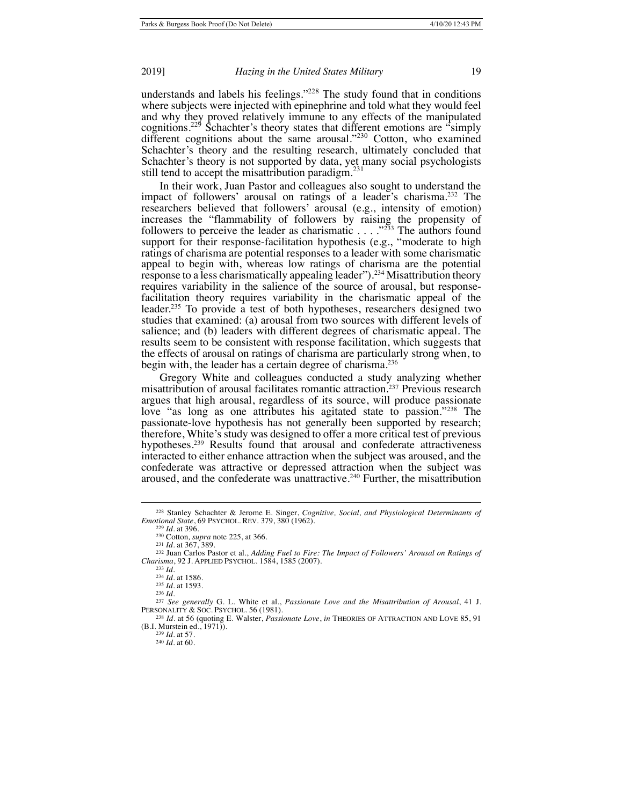understands and labels his feelings." $228$  The study found that in conditions where subjects were injected with epinephrine and told what they would feel and why they proved relatively immune to any effects of the manipulated cognitions.<sup>229</sup> Schachter's theory states that different emotions are "simply different cognitions about the same arousal."<sup>230</sup> Cotton, who examined Schachter's theory and the resulting research, ultimately concluded that Schachter's theory is not supported by data, yet many social psychologists still tend to accept the misattribution paradigm.<sup>2</sup>

In their work, Juan Pastor and colleagues also sought to understand the impact of followers' arousal on ratings of a leader's charisma.232 The researchers believed that followers' arousal (e.g., intensity of emotion) increases the "flammability of followers by raising the propensity of followers to perceive the leader as charismatic . . . ."233 The authors found support for their response-facilitation hypothesis (e.g., "moderate to high ratings of charisma are potential responses to a leader with some charismatic appeal to begin with, whereas low ratings of charisma are the potential response to a less charismatically appealing leader").<sup>234</sup> Misattribution theory requires variability in the salience of the source of arousal, but responsefacilitation theory requires variability in the charismatic appeal of the leader.235 To provide a test of both hypotheses, researchers designed two studies that examined: (a) arousal from two sources with different levels of salience; and (b) leaders with different degrees of charismatic appeal. The results seem to be consistent with response facilitation, which suggests that the effects of arousal on ratings of charisma are particularly strong when, to begin with, the leader has a certain degree of charisma.<sup>236</sup>

Gregory White and colleagues conducted a study analyzing whether misattribution of arousal facilitates romantic attraction.237 Previous research argues that high arousal, regardless of its source, will produce passionate love "as long as one attributes his agitated state to passion."<sup>238</sup> The passionate-love hypothesis has not generally been supported by research; therefore, White's study was designed to offer a more critical test of previous hypotheses.239 Results found that arousal and confederate attractiveness interacted to either enhance attraction when the subject was aroused, and the confederate was attractive or depressed attraction when the subject was aroused, and the confederate was unattractive.<sup>240</sup> Further, the misattribution

<sup>239</sup> *Id.* at 57. <sup>240</sup> *Id.* at 60.

<sup>228</sup> Stanley Schachter & Jerome E. Singer, *Cognitive, Social, and Physiological Determinants of Emotional State*, 69 PSYCHOL. REV. 379, 380 (1962).

<sup>229</sup> *Id.* at 396.

<sup>230</sup> Cotton*, supra* note 225, at 366.

<sup>231</sup> *Id.* at 367, 389.

<sup>232</sup> Juan Carlos Pastor et al., *Adding Fuel to Fire: The Impact of Followers' Arousal on Ratings of Charisma*, 92 J. APPLIED PSYCHOL. 1584, 1585 (2007).

<sup>233</sup> *Id.*

<sup>234</sup> *Id.* at 1586.

<sup>235</sup> *Id.* at 1593.

<sup>236</sup> *Id.*

<sup>&</sup>lt;sup>237</sup> *See generally* G. L. White et al., *Passionate Love and the Misattribution of Arousal*, 41 J. **PERSONALITY** & SOC. PSYCHOL. 56 (1981).

<sup>&</sup>lt;sup>238</sup> *Id.* at 56 (quoting E. Walster, *Passionate Love*, *in* THEORIES OF ATTRACTION AND LOVE 85, 91  $(B.I.$  Murstein ed.,  $1971$ ).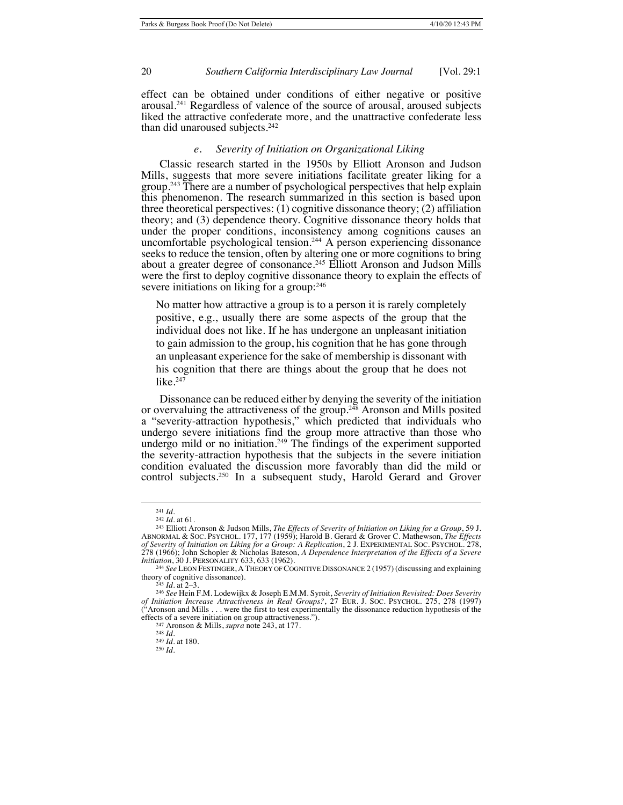effect can be obtained under conditions of either negative or positive arousal.241 Regardless of valence of the source of arousal, aroused subjects liked the attractive confederate more, and the unattractive confederate less than did unaroused subjects.<sup>242</sup>

# *e. Severity of Initiation on Organizational Liking*

Classic research started in the 1950s by Elliott Aronson and Judson Mills, suggests that more severe initiations facilitate greater liking for a group.<sup>243</sup> There are a number of psychological perspectives that help explain this phenomenon. The research summarized in this section is based upon three theoretical perspectives: (1) cognitive dissonance theory; (2) affiliation theory; and (3) dependence theory. Cognitive dissonance theory holds that under the proper conditions, inconsistency among cognitions causes an uncomfortable psychological tension.<sup>244</sup> A person experiencing dissonance seeks to reduce the tension, often by altering one or more cognitions to bring about a greater degree of consonance.<sup>245</sup> Elliott Aronson and Judson Mills were the first to deploy cognitive dissonance theory to explain the effects of severe initiations on liking for a group:<sup>246</sup>

No matter how attractive a group is to a person it is rarely completely positive, e.g., usually there are some aspects of the group that the individual does not like. If he has undergone an unpleasant initiation to gain admission to the group, his cognition that he has gone through an unpleasant experience for the sake of membership is dissonant with his cognition that there are things about the group that he does not like. $247$ 

Dissonance can be reduced either by denying the severity of the initiation or overvaluing the attractiveness of the group.<sup>248</sup> Aronson and Mills posited a "severity-attraction hypothesis," which predicted that individuals who undergo severe initiations find the group more attractive than those who undergo mild or no initiation.<sup>249</sup> The findings of the experiment supported the severity-attraction hypothesis that the subjects in the severe initiation condition evaluated the discussion more favorably than did the mild or control subjects.<sup>250</sup> In a subsequent study, Harold Gerard and Grover

<sup>241</sup> *Id.* <sup>242</sup> *Id.* at 61.

<sup>243</sup> Elliott Aronson & Judson Mills, *The Effects of Severity of Initiation on Liking for a Group*, 59 J. ABNORMAL & SOC. PSYCHOL. 177, 177 (1959); Harold B. Gerard & Grover C. Mathewson, *The Effects of Severity of Initiation on Liking for a Group: A Replication*, 2 J. EXPERIMENTAL SOC. PSYCHOL. 278, 278 (1966); John Schopler & Nicholas Bateson, *A Dependence Interpretation of the Effects of a Severe Initiation*, 30 J. PERSONALITY 633, 633 (1962).

<sup>244</sup> *See* LEON FESTINGER, A THEORY OF COGNITIVE DISSONANCE 2 (1957) (discussing and explaining theory of cognitive dissonance).

 $^{245}$  *Id.* at 2–3.

<sup>246</sup> *See* Hein F.M. Lodewijkx & Joseph E.M.M. Syroit, *Severity of Initiation Revisited: Does Severity of Initiation Increase Attractiveness in Real Groups?*, 27 EUR. J. SOC. PSYCHOL. 275, 278 (1997) ("Aronson and Mills . . . were the first to test experimentally the dissonance reduction hypothesis of the effects of a severe initiation on group attractiveness.").

<sup>247</sup> Aronson & Mills, *supra* note 243, at 177.

<sup>248</sup> *Id.*

<sup>249</sup> *Id.* at 180. <sup>250</sup> *Id.*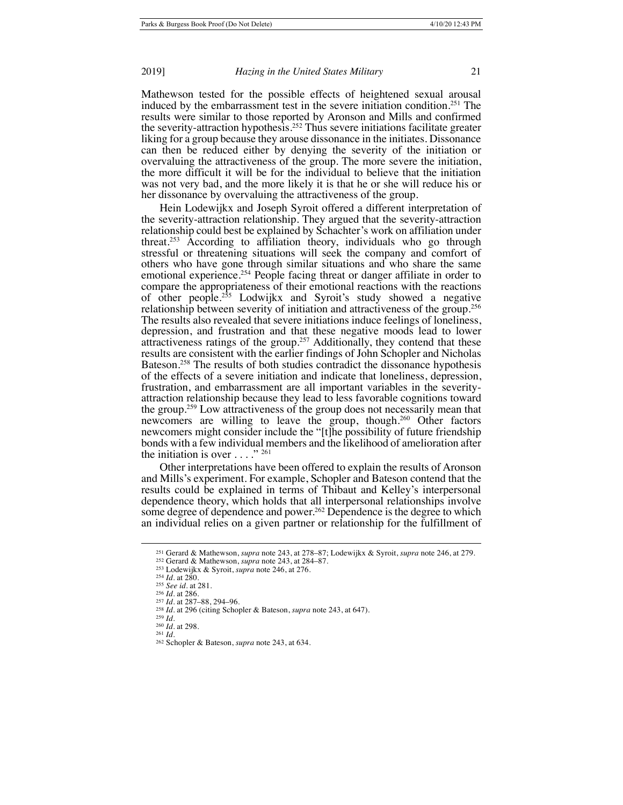Mathewson tested for the possible effects of heightened sexual arousal induced by the embarrassment test in the severe initiation condition.251 The results were similar to those reported by Aronson and Mills and confirmed the severity-attraction hypothesis.252 Thus severe initiations facilitate greater liking for a group because they arouse dissonance in the initiates. Dissonance can then be reduced either by denying the severity of the initiation or overvaluing the attractiveness of the group. The more severe the initiation, the more difficult it will be for the individual to believe that the initiation was not very bad, and the more likely it is that he or she will reduce his or her dissonance by overvaluing the attractiveness of the group.

Hein Lodewijkx and Joseph Syroit offered a different interpretation of the severity-attraction relationship. They argued that the severity-attraction relationship could best be explained by Schachter's work on affiliation under threat.253 According to affiliation theory, individuals who go through stressful or threatening situations will seek the company and comfort of others who have gone through similar situations and who share the same emotional experience.<sup>254</sup> People facing threat or danger affiliate in order to compare the appropriateness of their emotional reactions with the reactions of other people.255 Lodwijkx and Syroit's study showed a negative relationship between severity of initiation and attractiveness of the group.256 The results also revealed that severe initiations induce feelings of loneliness, depression, and frustration and that these negative moods lead to lower attractiveness ratings of the group.<sup>257</sup> Additionally, they contend that these results are consistent with the earlier findings of John Schopler and Nicholas Bateson.258 The results of both studies contradict the dissonance hypothesis of the effects of a severe initiation and indicate that loneliness, depression, frustration, and embarrassment are all important variables in the severityattraction relationship because they lead to less favorable cognitions toward the group.259 Low attractiveness of the group does not necessarily mean that newcomers are willing to leave the group, though.<sup>260</sup> Other factors newcomers might consider include the "[t]he possibility of future friendship bonds with a few individual members and the likelihood of amelioration after the initiation is over  $\dots$ ."<sup>261</sup>

Other interpretations have been offered to explain the results of Aronson and Mills's experiment. For example, Schopler and Bateson contend that the results could be explained in terms of Thibaut and Kelley's interpersonal dependence theory, which holds that all interpersonal relationships involve some degree of dependence and power.<sup>262</sup> Dependence is the degree to which an individual relies on a given partner or relationship for the fulfillment of

<sup>251</sup> Gerard & Mathewson, *supra* note 243, at 278–87; Lodewijkx & Syroit, *supra* note 246, at 279.

<sup>252</sup> Gerard & Mathewson, *supra* note 243, at 284–87.

<sup>253</sup> Lodewijkx & Syroit, *supra* note 246, at 276.

 $254$  *Id.* at  $280$ .

<sup>255</sup> *See id.* at 281.

<sup>256</sup> *Id.* at 286.

<sup>257</sup> *Id.* at 287–88, 294–96.

<sup>258</sup> *Id.* at 296 (citing Schopler & Bateson, *supra* note 243, at 647).

<sup>259</sup> *Id.*

<sup>260</sup> *Id.* at 298.

 $^{261}$  *Id.* 

<sup>262</sup> Schopler & Bateson, *supra* note 243, at 634.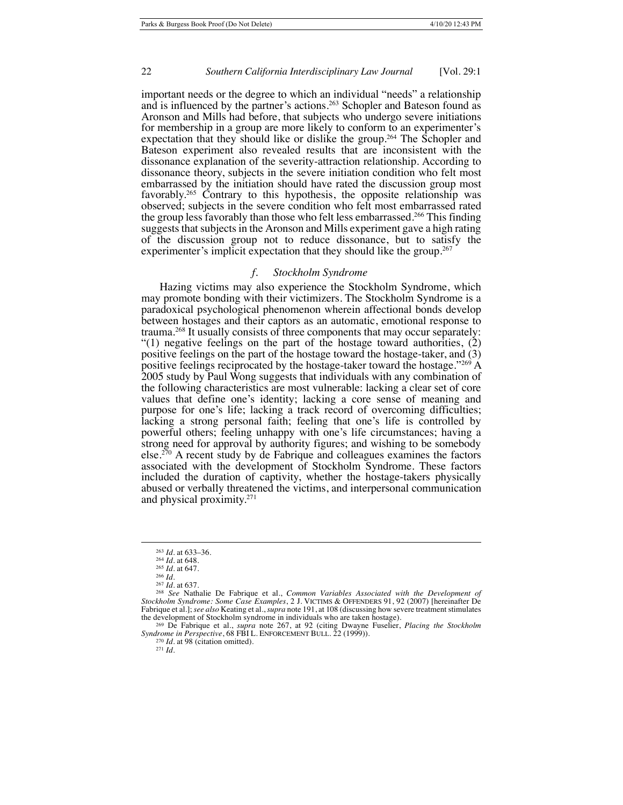important needs or the degree to which an individual "needs" a relationship and is influenced by the partner's actions.<sup>263</sup> Schopler and Bateson found as Aronson and Mills had before, that subjects who undergo severe initiations for membership in a group are more likely to conform to an experimenter's expectation that they should like or dislike the group.<sup>264</sup> The Schopler and Bateson experiment also revealed results that are inconsistent with the dissonance explanation of the severity-attraction relationship. According to dissonance theory, subjects in the severe initiation condition who felt most embarrassed by the initiation should have rated the discussion group most favorably.<sup>265</sup> Contrary to this hypothesis, the opposite relationship was observed; subjects in the severe condition who felt most embarrassed rated the group less favorably than those who felt less embarrassed.<sup>266</sup> This finding suggests that subjects in the Aronson and Mills experiment gave a high rating of the discussion group not to reduce dissonance, but to satisfy the experimenter's implicit expectation that they should like the group.<sup>267</sup>

# *f. Stockholm Syndrome*

Hazing victims may also experience the Stockholm Syndrome, which may promote bonding with their victimizers. The Stockholm Syndrome is a paradoxical psychological phenomenon wherein affectional bonds develop between hostages and their captors as an automatic, emotional response to trauma.268 It usually consists of three components that may occur separately: "(1) negative feelings on the part of the hostage toward authorities,  $(2)$ positive feelings on the part of the hostage toward the hostage-taker, and (3) positive feelings reciprocated by the hostage-taker toward the hostage."269 A 2005 study by Paul Wong suggests that individuals with any combination of the following characteristics are most vulnerable: lacking a clear set of core values that define one's identity; lacking a core sense of meaning and purpose for one's life; lacking a track record of overcoming difficulties; lacking a strong personal faith; feeling that one's life is controlled by powerful others; feeling unhappy with one's life circumstances; having a strong need for approval by authority figures; and wishing to be somebody  $else.270$  A recent study by de Fabrique and colleagues examines the factors associated with the development of Stockholm Syndrome. These factors included the duration of captivity, whether the hostage-takers physically abused or verbally threatened the victims, and interpersonal communication and physical proximity.271

<sup>263</sup> *Id.* at 633–36.

<sup>264</sup> *Id.* at 648. <sup>265</sup> *Id.* at 647.

<sup>266</sup> *Id.*

<sup>267</sup> *Id.* at 637.

<sup>268</sup> *See* Nathalie De Fabrique et al., *Common Variables Associated with the Development of Stockholm Syndrome: Some Case Examples*, 2 J. VICTIMS & OFFENDERS 91, 92 (2007) [hereinafter De Fabrique et al.]; *see also* Keating et al., *supra* note 191, at 108 (discussing how severe treatment stimulates the development of Stockholm syndrome in individuals who are taken hostage).

<sup>269</sup> De Fabrique et al., *supra* note 267, at 92 (citing Dwayne Fuselier, *Placing the Stockholm Syndrome in Perspective*, 68 FBI L. ENFORCEMENT BULL. 22 (1999)).

<sup>270</sup> *Id.* at 98 (citation omitted). <sup>271</sup> *Id*.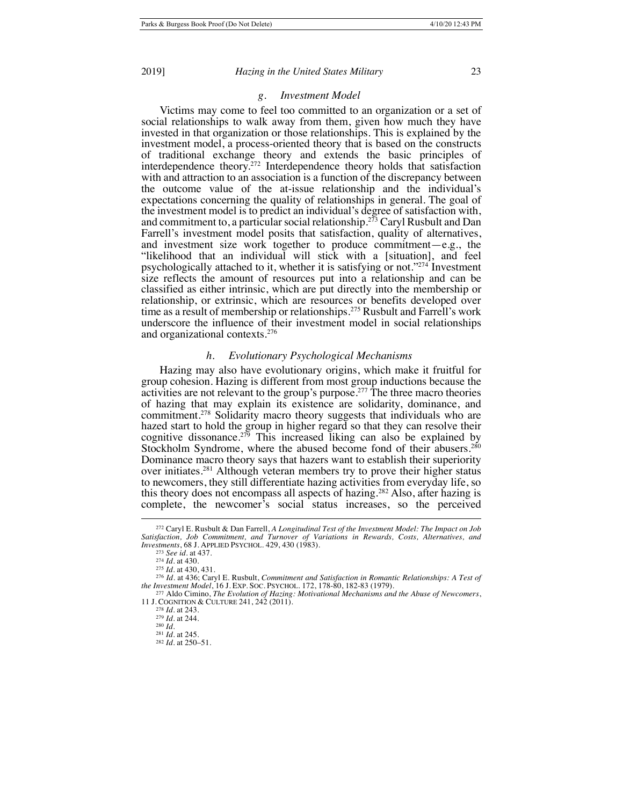# *g. Investment Model*

Victims may come to feel too committed to an organization or a set of social relationships to walk away from them, given how much they have invested in that organization or those relationships. This is explained by the investment model, a process-oriented theory that is based on the constructs of traditional exchange theory and extends the basic principles of interdependence theory.272 Interdependence theory holds that satisfaction with and attraction to an association is a function of the discrepancy between the outcome value of the at-issue relationship and the individual's expectations concerning the quality of relationships in general. The goal of the investment model is to predict an individual's degree of satisfaction with, and commitment to, a particular social relationship.<sup>273</sup> Caryl Rusbult and Dan Farrell's investment model posits that satisfaction, quality of alternatives, and investment size work together to produce commitment—e.g., the "likelihood that an individual will stick with a [situation], and feel psychologically attached to it, whether it is satisfying or not."274 Investment size reflects the amount of resources put into a relationship and can be classified as either intrinsic, which are put directly into the membership or relationship, or extrinsic, which are resources or benefits developed over time as a result of membership or relationships.275 Rusbult and Farrell's work underscore the influence of their investment model in social relationships and organizational contexts.276

# *h. Evolutionary Psychological Mechanisms*

Hazing may also have evolutionary origins, which make it fruitful for group cohesion. Hazing is different from most group inductions because the activities are not relevant to the group's purpose.<sup>277</sup> The three macro theories of hazing that may explain its existence are solidarity, dominance, and commitment.278 Solidarity macro theory suggests that individuals who are hazed start to hold the group in higher regard so that they can resolve their cognitive dissonance.<sup>279</sup> This increased liking can also be explained by Stockholm Syndrome, where the abused become fond of their abusers.<sup>280</sup> Dominance macro theory says that hazers want to establish their superiority over initiates.281 Although veteran members try to prove their higher status to newcomers, they still differentiate hazing activities from everyday life, so this theory does not encompass all aspects of hazing.282 Also, after hazing is complete, the newcomer's social status increases, so the perceived

<sup>272</sup> Caryl E. Rusbult & Dan Farrell, *A Longitudinal Test of the Investment Model: The Impact on Job Satisfaction, Job Commitment, and Turnover of Variations in Rewards, Costs, Alternatives, and Investments*, 68 J. APPLIED PSYCHOL. 429, 430 (1983).

<sup>273</sup> *See id.* at 437. <sup>274</sup> *Id.* at 430.

<sup>275</sup> *Id.* at 430, 431.

<sup>276</sup> *Id.* at 436; Caryl E. Rusbult, *Commitment and Satisfaction in Romantic Relationships: A Test of the Investment Model*, 16 J. EXP. SOC. PSYCHOL. 172, 178-80, 182-83 (1979).

<sup>277</sup> Aldo Cimino, *The Evolution of Hazing: Motivational Mechanisms and the Abuse of Newcomers*, 11 J. COGNITION & CULTURE 241, 242 (2011).

<sup>278</sup> *Id*. at 243.

<sup>279</sup> *Id*. at 244. 280 *Id*.

<sup>281</sup> *Id*. at 245. <sup>282</sup> *Id*. at 250–51.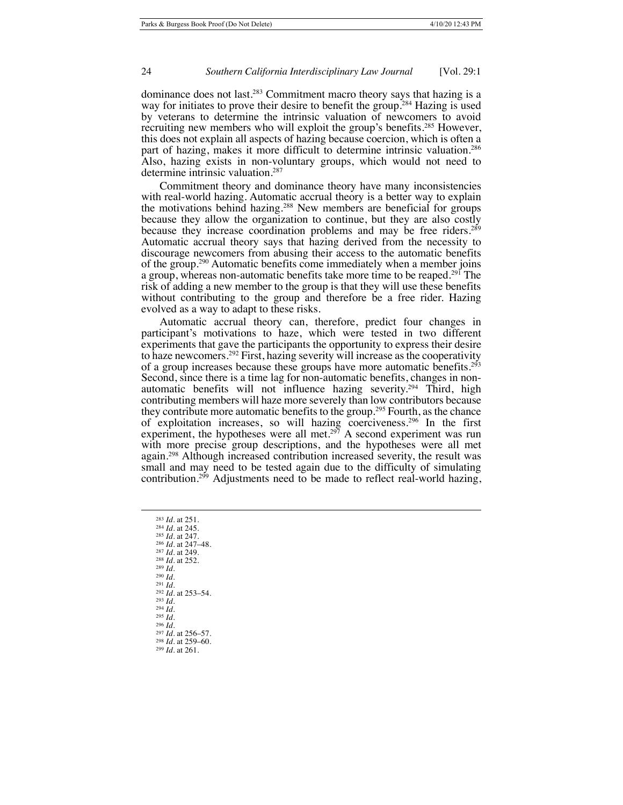dominance does not last.<sup>283</sup> Commitment macro theory says that hazing is a way for initiates to prove their desire to benefit the group.<sup>284</sup> Hazing is used by veterans to determine the intrinsic valuation of newcomers to avoid recruiting new members who will exploit the group's benefits.<sup>285</sup> However, this does not explain all aspects of hazing because coercion, which is often a part of hazing, makes it more difficult to determine intrinsic valuation.<sup>286</sup> Also, hazing exists in non-voluntary groups, which would not need to determine intrinsic valuation.<sup>287</sup>

Commitment theory and dominance theory have many inconsistencies with real-world hazing. Automatic accrual theory is a better way to explain the motivations behind hazing.<sup>288</sup> New members are beneficial for groups because they allow the organization to continue, but they are also costly because they increase coordination problems and may be free riders.<sup>289</sup> Automatic accrual theory says that hazing derived from the necessity to discourage newcomers from abusing their access to the automatic benefits of the group.290 Automatic benefits come immediately when a member joins a group, whereas non-automatic benefits take more time to be reaped.<sup>291</sup> The risk of adding a new member to the group is that they will use these benefits without contributing to the group and therefore be a free rider. Hazing evolved as a way to adapt to these risks.

Automatic accrual theory can, therefore, predict four changes in participant's motivations to haze, which were tested in two different experiments that gave the participants the opportunity to express their desire to haze newcomers.292 First, hazing severity will increase as the cooperativity of a group increases because these groups have more automatic benefits.<sup>293</sup> Second, since there is a time lag for non-automatic benefits, changes in nonautomatic benefits will not influence hazing severity.<sup>294</sup> Third, high contributing members will haze more severely than low contributors because they contribute more automatic benefits to the group.295 Fourth, as the chance of exploitation increases, so will hazing coerciveness.296 In the first experiment, the hypotheses were all met.<sup>297</sup> A second experiment was run with more precise group descriptions, and the hypotheses were all met again.298 Although increased contribution increased severity, the result was small and may need to be tested again due to the difficulty of simulating contribution.<sup>299</sup> Adjustments need to be made to reflect real-world hazing,

 *Id*. at 251. *Id*. at 245. *Id*. at 247. *Id*. at 247–48. 287 *Id*. at 249. *Id*. at 252. 289 *Id*. 290 *Id*. *Id*. 292 *Id*. at 253–54. <sup>293</sup> *Id*. <sup>294</sup> *Id*. <sup>295</sup> *Id*. <sup>297</sup> *Id*. at 256–57. *Id*. at 259–60. *Id*. at 261.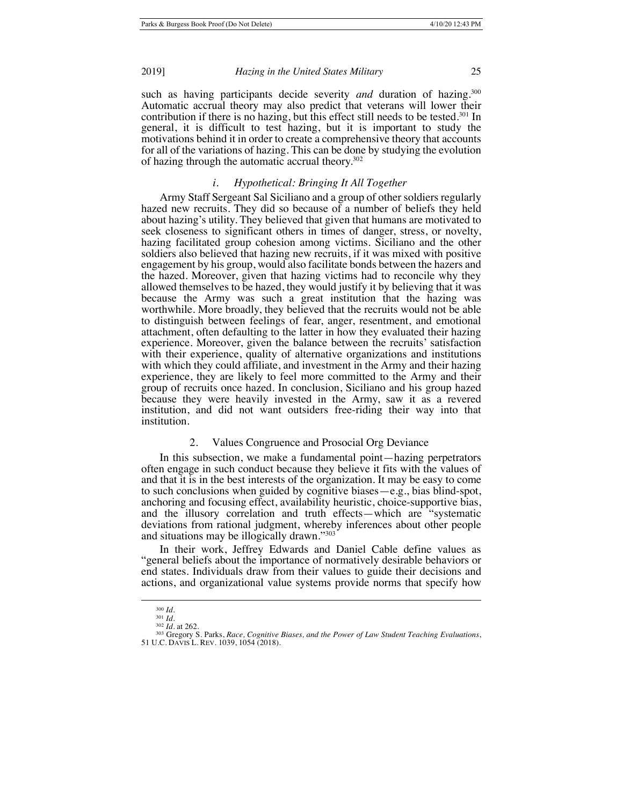such as having participants decide severity and duration of hazing.<sup>300</sup> Automatic accrual theory may also predict that veterans will lower their contribution if there is no hazing, but this effect still needs to be tested.<sup>301</sup> In general, it is difficult to test hazing, but it is important to study the motivations behind it in order to create a comprehensive theory that accounts for all of the variations of hazing. This can be done by studying the evolution of hazing through the automatic accrual theory.<sup>302</sup>

# *i. Hypothetical: Bringing It All Together*

Army Staff Sergeant Sal Siciliano and a group of other soldiers regularly hazed new recruits. They did so because of a number of beliefs they held about hazing's utility. They believed that given that humans are motivated to seek closeness to significant others in times of danger, stress, or novelty, hazing facilitated group cohesion among victims. Siciliano and the other soldiers also believed that hazing new recruits, if it was mixed with positive engagement by his group, would also facilitate bonds between the hazers and the hazed. Moreover, given that hazing victims had to reconcile why they allowed themselves to be hazed, they would justify it by believing that it was because the Army was such a great institution that the hazing was worthwhile. More broadly, they believed that the recruits would not be able to distinguish between feelings of fear, anger, resentment, and emotional attachment, often defaulting to the latter in how they evaluated their hazing experience. Moreover, given the balance between the recruits' satisfaction with their experience, quality of alternative organizations and institutions with which they could affiliate, and investment in the Army and their hazing experience, they are likely to feel more committed to the Army and their group of recruits once hazed. In conclusion, Siciliano and his group hazed because they were heavily invested in the Army, saw it as a revered institution, and did not want outsiders free-riding their way into that institution.

# 2. Values Congruence and Prosocial Org Deviance

In this subsection, we make a fundamental point—hazing perpetrators often engage in such conduct because they believe it fits with the values of and that it is in the best interests of the organization. It may be easy to come to such conclusions when guided by cognitive biases—e.g., bias blind-spot, anchoring and focusing effect, availability heuristic, choice-supportive bias, and the illusory correlation and truth effects—which are "systematic deviations from rational judgment, whereby inferences about other people and situations may be illogically drawn."303

In their work, Jeffrey Edwards and Daniel Cable define values as "general beliefs about the importance of normatively desirable behaviors or end states. Individuals draw from their values to guide their decisions and actions, and organizational value systems provide norms that specify how

<sup>300</sup> *Id*. 301 *Id*.

<sup>&</sup>lt;sup>303</sup> Gregory S. Parks, *Race, Cognitive Biases, and the Power of Law Student Teaching Evaluations*, 51 U.C. DAVIS L. REV. 1039, 1054 (2018).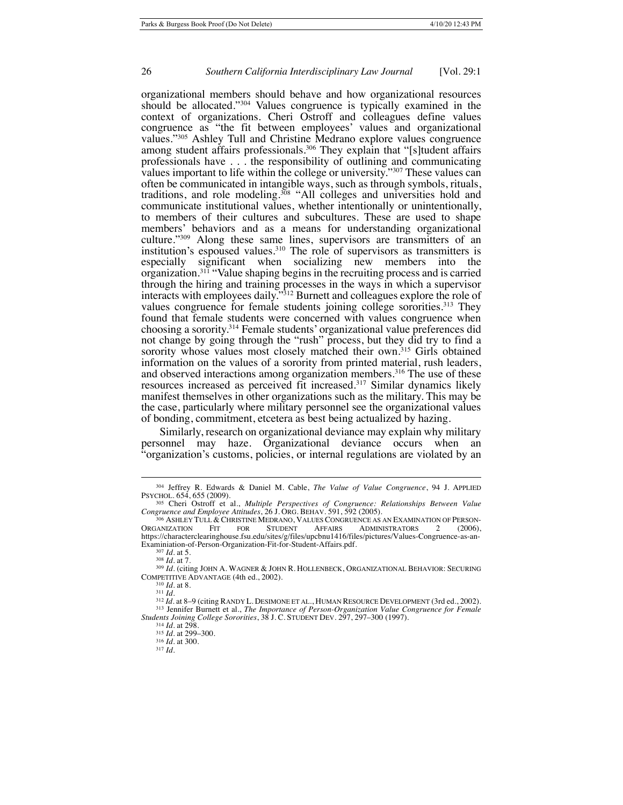organizational members should behave and how organizational resources should be allocated."304 Values congruence is typically examined in the context of organizations. Cheri Ostroff and colleagues define values congruence as "the fit between employees' values and organizational values."305 Ashley Tull and Christine Medrano explore values congruence among student affairs professionals.<sup>306</sup> They explain that "[s]tudent affairs professionals have . . . the responsibility of outlining and communicating values important to life within the college or university."<sup>307</sup> These values can often be communicated in intangible ways, such as through symbols, rituals, traditions, and role modeling.<sup>308</sup> "All colleges and universities hold and communicate institutional values, whether intentionally or unintentionally, to members of their cultures and subcultures. These are used to shape members' behaviors and as a means for understanding organizational culture."309 Along these same lines, supervisors are transmitters of an institution's espoused values.<sup>310</sup> The role of supervisors as transmitters is especially significant when socializing new members into the organization.311 "Value shaping begins in the recruiting process and is carried through the hiring and training processes in the ways in which a supervisor interacts with employees daily."312 Burnett and colleagues explore the role of values congruence for female students joining college sororities.<sup>313</sup> They found that female students were concerned with values congruence when choosing a sorority.314 Female students' organizational value preferences did not change by going through the "rush" process, but they did try to find a sorority whose values most closely matched their own.<sup>315</sup> Girls obtained information on the values of a sorority from printed material, rush leaders, and observed interactions among organization members.<sup>316</sup> The use of these resources increased as perceived fit increased.317 Similar dynamics likely manifest themselves in other organizations such as the military. This may be the case, particularly where military personnel see the organizational values of bonding, commitment, etcetera as best being actualized by hazing.

Similarly, research on organizational deviance may explain why military personnel may haze. Organizational deviance occurs when an "organization's customs, policies, or internal regulations are violated by an

<sup>304</sup> Jeffrey R. Edwards & Daniel M. Cable, *The Value of Value Congruence*, 94 J. APPLIED

<sup>&</sup>lt;sup>305</sup> Cheri Ostroff et al., *Multiple Perspectives of Congruence: Relationships Between Value Congruence and Employee Attitudes*, 26 J. ORG. BEHAV. 591, 592 (2005).

<sup>&</sup>lt;sup>306</sup> ASHLEY TULL & CHRISTINE MEDRANO, VALUES CONGRUENCE AS AN EXAMINATION OF PERSON-<br>ORGANIZATION FIT FOR STUDENT AFFAIRS ADMINISTRATORS 2 (2006), ORGANIZATION FIT FOR STUDENT AFFAIRS ADMINISTRATORS 2 (2006),<br>https://characterclearinghouse.fsu.edu/sites/g/files/upcbnu1416/files/pictures/Values-Congruence-as-an-<br>Examiniation-of-Person-Organization-Fit-for-Student-Affa

<sup>307</sup> *Id.* at 5. <sup>308</sup> *Id.* at 7.

<sup>309</sup> *Id.* (citing JOHN A. WAGNER & JOHN R. HOLLENBECK, ORGANIZATIONAL BEHAVIOR: SECURING COMPETITIVE ADVANTAGE (4th ed., 2002).

<sup>310</sup> *Id.* at 8.

<sup>311</sup> *Id.*

<sup>312</sup> *Id.* at 8–9 (citing RANDY L. DESIMONE ET AL., HUMAN RESOURCE DEVELOPMENT (3rd ed., 2002). <sup>313</sup> Jennifer Burnett et al., *The Importance of Person-Organization Value Congruence for Female Students Joining College Sororities*, 38 J.C. STUDENT DEV. 297, 297–300 (1997).<br><sup>314</sup> *Id.* at 298.

<sup>315</sup> *Id.* at 299–300.

<sup>316</sup> *Id.* at 300.

<sup>317</sup> *Id.*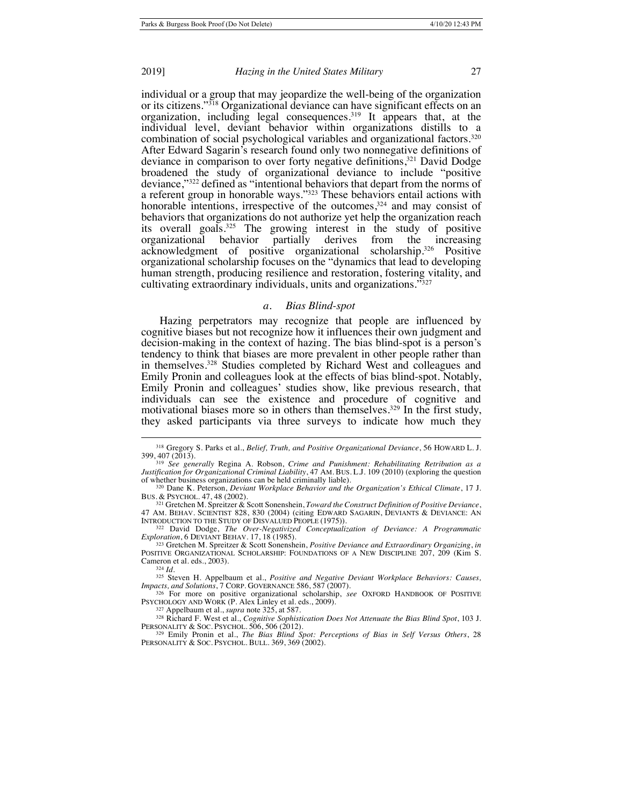individual or a group that may jeopardize the well-being of the organization or its citizens."<sup>318</sup> Organizational deviance can have significant effects on an organization, including legal consequences.<sup>319</sup> It appears that, at the individual level, deviant behavior within organizations distills to a combination of social psychological variables and organizational factors.320 After Edward Sagarin's research found only two nonnegative definitions of deviance in comparison to over forty negative definitions,<sup>321</sup> David Dodge broadened the study of organizational deviance to include "positive deviance,"322 defined as "intentional behaviors that depart from the norms of a referent group in honorable ways."323 These behaviors entail actions with honorable intentions, irrespective of the outcomes,<sup>324</sup> and may consist of behaviors that organizations do not authorize yet help the organization reach its overall goals.<sup>325</sup> The growing interest in the study of positive organizational behavior partially derives from the increasing organizational behavior partially derives from the increasing acknowledgment of positive organizational scholarship.<sup>326</sup> Positive organizational scholarship focuses on the "dynamics that lead to developing human strength, producing resilience and restoration, fostering vitality, and cultivating extraordinary individuals, units and organizations."327

#### *a. Bias Blind-spot*

Hazing perpetrators may recognize that people are influenced by cognitive biases but not recognize how it influences their own judgment and decision-making in the context of hazing. The bias blind-spot is a person's tendency to think that biases are more prevalent in other people rather than in themselves.328 Studies completed by Richard West and colleagues and Emily Pronin and colleagues look at the effects of bias blind-spot. Notably, Emily Pronin and colleagues' studies show, like previous research, that individuals can see the existence and procedure of cognitive and motivational biases more so in others than themselves.<sup>329</sup> In the first study, they asked participants via three surveys to indicate how much they

<sup>322</sup> David Dodge, *The Over-Negativized Conceptualization of Deviance: A Programmatic Exploration*, 6 DEVIANT BEHAV. 17, 18 (1985).

<sup>323</sup> Gretchen M. Spreitzer & Scott Sonenshein, *Positive Deviance and Extraordinary Organizing*, *in* POSITIVE ORGANIZATIONAL SCHOLARSHIP: FOUNDATIONS OF A NEW DISCIPLINE 207, 209 (Kim S. Cameron et al. eds., 2003).<br> $\frac{324 \text{ Id}}{1}$ .

<sup>325</sup> Steven H. Appelbaum et al., *Positive and Negative Deviant Workplace Behaviors: Causes*, *Impacts, and Solutions*, 7 CORP. GOVERNANCE 586, 587 (2007).

<sup>326</sup> For more on positive organizational scholarship, *see* OXFORD HANDBOOK OF POSITIVE PSYCHOLOGY AND WORK (P. Alex Linley et al. eds., 2009).

<sup>327</sup> Appelbaum et al., *supra* note 325, at 587.

<sup>318</sup> Gregory S. Parks et al., *Belief, Truth, and Positive Organizational Deviance*, 56 HOWARD L. J.

<sup>399, 407 (2013). 319</sup> *See generally* Regina A. Robson, *Crime and Punishment: Rehabilitating Retribution as a Justification for Organizational Criminal Liability*, 47 AM. BUS. L.J. 109 (2010) (exploring the question of whether business organizations can be held criminally liable).

<sup>320</sup> Dane K. Peterson, *Deviant Workplace Behavior and the Organization's Ethical Climate*, 17 J. BUS. & PSYCHOL. 47, 48 (2002).

<sup>321</sup> Gretchen M. Spreitzer & Scott Sonenshein, *Toward the Construct Definition of Positive Deviance*, 47 AM. BEHAV. SCIENTIST 828, 830 (2004) (citing EDWARD SAGARIN, DEVIANTS & DEVIANCE: AN INTRODUCTION TO THE STUDY OF DISVALUED PEOPLE (1975)).

<sup>&</sup>lt;sup>328</sup> Richard F. West et al., *Cognitive Sophistication Does Not Attenuate the Bias Blind Spot*, 103 J. PERSONALITY & SOC. PSYCHOL. 506, 506 (2012).<br><sup>329</sup> Emily Pronin et al., *The Bias Blind Spot: Perceptions of Bias in* 

PERSONALITY & SOC. PSYCHOL. BULL. 369, 369 (2002).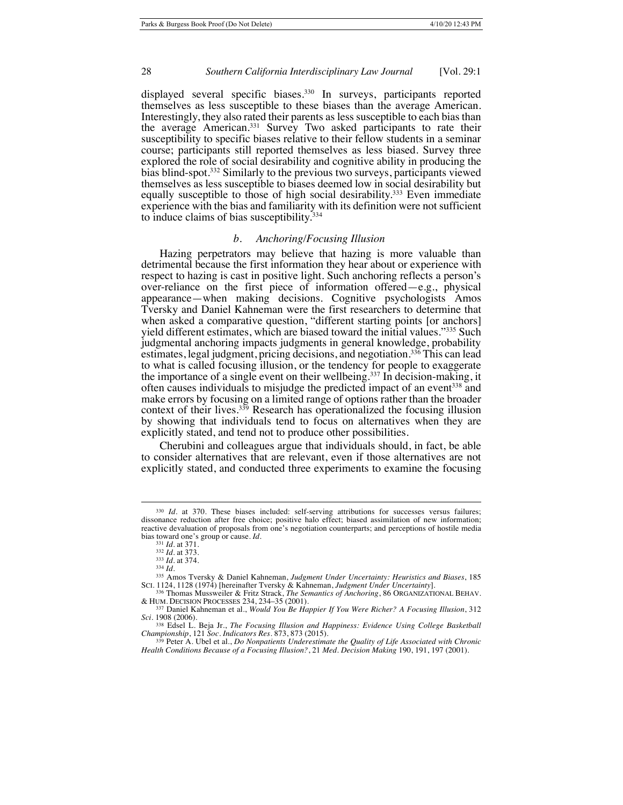displayed several specific biases.330 In surveys, participants reported themselves as less susceptible to these biases than the average American. Interestingly, they also rated their parents as less susceptible to each bias than the average American.331 Survey Two asked participants to rate their susceptibility to specific biases relative to their fellow students in a seminar course; participants still reported themselves as less biased. Survey three explored the role of social desirability and cognitive ability in producing the bias blind-spot.332 Similarly to the previous two surveys, participants viewed themselves as less susceptible to biases deemed low in social desirability but equally susceptible to those of high social desirability.<sup>333</sup> Even immediate experience with the bias and familiarity with its definition were not sufficient to induce claims of bias susceptibility.334

#### *b. Anchoring/Focusing Illusion*

Hazing perpetrators may believe that hazing is more valuable than detrimental because the first information they hear about or experience with respect to hazing is cast in positive light. Such anchoring reflects a person's over-reliance on the first piece of information offered—e.g., physical appearance—when making decisions. Cognitive psychologists Amos Tversky and Daniel Kahneman were the first researchers to determine that when asked a comparative question, "different starting points [or anchors] yield different estimates, which are biased toward the initial values."<sup>335</sup> Such judgmental anchoring impacts judgments in general knowledge, probability estimates, legal judgment, pricing decisions, and negotiation.<sup>336</sup> This can lead to what is called focusing illusion, or the tendency for people to exaggerate the importance of a single event on their wellbeing.337 In decision-making, it often causes individuals to misjudge the predicted impact of an event<sup>338</sup> and make errors by focusing on a limited range of options rather than the broader context of their lives. <sup>339</sup> Research has operationalized the focusing illusion by showing that individuals tend to focus on alternatives when they are explicitly stated, and tend not to produce other possibilities.

Cherubini and colleagues argue that individuals should, in fact, be able to consider alternatives that are relevant, even if those alternatives are not explicitly stated, and conducted three experiments to examine the focusing

<sup>&</sup>lt;sup>330</sup> *Id.* at 370. These biases included: self-serving attributions for successes versus failures; dissonance reduction after free choice; positive halo effect; biased assimilation of new information; reactive devaluation of proposals from one's negotiation counterparts; and perceptions of hostile media bias toward one's group or cause. *Id.*

<sup>331</sup> *Id.* at 371.

<sup>332</sup> *Id.* at 373.

<sup>333</sup> *Id.* at 374. <sup>334</sup> *Id.*

<sup>335</sup> Amos Tversky & Daniel Kahneman, *Judgment Under Uncertainty: Heuristics and Biases*, 185 SCI. 1124, 1128 (1974) [hereinafter Tversky & Kahneman, *Judgment Under Uncertainty*].

<sup>336</sup> Thomas Mussweiler & Fritz Strack, *The Semantics of Anchoring*, 86 ORGANIZATIONAL BEHAV. & HUM. DECISION PROCESSES 234, 234–35 (2001).

<sup>337</sup> Daniel Kahneman et al., *Would You Be Happier If You Were Richer? A Focusing Illusion*, 312 *Sci.* 1908 (2006).

<sup>338</sup> Edsel L. Beja Jr., *The Focusing Illusion and Happiness: Evidence Using College Basketball Championship*, 121 *Soc. Indicators Res.* 873, 873 (2015).

<sup>339</sup> Peter A. Ubel et al., *Do Nonpatients Underestimate the Quality of Life Associated with Chronic Health Conditions Because of a Focusing Illusion?*, 21 *Med. Decision Making* 190, 191, 197 (2001).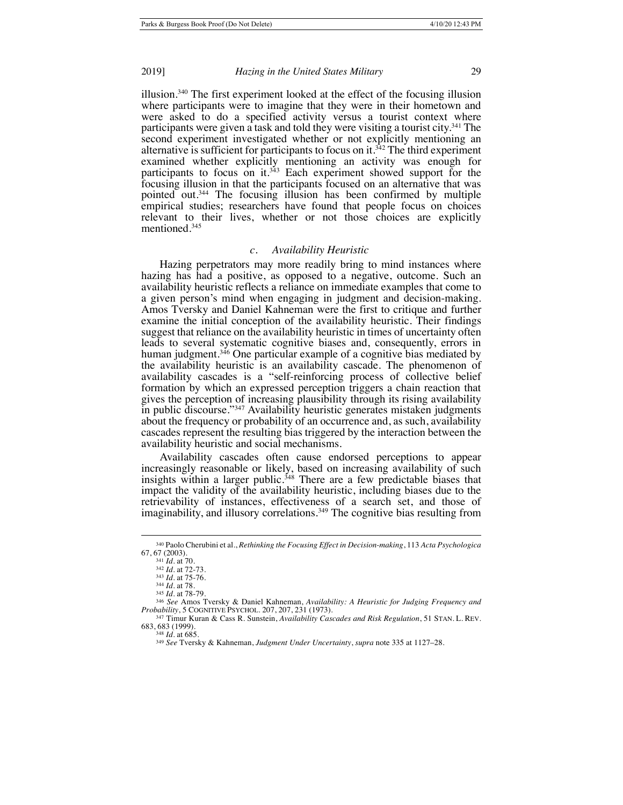illusion.340 The first experiment looked at the effect of the focusing illusion where participants were to imagine that they were in their hometown and were asked to do a specified activity versus a tourist context where participants were given a task and told they were visiting a tourist city.<sup>341</sup> The second experiment investigated whether or not explicitly mentioning an alternative is sufficient for participants to focus on it.<sup>342</sup> The third experiment examined whether explicitly mentioning an activity was enough for participants to focus on it.<sup>343</sup> Each experiment showed support for the focusing illusion in that the participants focused on an alternative that was pointed out.344 The focusing illusion has been confirmed by multiple empirical studies; researchers have found that people focus on choices relevant to their lives, whether or not those choices are explicitly mentioned.345

# *c. Availability Heuristic*

Hazing perpetrators may more readily bring to mind instances where hazing has had a positive, as opposed to a negative, outcome. Such an availability heuristic reflects a reliance on immediate examples that come to a given person's mind when engaging in judgment and decision-making. Amos Tversky and Daniel Kahneman were the first to critique and further examine the initial conception of the availability heuristic. Their findings suggest that reliance on the availability heuristic in times of uncertainty often leads to several systematic cognitive biases and, consequently, errors in human judgment.<sup>346</sup> One particular example of a cognitive bias mediated by the availability heuristic is an availability cascade. The phenomenon of availability cascades is a "self-reinforcing process of collective belief formation by which an expressed perception triggers a chain reaction that gives the perception of increasing plausibility through its rising availability in public discourse."347 Availability heuristic generates mistaken judgments about the frequency or probability of an occurrence and, as such, availability cascades represent the resulting bias triggered by the interaction between the availability heuristic and social mechanisms.

Availability cascades often cause endorsed perceptions to appear increasingly reasonable or likely, based on increasing availability of such insights within a larger public.<sup> $348$ </sup> There are a few predictable biases that impact the validity of the availability heuristic, including biases due to the retrievability of instances, effectiveness of a search set, and those of imaginability, and illusory correlations.<sup>349</sup> The cognitive bias resulting from

<sup>340</sup> Paolo Cherubini et al., *Rethinking the Focusing Effect in Decision-making*, 113 *Acta Psychologica* 67, 67 (2003).

<sup>341</sup> *Id.* at 70.

<sup>342</sup> *Id.* at 72-73. <sup>343</sup> *Id.* at 75-76.

<sup>344</sup> *Id.* at 78.

<sup>345</sup> *Id.* at 78-79.

<sup>346</sup> *See* Amos Tversky & Daniel Kahneman, *Availability: A Heuristic for Judging Frequency and Probability*, 5 COGNITIVE PSYCHOL. 207, 207, 231 (1973).

<sup>347</sup> Timur Kuran & Cass R. Sunstein, *Availability Cascades and Risk Regulation*, 51 STAN. L. REV. 683, 683 (1999). 348 *Id.* at 685.

<sup>349</sup> *See* Tversky & Kahneman, *Judgment Under Uncertainty*, *supra* note 335 at 1127–28.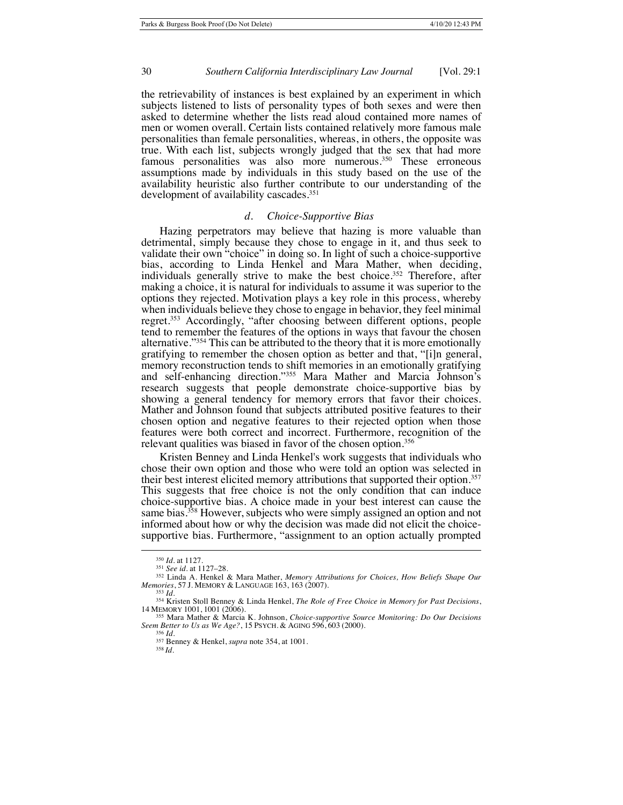the retrievability of instances is best explained by an experiment in which subjects listened to lists of personality types of both sexes and were then asked to determine whether the lists read aloud contained more names of men or women overall. Certain lists contained relatively more famous male personalities than female personalities, whereas, in others, the opposite was true. With each list, subjects wrongly judged that the sex that had more famous personalities was also more numerous.<sup>350</sup> These erroneous assumptions made by individuals in this study based on the use of the availability heuristic also further contribute to our understanding of the development of availability cascades.<sup>351</sup>

#### *d. Choice-Supportive Bias*

Hazing perpetrators may believe that hazing is more valuable than detrimental, simply because they chose to engage in it, and thus seek to validate their own "choice" in doing so. In light of such a choice-supportive bias, according to Linda Henkel and Mara Mather, when deciding, individuals generally strive to make the best choice.<sup>352</sup> Therefore, after making a choice, it is natural for individuals to assume it was superior to the options they rejected. Motivation plays a key role in this process, whereby when individuals believe they chose to engage in behavior, they feel minimal regret.353 Accordingly, "after choosing between different options, people tend to remember the features of the options in ways that favour the chosen alternative."354 This can be attributed to the theory that it is more emotionally gratifying to remember the chosen option as better and that, "[i]n general, memory reconstruction tends to shift memories in an emotionally gratifying and self-enhancing direction."355 Mara Mather and Marcia Johnson's research suggests that people demonstrate choice-supportive bias by showing a general tendency for memory errors that favor their choices. Mather and Johnson found that subjects attributed positive features to their chosen option and negative features to their rejected option when those features were both correct and incorrect. Furthermore, recognition of the relevant qualities was biased in favor of the chosen option.<sup>356</sup>

Kristen Benney and Linda Henkel's work suggests that individuals who chose their own option and those who were told an option was selected in their best interest elicited memory attributions that supported their option.357 This suggests that free choice is not the only condition that can induce choice-supportive bias. A choice made in your best interest can cause the same bias.<sup>358</sup> However, subjects who were simply assigned an option and not informed about how or why the decision was made did not elicit the choicesupportive bias. Furthermore, "assignment to an option actually prompted

<sup>358</sup> *Id.*

<sup>350</sup> *Id.* at 1127.

<sup>351</sup> *See id.* at 1127–28.

<sup>352</sup> Linda A. Henkel & Mara Mather, *Memory Attributions for Choices, How Beliefs Shape Our Memories*, 57 J. MEMORY & LANGUAGE 163, 163 (2007). <sup>353</sup> *Id.*

<sup>354</sup> Kristen Stoll Benney & Linda Henkel, *The Role of Free Choice in Memory for Past Decisions*, 14 MEMORY 1001, 1001 (2006).

<sup>355</sup> Mara Mather & Marcia K. Johnson, *Choice-supportive Source Monitoring: Do Our Decisions Seem Better to Us as We Age?*, 15 PSYCH. & AGING 596, 603 (2000). <sup>356</sup> *Id.* 

<sup>357</sup> Benney & Henkel, *supra* note 354, at 1001.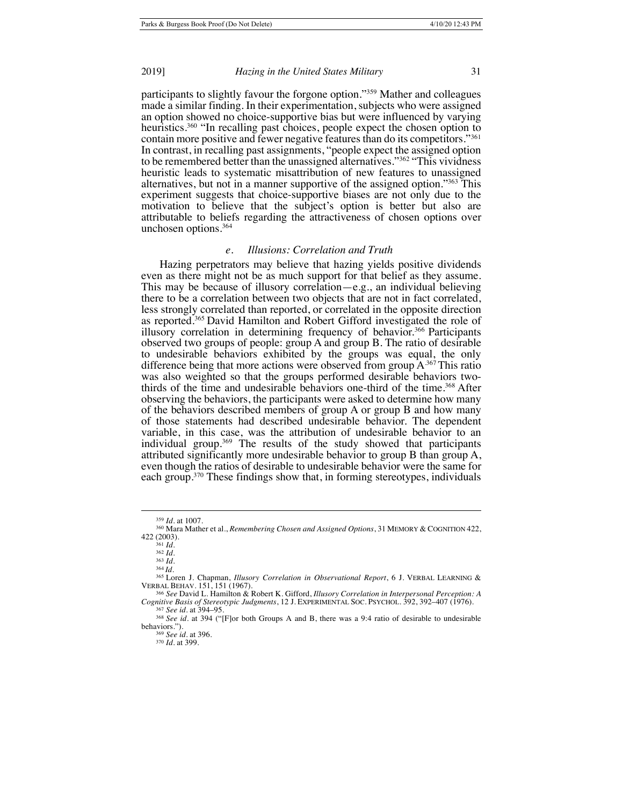participants to slightly favour the forgone option."359 Mather and colleagues made a similar finding. In their experimentation, subjects who were assigned an option showed no choice-supportive bias but were influenced by varying heuristics.<sup>360</sup> "In recalling past choices, people expect the chosen option to contain more positive and fewer negative features than do its competitors."361 In contrast, in recalling past assignments, "people expect the assigned option to be remembered better than the unassigned alternatives."362 "This vividness heuristic leads to systematic misattribution of new features to unassigned alternatives, but not in a manner supportive of the assigned option."363 This experiment suggests that choice-supportive biases are not only due to the motivation to believe that the subject's option is better but also are attributable to beliefs regarding the attractiveness of chosen options over unchosen options.364

# *e. Illusions: Correlation and Truth*

Hazing perpetrators may believe that hazing yields positive dividends even as there might not be as much support for that belief as they assume. This may be because of illusory correlation—e.g., an individual believing there to be a correlation between two objects that are not in fact correlated, less strongly correlated than reported, or correlated in the opposite direction as reported.365 David Hamilton and Robert Gifford investigated the role of illusory correlation in determining frequency of behavior.366 Participants observed two groups of people: group A and group B. The ratio of desirable to undesirable behaviors exhibited by the groups was equal, the only difference being that more actions were observed from group  $A^{367}$  This ratio was also weighted so that the groups performed desirable behaviors two-<br>thirds of the time and undesirable behaviors one-third of the time.<sup>368</sup> After observing the behaviors, the participants were asked to determine how many of the behaviors described members of group A or group B and how many of those statements had described undesirable behavior. The dependent variable, in this case, was the attribution of undesirable behavior to an individual group.<sup>369</sup> The results of the study showed that participants attributed significantly more undesirable behavior to group B than group A, even though the ratios of desirable to undesirable behavior were the same for each group.<sup>370</sup> These findings show that, in forming stereotypes, individuals

<sup>362</sup> *Id.* <sup>363</sup> *Id.*

<sup>370</sup> *Id.* at 399.

<sup>359</sup> *Id.* at 1007.

<sup>360</sup> Mara Mather et al., *Remembering Chosen and Assigned Options*, 31 MEMORY & COGNITION 422, 422 (2003).

<sup>361</sup> *Id.*

<sup>364</sup> *Id.*

<sup>365</sup> Loren J. Chapman, *Illusory Correlation in Observational Report*, 6 J. VERBAL LEARNING & VERBAL BEHAV. 151, 151 (1967).

<sup>366</sup> *See* David L. Hamilton & Robert K. Gifford, *Illusory Correlation in Interpersonal Perception: A Cognitive Basis of Stereotypic Judgments*, 12 J. EXPERIMENTAL SOC. PSYCHOL. 392, 392–407 (1976). <sup>367</sup> *See id.* at 394–95.

<sup>368</sup> *See id.* at 394 ("[F]or both Groups A and B, there was a 9:4 ratio of desirable to undesirable behaviors."). <sup>369</sup> *See id.* at 396.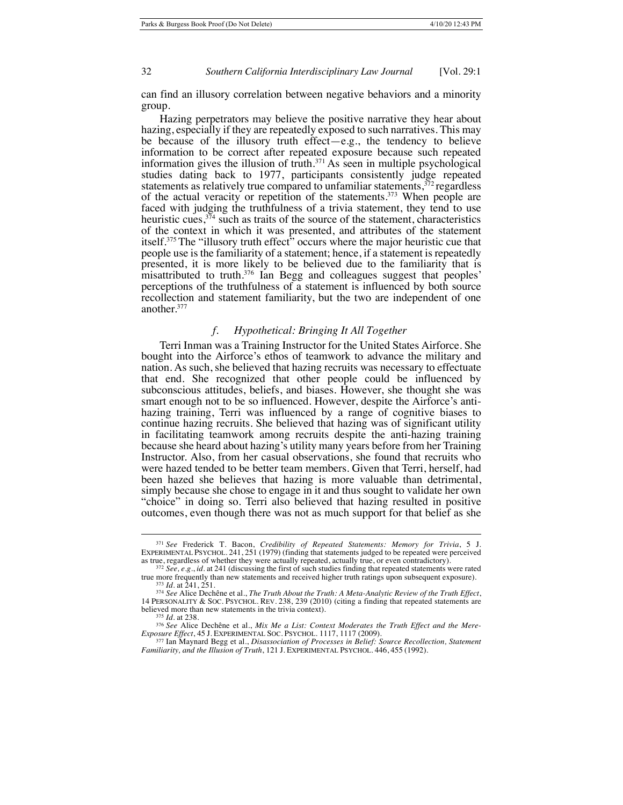can find an illusory correlation between negative behaviors and a minority group.

Hazing perpetrators may believe the positive narrative they hear about hazing, especially if they are repeatedly exposed to such narratives. This may be because of the illusory truth effect—e.g., the tendency to believe information to be correct after repeated exposure because such repeated information gives the illusion of truth.<sup>371</sup> As seen in multiple psychological studies dating back to 1977, participants consistently judge repeated statements as relatively true compared to unfamiliar statements,  $372$  regardless of the actual veracity or repetition of the statements.<sup>373</sup> When people are faced with judging the truthfulness of a trivia statement, they tend to use heuristic cues,  $374$  such as traits of the source of the statement, characteristics of the context in which it was presented, and attributes of the statement itself.375 The "illusory truth effect" occurs where the major heuristic cue that people use is the familiarity of a statement; hence, if a statement is repeatedly presented, it is more likely to be believed due to the familiarity that is misattributed to truth.<sup>376</sup> Ian Begg and colleagues suggest that peoples' perceptions of the truthfulness of a statement is influenced by both source recollection and statement familiarity, but the two are independent of one another.377

# *f. Hypothetical: Bringing It All Together*

Terri Inman was a Training Instructor for the United States Airforce. She bought into the Airforce's ethos of teamwork to advance the military and nation. As such, she believed that hazing recruits was necessary to effectuate that end. She recognized that other people could be influenced by subconscious attitudes, beliefs, and biases. However, she thought she was smart enough not to be so influenced. However, despite the Airforce's anti- hazing training, Terri was influenced by a range of cognitive biases to continue hazing recruits. She believed that hazing was of significant utility in facilitating teamwork among recruits despite the anti-hazing training because she heard about hazing's utility many years before from her Training Instructor. Also, from her casual observations, she found that recruits who were hazed tended to be better team members. Given that Terri, herself, had been hazed she believes that hazing is more valuable than detrimental, simply because she chose to engage in it and thus sought to validate her own "choice" in doing so. Terri also believed that hazing resulted in positive outcomes, even though there was not as much support for that belief as she

<sup>371</sup> *See* Frederick T. Bacon, *Credibility of Repeated Statements: Memory for Trivia*, 5 J. EXPERIMENTAL PSYCHOL. 241, 251 (1979) (finding that statements judged to be repeated were perceived as true, regardless of whether they were actually repeated, actually true, or even contradictory).

 $\frac{372}{2}$  *See, e.g., id.* at 241 (discussing the first of such studies finding that repeated statements were rated true more frequently than new statements and received higher truth ratings upon subsequent exposure). 373 *Id.* at 241, 251.

<sup>374</sup> *See* Alice Dechêne et al., *The Truth About the Truth: A Meta-Analytic Review of the Truth Effect*, 14 PERSONALITY & SOC. PSYCHOL. REV. 238, 239 (2010) (citing a finding that repeated statements are believed more than new statements in the trivia context).

<sup>375</sup> *Id.* at 238.

<sup>376</sup> *See* Alice Dechêne et al., *Mix Me a List: Context Moderates the Truth Effect and the Mere-Exposure Effect*, 45 J. EXPERIMENTAL SOC. PSYCHOL. 1117, 1117 (2009).

<sup>377</sup> Ian Maynard Begg et al., *Disassociation of Processes in Belief: Source Recollection, Statement Familiarity, and the Illusion of Truth*, 121 J. EXPERIMENTAL PSYCHOL. 446, 455 (1992).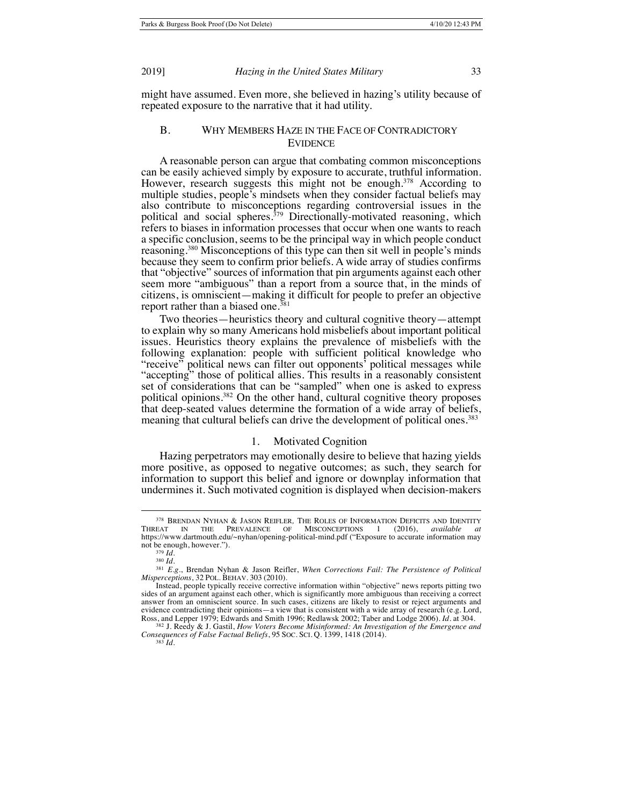might have assumed. Even more, she believed in hazing's utility because of repeated exposure to the narrative that it had utility.

# B. WHY MEMBERS HAZE IN THE FACE OF CONTRADICTORY **EVIDENCE**

A reasonable person can argue that combating common misconceptions can be easily achieved simply by exposure to accurate, truthful information. However, research suggests this might not be enough.<sup>378</sup> According to multiple studies, people's mindsets when they consider factual beliefs may also contribute to misconceptions regarding controversial issues in the political and social spheres.<sup> $379$ </sup> Directionally-motivated reasoning, which refers to biases in information processes that occur when one wants to reach a specific conclusion, seems to be the principal way in which people conduct reasoning.380 Misconceptions of this type can then sit well in people's minds because they seem to confirm prior beliefs. A wide array of studies confirms that "objective" sources of information that pin arguments against each other seem more "ambiguous" than a report from a source that, in the minds of citizens, is omniscient—making it difficult for people to prefer an objective report rather than a biased one.<sup>381</sup>

Two theories—heuristics theory and cultural cognitive theory—attempt to explain why so many Americans hold misbeliefs about important political issues. Heuristics theory explains the prevalence of misbeliefs with the following explanation: people with sufficient political knowledge who "receive" political news can filter out opponents' political messages while "accepting" those of political allies. This results in a reasonably consistent set of considerations that can be "sampled" when one is asked to express political opinions.382 On the other hand, cultural cognitive theory proposes that deep-seated values determine the formation of a wide array of beliefs, meaning that cultural beliefs can drive the development of political ones.<sup>383</sup>

# 1. Motivated Cognition

Hazing perpetrators may emotionally desire to believe that hazing yields more positive, as opposed to negative outcomes; as such, they search for information to support this belief and ignore or downplay information that undermines it. Such motivated cognition is displayed when decision-makers

<sup>378</sup> BRENDAN NYHAN & JASON REIFLER*,* THE ROLES OF INFORMATION DEFICITS AND IDENTITY THREAT IN THE PREVALENCE OF MISCONCEPTIONS 1 (2016), *available at* https://www.dartmouth.edu/~nyhan/opening-political-mind.pdf ("Exposure to accurate information may not be enough, however."). 379 *Id.*

<sup>380</sup> *Id.*

<sup>381</sup> *E.g.*, Brendan Nyhan & Jason Reifler, *When Corrections Fail: The Persistence of Political Misperceptions*, 32 POL. BEHAV. 303 (2010).

Instead, people typically receive corrective information within "objective" news reports pitting two sides of an argument against each other, which is significantly more ambiguous than receiving a correct answer from an omniscient source. In such cases, citizens are likely to resist or reject arguments and evidence contradicting their opinions—a view that is consistent with a wide array of research (e.g. Lord, Ross, and Lepper 1979; Edwards and Smith 1996; Redlawsk 2002; Taber and Lodge 2006). *Id.* at 304.

<sup>382</sup> J. Reedy & J. Gastil, *How Voters Become Misinformed: An Investigation of the Emergence and Consequences of False Factual Beliefs*, <sup>95</sup> SOC. SCI. Q. 1399, 1418 (2014). 383 *Id.*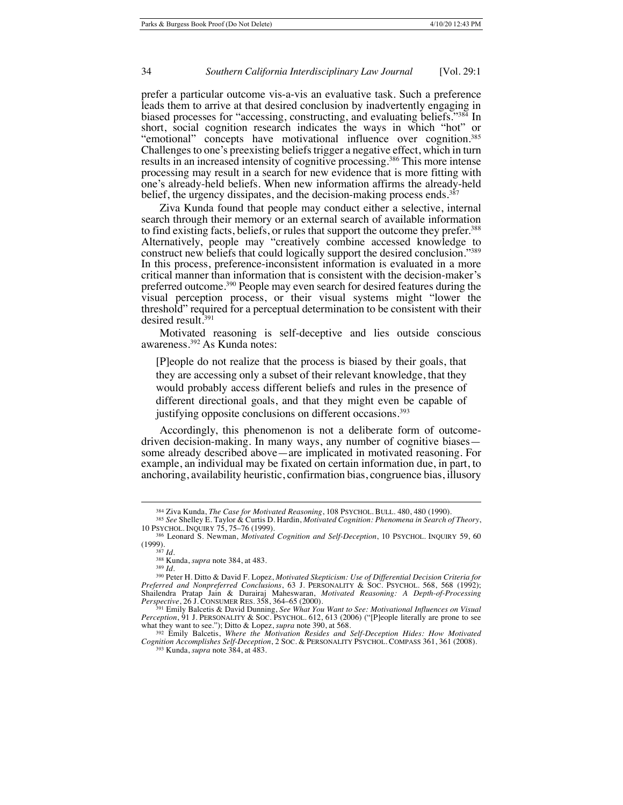prefer a particular outcome vis-a-vis an evaluative task. Such a preference leads them to arrive at that desired conclusion by inadvertently engaging in biased processes for "accessing, constructing, and evaluating beliefs."<sup>384</sup> In short, social cognition research indicates the ways in which "hot" or "emotional" concepts have motivational influence over cognition.<sup>385</sup> Challenges to one's preexisting beliefs trigger a negative effect, which in turn results in an increased intensity of cognitive processing.386 This more intense processing may result in a search for new evidence that is more fitting with one's already-held beliefs. When new information affirms the already-held belief, the urgency dissipates, and the decision-making process ends.<sup>387</sup>

Ziva Kunda found that people may conduct either a selective, internal search through their memory or an external search of available information to find existing facts, beliefs, or rules that support the outcome they prefer.388 Alternatively, people may "creatively combine accessed knowledge to construct new beliefs that could logically support the desired conclusion."389 In this process, preference-inconsistent information is evaluated in a more critical manner than information that is consistent with the decision-maker's preferred outcome.390 People may even search for desired features during the visual perception process, or their visual systems might "lower the threshold" required for a perceptual determination to be consistent with their desired result.391

Motivated reasoning is self-deceptive and lies outside conscious awareness.392 As Kunda notes:

[P]eople do not realize that the process is biased by their goals, that they are accessing only a subset of their relevant knowledge, that they would probably access different beliefs and rules in the presence of different directional goals, and that they might even be capable of justifying opposite conclusions on different occasions.<sup>393</sup>

Accordingly, this phenomenon is not a deliberate form of outcomedriven decision-making. In many ways, any number of cognitive biases— some already described above—are implicated in motivated reasoning. For example, an individual may be fixated on certain information due, in part, to anchoring, availability heuristic, confirmation bias, congruence bias, illusory

<sup>384</sup> Ziva Kunda, *The Case for Motivated Reasoning*, 108 PSYCHOL. BULL. 480, 480 (1990).

<sup>385</sup> *See* Shelley E. Taylor & Curtis D. Hardin, *Motivated Cognition: Phenomena in Search of Theory*, 10 PSYCHOL. INQUIRY 75, 75–76 (1999).

<sup>386</sup> Leonard S. Newman, *Motivated Cognition and Self-Deception*, 10 PSYCHOL. INQUIRY 59, 60 (1999).

<sup>387</sup> *Id.* <sup>388</sup> Kunda, *supra* note 384, at 483.

<sup>389</sup> *Id.*

<sup>390</sup> Peter H. Ditto & David F. Lopez, *Motivated Skepticism: Use of Differential Decision Criteria for Preferred and Nonpreferred Conclusions*, 63 J. PERSONALITY & SOC. PSYCHOL. 568, 568 (1992); Shailendra Pratap Jain & Durairaj Maheswaran, *Motivated Reasoning: A Depth-of-Processing Perspective*, 26 J. CONSUMER RES. 358, 364–65 (2000).

<sup>&</sup>lt;sup>391</sup> Emily Balcetis & David Dunning, *See What You Want to See: Motivational Influences on Visual Perception*, 91 J. PERSONALITY & SOC. PSYCHOL. 612, 613 (2006) ("[P]eople literally are prone to see what they want to see."); Ditto & Lopez, *supra* note 390, at 568.<br><sup>392</sup> Emily Balcetis, *Where the Motivation Resides and Self-Deception Hides: How Motivated* 

*Cognition Accomplishes Self-Deception*, 2 SOC. & PERSONALITY PSYCHOL. COMPASS 361, 361 (2008). <sup>393</sup> Kunda, *supra* note 384, at 483.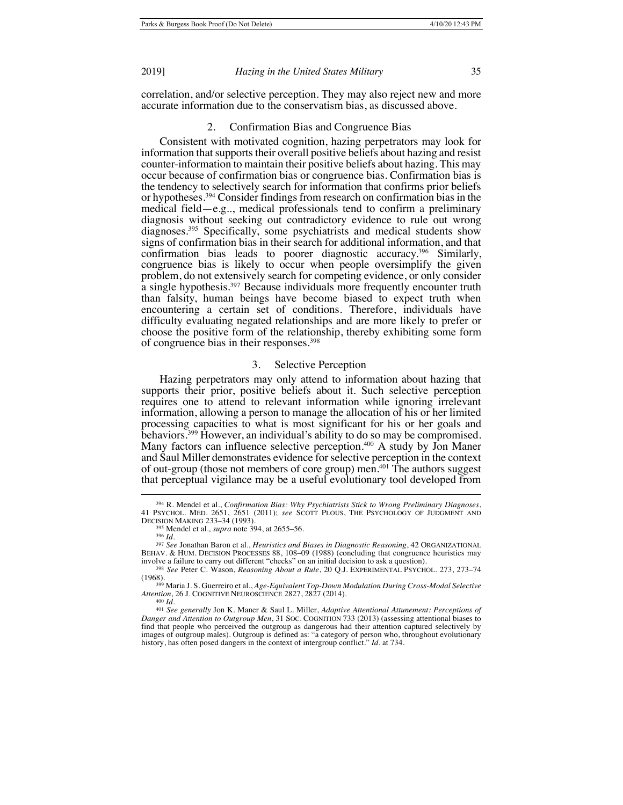correlation, and/or selective perception. They may also reject new and more accurate information due to the conservatism bias, as discussed above.

#### 2. Confirmation Bias and Congruence Bias

Consistent with motivated cognition, hazing perpetrators may look for information that supports their overall positive beliefs about hazing and resist counter-information to maintain their positive beliefs about hazing. This may occur because of confirmation bias or congruence bias. Confirmation bias is the tendency to selectively search for information that confirms prior beliefs or hypotheses.<sup>394</sup> Consider findings from research on confirmation bias in the medical field—e.g.., medical professionals tend to confirm a preliminary diagnosis without seeking out contradictory evidence to rule out wrong diagnoses.395 Specifically, some psychiatrists and medical students show signs of confirmation bias in their search for additional information, and that confirmation bias leads to poorer diagnostic accuracy.396 Similarly, congruence bias is likely to occur when people oversimplify the given problem, do not extensively search for competing evidence, or only consider a single hypothesis.<sup>397</sup> Because individuals more frequently encounter truth than falsity, human beings have become biased to expect truth when encountering a certain set of conditions. Therefore, individuals have difficulty evaluating negated relationships and are more likely to prefer or choose the positive form of the relationship, thereby exhibiting some form of congruence bias in their responses.398

#### 3. Selective Perception

Hazing perpetrators may only attend to information about hazing that supports their prior, positive beliefs about it. Such selective perception requires one to attend to relevant information while ignoring irrelevant information, allowing a person to manage the allocation of his or her limited processing capacities to what is most significant for his or her goals and behaviors.399 However, an individual's ability to do so may be compromised. Many factors can influence selective perception.<sup>400</sup> A study by Jon Maner and Saul Miller demonstrates evidence for selective perception in the context of out-group (those not members of core group) men.<sup>401</sup> The authors suggest that perceptual vigilance may be a useful evolutionary tool developed from

<sup>394</sup> R. Mendel et al., *Confirmation Bias: Why Psychiatrists Stick to Wrong Preliminary Diagnoses*, 41 PSYCHOL. MED. 2651, 2651 (2011); *see* SCOTT PLOUS, THE PSYCHOLOGY OF JUDGMENT AND DECISION MAKING 233–34 (1993).

<sup>395</sup> Mendel et al*., supra* note 394, at 2655–56.

<sup>396</sup> *Id.*

<sup>397</sup> *See* Jonathan Baron et al., *Heuristics and Biases in Diagnostic Reasoning*, 42 ORGANIZATIONAL BEHAV. & HUM. DECISION PROCESSES 88, 108–09 (1988) (concluding that congruence heuristics may involve a failure to carry out different "checks" on an initial decision to ask a question).

<sup>&</sup>lt;sup>398</sup> See Peter C. Wason, *Reasoning About a Rule*, 20 Q.J. EXPERIMENTAL PSYCHOL. 273, 273–74 (1968).

<sup>399</sup> Maria J. S. Guerreiro et al., *Age-Equivalent Top-Down Modulation During Cross-Modal Selective Attention*, 26 J. COGNITIVE NEUROSCIENCE 2827, 2827 (2014). <sup>400</sup> *Id.*

<sup>401</sup> *See generally* Jon K. Maner & Saul L. Miller, *Adaptive Attentional Attunement: Perceptions of Danger and Attention to Outgroup Men*, 31 SOC. COGNITION 733 (2013) (assessing attentional biases to find that people who perceived the outgroup as dangerous had their attention captured selectively by images of outgroup males). Outgroup is defined as: "a category of person who, throughout evolutionary history, has often posed dangers in the context of intergroup conflict." *Id*. at 734.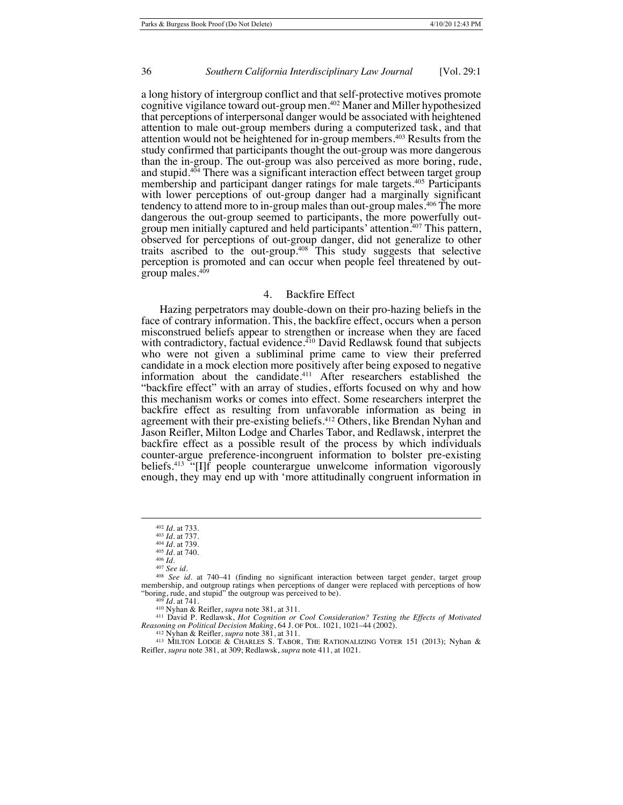a long history of intergroup conflict and that self-protective motives promote cognitive vigilance toward out-group men.402 Maner and Miller hypothesized that perceptions of interpersonal danger would be associated with heightened attention to male out-group members during a computerized task, and that attention would not be heightened for in-group members.403 Results from the study confirmed that participants thought the out-group was more dangerous than the in-group. The out-group was also perceived as more boring, rude, and stupid.<sup>404</sup> There was a significant interaction effect between target group membership and participant danger ratings for male targets.<sup>405</sup> Participants with lower perceptions of out-group danger had a marginally significant tendency to attend more to in-group males than out-group males.406 The more dangerous the out-group seemed to participants, the more powerfully outgroup men initially captured and held participants' attention.<sup> $407$ </sup> This pattern, observed for perceptions of out-group danger, did not generalize to other traits ascribed to the out-group.<sup>408</sup> This study suggests that selective perception is promoted and can occur when people feel threatened by out-<br>group males.<sup>409</sup>

#### 4. Backfire Effect

Hazing perpetrators may double-down on their pro-hazing beliefs in the face of contrary information. This, the backfire effect, occurs when a person misconstrued beliefs appear to strengthen or increase when they are faced with contradictory, factual evidence.<sup>410</sup> David Redlawsk found that subjects who were not given a subliminal prime came to view their preferred candidate in a mock election more positively after being exposed to negative information about the candidate.<sup>411</sup> After researchers established the "backfire effect" with an array of studies, efforts focused on why and how this mechanism works or comes into effect. Some researchers interpret the backfire effect as resulting from unfavorable information as being in agreement with their pre-existing beliefs.<sup>412</sup> Others, like Brendan Nyhan and Jason Reifler, Milton Lodge and Charles Tabor, and Redlawsk, interpret the backfire effect as a possible result of the process by which individuals counter-argue preference-incongruent information to bolster pre-existing beliefs.<sup>413</sup> " $[1]$ f people counterargue unwelcome information vigorously enough, they may end up with 'more attitudinally congruent information in

<sup>402</sup> *Id.* at 733.

<sup>403</sup> *Id.* at 737. 404 *Id.* at 739.

<sup>405</sup> *Id.* at 740. 406 *Id.*

<sup>407</sup> *See id.*

<sup>408</sup> *See id.* at 740–41 (finding no significant interaction between target gender, target group membership, and outgroup ratings when perceptions of danger were replaced with perceptions of how "boring, rude, and stupid" the outgroup was perceived to be). 409 *Id.* at 741.

<sup>410</sup> Nyhan & Reifler, *supra* note 381, at 311.

<sup>411</sup> David P. Redlawsk, *Hot Cognition or Cool Consideration? Testing the Effects of Motivated Reasoning on Political Decision Making*, 64 J. OF POL. 1021, 1021–44 (2002).

<sup>&</sup>lt;sup>412</sup> Nyhan & Reifler, *supra* note 381, at 311.<br><sup>413</sup> MILTON LODGE & CHARLES S. TABOR, THE RATIONALIZING VOTER 151 (2013); Nyhan & Reifler, *supra* note 381, at 309; Redlawsk, *supra* note 411, at 1021.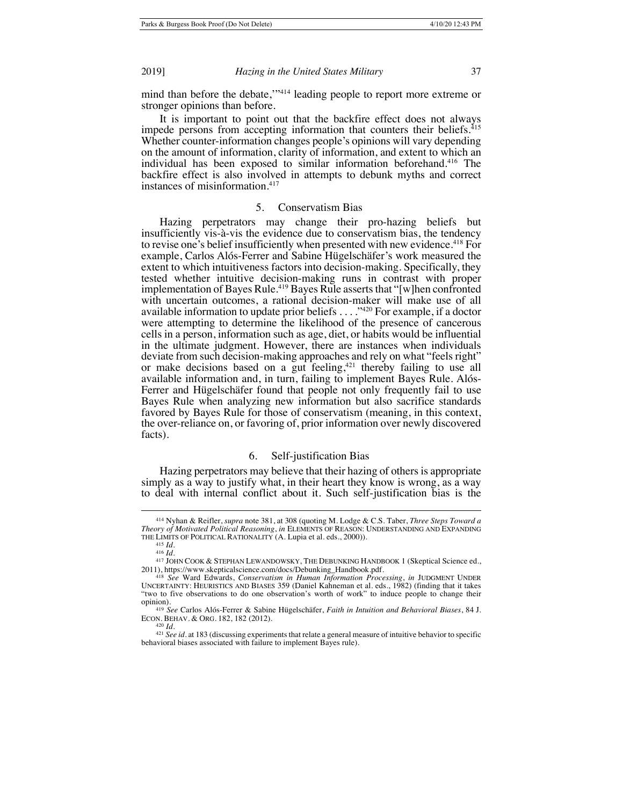mind than before the debate,'"414 leading people to report more extreme or stronger opinions than before.

It is important to point out that the backfire effect does not always impede persons from accepting information that counters their beliefs.<sup>415</sup> Whether counter-information changes people's opinions will vary depending on the amount of information, clarity of information, and extent to which an individual has been exposed to similar information beforehand.416 The backfire effect is also involved in attempts to debunk myths and correct instances of misinformation.<sup>417</sup>

# 5. Conservatism Bias

Hazing perpetrators may change their pro-hazing beliefs but insufficiently vis-à-vis the evidence due to conservatism bias, the tendency to revise one's belief insufficiently when presented with new evidence.<sup>418</sup> For example, Carlos Alós-Ferrer and Sabine Hügelschäfer's work measured the extent to which intuitiveness factors into decision-making. Specifically, they tested whether intuitive decision-making runs in contrast with proper implementation of Bayes Rule.<sup>419</sup> Bayes Rule asserts that "[w]hen confronted with uncertain outcomes, a rational decision-maker will make use of all available information to update prior beliefs . . . ."420 For example, if a doctor were attempting to determine the likelihood of the presence of cancerous cells in a person, information such as age, diet, or habits would be influential in the ultimate judgment. However, there are instances when individuals deviate from such decision-making approaches and rely on what "feels right" or make decisions based on a gut feeling,<sup>421</sup> thereby failing to use all available information and, in turn, failing to implement Bayes Rule. Alós-Ferrer and Hügelschäfer found that people not only frequently fail to use Bayes Rule when analyzing new information but also sacrifice standards favored by Bayes Rule for those of conservatism (meaning, in this context, the over-reliance on, or favoring of, prior information over newly discovered facts).

# 6. Self-justification Bias

Hazing perpetrators may believe that their hazing of others is appropriate simply as a way to justify what, in their heart they know is wrong, as a way to deal with internal conflict about it. Such self-justification bias is the

<sup>414</sup> Nyhan & Reifler, *supra* note 381, at 308 (quoting M. Lodge & C.S. Taber, *Three Steps Toward a Theory of Motivated Political Reasoning*, *in* ELEMENTS OF REASON: UNDERSTANDING AND EXPANDING THE LIMITS OF POLITICAL RATIONALITY (A. Lupia et al. eds., 2000)).

<sup>415</sup> *Id.* <sup>416</sup> *Id.*

<sup>&</sup>lt;sup>417</sup> JOHN COOK & STEPHAN LEWANDOWSKY, THE DEBUNKING HANDBOOK 1 (Skeptical Science ed., 2011), https://www.skepticalscience.com/docs/Debunking\_Handbook.pdf.

<sup>2011),</sup> https://www.skepticalscience.com/docs/Debunking\_Handbook.pdf. 418 *See* Ward Edwards, *Conservatism in Human Information Processing*, *in* JUDGMENT UNDER UNCERTAINTY: HEURISTICS AND BIASES 359 (Daniel Kahneman et al. eds., 1982) (finding that it takes "two to five observations to do one observation's worth of work" to induce people to change their opinion).

<sup>419</sup> *See* Carlos Alós-Ferrer & Sabine Hügelschäfer, *Faith in Intuition and Behavioral Biases*, 84 J. ECON. BEHAV. & ORG. 182, 182 (2012). <sup>420</sup> *Id.*

<sup>421</sup> See id. at 183 (discussing experiments that relate a general measure of intuitive behavior to specific behavioral biases associated with failure to implement Bayes rule).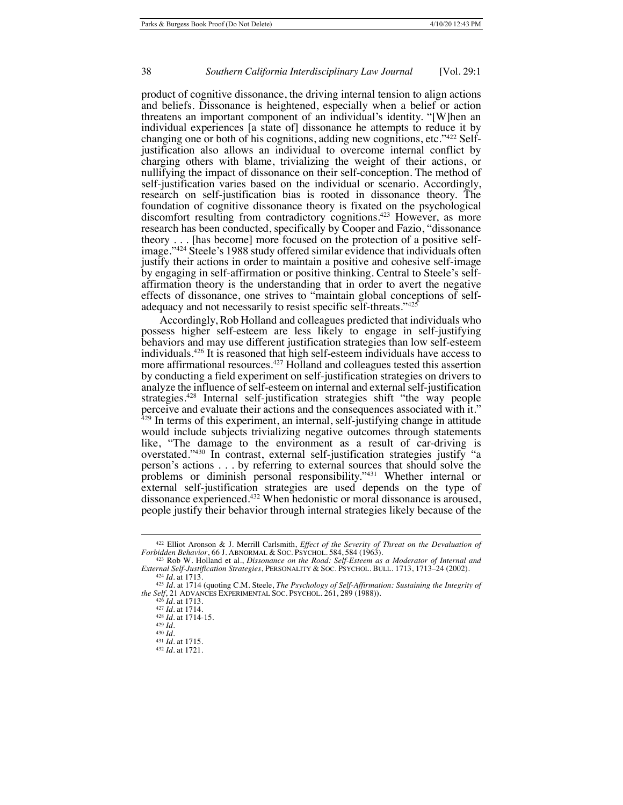product of cognitive dissonance, the driving internal tension to align actions and beliefs. Dissonance is heightened, especially when a belief or action threatens an important component of an individual's identity. "[W]hen an individual experiences [a state of] dissonance he attempts to reduce it by changing one or both of his cognitions, adding new cognitions, etc."422 Self- justification also allows an individual to overcome internal conflict by charging others with blame, trivializing the weight of their actions, or nullifying the impact of dissonance on their self-conception. The method of self-justification varies based on the individual or scenario. Accordingly, research on self-justification bias is rooted in dissonance theory. The foundation of cognitive dissonance theory is fixated on the psychological discomfort resulting from contradictory cognitions.<sup>423</sup> However, as more research has been conducted, specifically by Cooper and Fazio, "dissonance theory . . . [has become] more focused on the protection of a positive selfimage."<sup>424</sup> Steele's 1988 study offered similar evidence that individuals often justify their actions in order to maintain a positive and cohesive self-image<br>by engaging in self-affirmation or positive thinking. Central to Steele's selfaffirmation theory is the understanding that in order to avert the negative effects of dissonance, one strives to "maintain global conceptions of selfadequacy and not necessarily to resist specific self-threats."425

Accordingly, Rob Holland and colleagues predicted that individuals who possess higher self-esteem are less likely to engage in self-justifying behaviors and may use different justification strategies than low self-esteem individuals.426 It is reasoned that high self-esteem individuals have access to more affirmational resources.<sup>427</sup> Holland and colleagues tested this assertion by conducting a field experiment on self-justification strategies on drivers to analyze the influence of self-esteem on internal and external self-justification strategies. <sup>428</sup> Internal self-justification strategies shift "the way people perceive and evaluate their actions and the consequences associated with it."  $429$  In terms of this experiment, an internal, self-justifying change in attitude would include subjects trivializing negative outcomes through statements like, "The damage to the environment as a result of car-driving is overstated."430 In contrast, external self-justification strategies justify "a person's actions . . . by referring to external sources that should solve the problems or diminish personal responsibility."431 Whether internal or external self-justification strategies are used depends on the type of dissonance experienced.432 When hedonistic or moral dissonance is aroused, people justify their behavior through internal strategies likely because of the

<sup>422</sup> Elliot Aronson & J. Merrill Carlsmith, *Effect of the Severity of Threat on the Devaluation of Forbidden Behavior*, 66 J. ABNORMAL & SOC. PSYCHOL. 584, 584 (1963).

<sup>423</sup> Rob W. Holland et al., *Dissonance on the Road: Self-Esteem as a Moderator of Internal and External Self-Justification Strategies*, PERSONALITY & SOC. PSYCHOL. BULL. 1713, 1713–24 (2002). 424 *Id.* at 1713.

<sup>425</sup> *Id.* at 1714 (quoting C.M. Steele, *The Psychology of Self-Affirmation: Sustaining the Integrity of the Self*, 21 ADVANCES EXPERIMENTAL SOC. PSYCHOL. 261, 289 (1988)).

<sup>426</sup> *Id.* at 1713.

<sup>427</sup> *Id.* at 1714.

<sup>428</sup> *Id*. at 1714-15.

<sup>429</sup> *Id.*

<sup>430</sup> *Id.*

<sup>431</sup> *Id.* at 1715.

<sup>432</sup> *Id.* at 1721.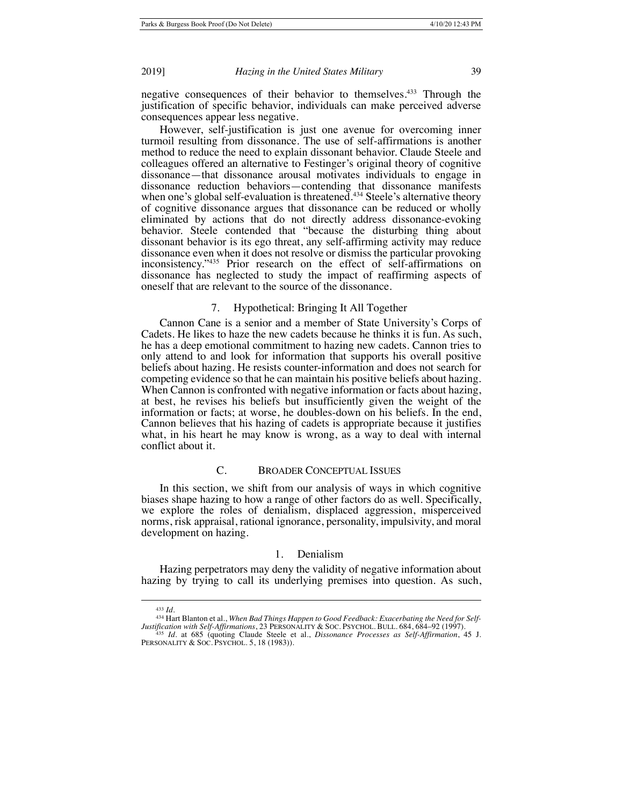negative consequences of their behavior to themselves.433 Through the justification of specific behavior, individuals can make perceived adverse consequences appear less negative.

However, self-justification is just one avenue for overcoming inner turmoil resulting from dissonance. The use of self-affirmations is another method to reduce the need to explain dissonant behavior. Claude Steele and colleagues offered an alternative to Festinger's original theory of cognitive dissonance—that dissonance arousal motivates individuals to engage in dissonance reduction behaviors—contending that dissonance manifests when one's global self-evaluation is threatened.<sup>434</sup> Steele's alternative theory of cognitive dissonance argues that dissonance can be reduced or wholly eliminated by actions that do not directly address dissonance-evoking behavior. Steele contended that "because the disturbing thing about dissonant behavior is its ego threat, any self-affirming activity may reduce dissonance even when it does not resolve or dismiss the particular provoking inconsistency."435 Prior research on the effect of self-affirmations on dissonance has neglected to study the impact of reaffirming aspects of oneself that are relevant to the source of the dissonance.

# 7. Hypothetical: Bringing It All Together

Cannon Cane is a senior and a member of State University's Corps of Cadets. He likes to haze the new cadets because he thinks it is fun. As such, he has a deep emotional commitment to hazing new cadets. Cannon tries to only attend to and look for information that supports his overall positive beliefs about hazing. He resists counter-information and does not search for competing evidence so that he can maintain his positive beliefs about hazing. When Cannon is confronted with negative information or facts about hazing, at best, he revises his beliefs but insufficiently given the weight of the information or facts; at worse, he doubles-down on his beliefs. In the end, Cannon believes that his hazing of cadets is appropriate because it justifies what, in his heart he may know is wrong, as a way to deal with internal conflict about it.

# C. BROADER CONCEPTUAL ISSUES

In this section, we shift from our analysis of ways in which cognitive biases shape hazing to how a range of other factors do as well. Specifically, we explore the roles of denialism, displaced aggression, misperceived norms, risk appraisal, rational ignorance, personality, impulsivity, and moral development on hazing.

#### 1. Denialism

Hazing perpetrators may deny the validity of negative information about hazing by trying to call its underlying premises into question. As such,

<sup>&</sup>lt;sup>433</sup> Id.<br><sup>434</sup> Hart Blanton et al., When Bad Things Happen to Good Feedback: Exacerbating the Need for Self-

Justification with Self-Affirmations, 23 PERSONALITY & SOC. PSYCHOL. BULL. 684, 684-92 (1997).<br><sup>435</sup> Id. at 685 (quoting Claude Steele et al., *Dissonance Processes as Self-Affirmation*, 45 J. PERSONALITY & SOC. PSYCHOL. 5, 18 (1983)).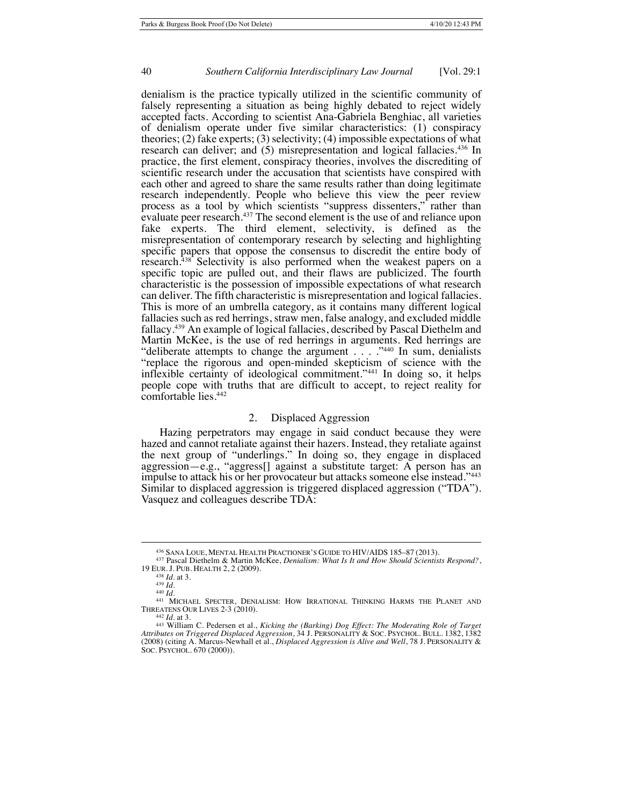denialism is the practice typically utilized in the scientific community of falsely representing a situation as being highly debated to reject widely accepted facts. According to scientist Ana-Gabriela Benghiac, all varieties of denialism operate under five similar characteristics: (1) conspiracy theories; (2) fake experts; (3) selectivity; (4) impossible expectations of what research can deliver; and (5) misrepresentation and logical fallacies.<sup>436</sup> In practice, the first element, conspiracy theories, involves the discrediting of scientific research under the accusation that scientists have conspired with each other and agreed to share the same results rather than doing legitimate research independently. People who believe this view the peer review process as a tool by which scientists "suppress dissenters," rather than evaluate peer research.<sup>437</sup> The second element is the use of and reliance upon fake experts. The third element, selectivity, is defined as the misrepresentation of contemporary research by selecting and highlighting specific papers that oppose the consensus to discredit the entire body of research. $438$  Selectivity is also performed when the weakest papers on a specific topic are pulled out, and their flaws are publicized. The fourth characteristic is the possession of impossible expectations of what research can deliver. The fifth characteristic is misrepresentation and logical fallacies. This is more of an umbrella category, as it contains many different logical fallacies such as red herrings, straw men, false analogy, and excluded middle fallacy. <sup>439</sup> An example of logical fallacies, described by Pascal Diethelm and Martin McKee, is the use of red herrings in arguments. Red herrings are "deliberate attempts to change the argument . . . . . "440 In sum, denialists" "replace the rigorous and open-minded skepticism of science with the inflexible certainty of ideological commitment."441 In doing so, it helps people cope with truths that are difficult to accept, to reject reality for comfortable lies.442

#### 2. Displaced Aggression

Hazing perpetrators may engage in said conduct because they were hazed and cannot retaliate against their hazers. Instead, they retaliate against the next group of "underlings." In doing so, they engage in displaced aggression—e.g., "aggress[] against a substitute target: A person has an impulse to attack his or her provocateur but attacks someone else instead."443 Similar to displaced aggression is triggered displaced aggression ("TDA"). Vasquez and colleagues describe TDA:

<sup>436</sup> SANA LOUE, MENTAL HEALTH PRACTIONER'S GUIDE TO HIV/AIDS 185–87 (2013).

<sup>437</sup> Pascal Diethelm & Martin McKee, *Denialism: What Is It and How Should Scientists Respond?*, 19 EUR. J. PUB. HEALTH 2, 2 (2009). 438 *Id*. at 3.

<sup>439</sup> *Id*. <sup>440</sup> *Id.*

<sup>441</sup> MICHAEL SPECTER, DENIALISM: HOW IRRATIONAL THINKING HARMS THE PLANET AND THREATENS OUR LIVES 2-3 (2010).<br> $442$  *Id.* at 3.

<sup>442</sup> *Id*. at 3. 443 William C. Pedersen et al., *Kicking the (Barking) Dog Effect: The Moderating Role of Target Attributes on Triggered Displaced Aggression*, 34 J. PERSONALITY & SOC. PSYCHOL. BULL. 1382, 1382 (2008) (citing A. Marcus-Newhall et al., *Displaced Aggression is Alive and Well*, 78 J. PERSONALITY & SOC. PSYCHOL. 670 (2000)).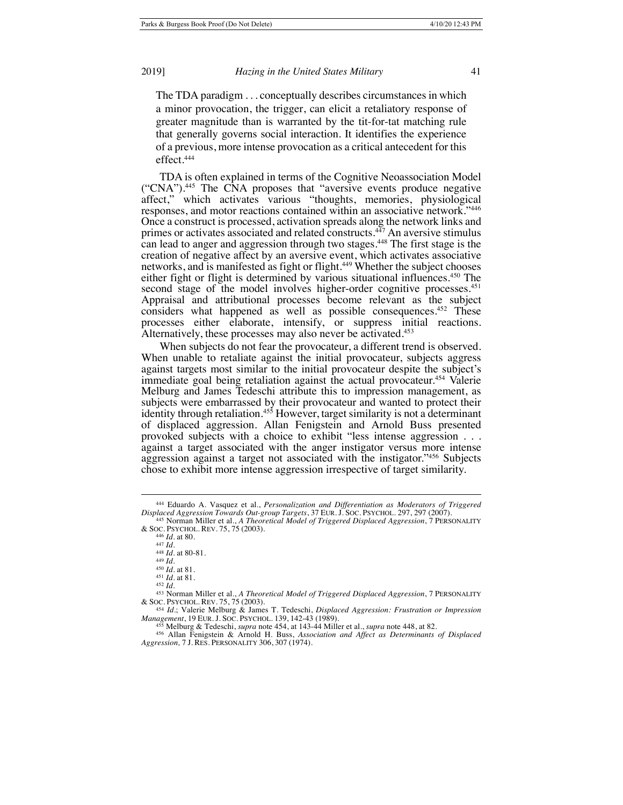The TDA paradigm . . . conceptually describes circumstances in which a minor provocation, the trigger, can elicit a retaliatory response of greater magnitude than is warranted by the tit-for-tat matching rule that generally governs social interaction. It identifies the experience of a previous, more intense provocation as a critical antecedent for this effect.444

TDA is often explained in terms of the Cognitive Neoassociation Model ("CNA").445 The CNA proposes that "aversive events produce negative affect," which activates various "thoughts, memories, physiological responses, and motor reactions contained within an associative network."446 Once a construct is processed, activation spreads along the network links and primes or activates associated and related constructs.<sup>447</sup> An aversive stimulus can lead to anger and aggression through two stages.<sup>448</sup> The first stage is the creation of negative affect by an aversive event, which activates associative networks, and is manifested as fight or flight.<sup>449</sup> Whether the subject chooses either fight or flight is determined by various situational influences.<sup>450</sup> The second stage of the model involves higher-order cognitive processes.<sup>451</sup> Appraisal and attributional processes become relevant as the subject considers what happened as well as possible consequences.<sup>452</sup> These processes either elaborate, intensify, or suppress initial reactions. Alternatively, these processes may also never be activated.<sup>453</sup>

When subjects do not fear the provocateur, a different trend is observed. When unable to retaliate against the initial provocateur, subjects aggress against targets most similar to the initial provocateur despite the subject's immediate goal being retaliation against the actual provocateur.<sup>454</sup> Valerie Melburg and James Tedeschi attribute this to impression management, as subjects were embarrassed by their provocateur and wanted to protect their identity through retaliation.<sup>455</sup> However, target similarity is not a determinant of displaced aggression. Allan Fenigstein and Arnold Buss presented provoked subjects with a choice to exhibit "less intense aggression . . . against a target associated with the anger instigator versus more intense aggression against a target not associated with the instigator."456 Subjects chose to exhibit more intense aggression irrespective of target similarity.

<sup>452</sup> *Id.*

<sup>444</sup> Eduardo A. Vasquez et al., *Personalization and Differentiation as Moderators of Triggered Norman Miller et al., A Theoretical Model of Triggered Displaced Aggression, 7 PERSONALITY* 

<sup>&</sup>amp; SOC. PSYCHOL. REV. 75, 75 (2003). <sup>446</sup> *Id.* at 80.

<sup>447</sup> *Id.*

<sup>448</sup> *Id.* at 80-81.

<sup>449</sup> *Id.*

<sup>450</sup> *Id.* at 81.

<sup>451</sup> *Id.* at 81.

<sup>453</sup> Norman Miller et al., *A Theoretical Model of Triggered Displaced Aggression*, 7 PERSONALITY & SOC. PSYCHOL. REV. 75, 75 (2003).

<sup>454</sup> *Id.*; Valerie Melburg & James T. Tedeschi, *Displaced Aggression: Frustration or Impression Management*, 19 EUR. J. SOC. PSYCHOL. 139, 142-43 (1989). <sup>455</sup> Melburg & Tedeschi, *supra* note 454, at 143-44 Miller et al., *supra* note 448, at 82.

<sup>456</sup> Allan Fenigstein & Arnold H. Buss, *Association and Affect as Determinants of Displaced Aggression,* 7 J. RES. PERSONALITY 306, 307 (1974).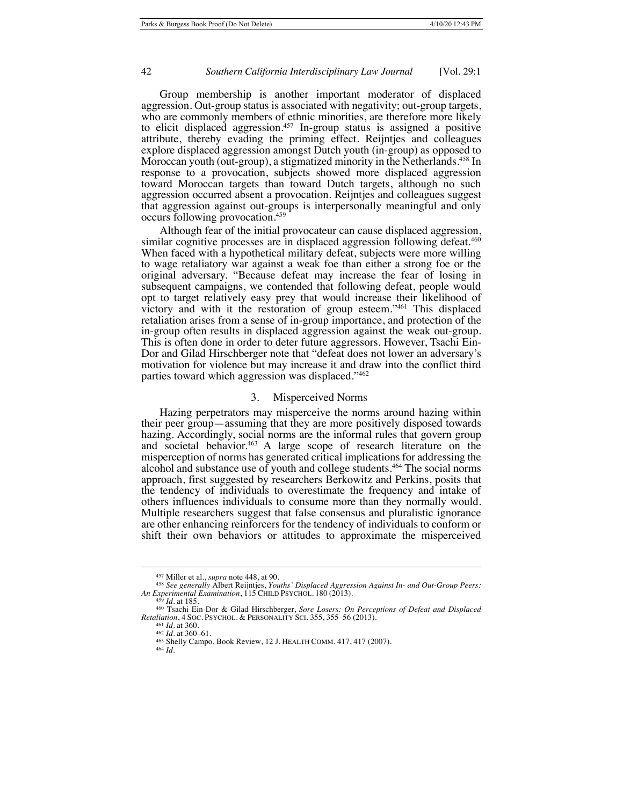Group membership is another important moderator of displaced aggression. Out-group status is associated with negativity; out-group targets, who are commonly members of ethnic minorities, are therefore more likely to elicit displaced aggression.<sup>457</sup> In-group status is assigned a positive attribute, thereby evading the priming effect. Reijntjes and colleagues explore displaced aggression amongst Dutch youth (in-group) as opposed to Moroccan youth (out-group), a stigmatized minority in the Netherlands.<sup>458</sup> In response to a provocation, subjects showed more displaced aggression toward Moroccan targets than toward Dutch targets, although no such aggression occurred absent a provocation. Reijntjes and colleagues suggest that aggression against out-groups is interpersonally meaningful and only occurs following provocation.459

Although fear of the initial provocateur can cause displaced aggression, similar cognitive processes are in displaced aggression following defeat.<sup>460</sup> When faced with a hypothetical military defeat, subjects were more willing to wage retaliatory war against a weak foe than either a strong foe or the original adversary. "Because defeat may increase the fear of losing in subsequent campaigns, we contended that following defeat, people would opt to target relatively easy prey that would increase their likelihood of victory and with it the restoration of group esteem."461 This displaced retaliation arises from a sense of in-group importance, and protection of the in-group often results in displaced aggression against the weak out-group. This is often done in order to deter future aggressors. However, Tsachi Ein-Dor and Gilad Hirschberger note that "defeat does not lower an adversary's motivation for violence but may increase it and draw into the conflict third parties toward which aggression was displaced."462

# 3. Misperceived Norms

Hazing perpetrators may misperceive the norms around hazing within their peer group—assuming that they are more positively disposed towards hazing. Accordingly, social norms are the informal rules that govern group and societal behavior.<sup>463</sup> A large scope of research literature on the misperception of norms has generated critical implications for addressing the alcohol and substance use of youth and college students.464 The social norms approach, first suggested by researchers Berkowitz and Perkins, posits that the tendency of individuals to overestimate the frequency and intake of others influences individuals to consume more than they normally would. Multiple researchers suggest that false consensus and pluralistic ignorance are other enhancing reinforcers for the tendency of individuals to conform or shift their own behaviors or attitudes to approximate the misperceived

<sup>457</sup> Miller et al., *supra* note 448, at 90.

<sup>458</sup> *See generally* Albert Reijntjes, *Youths' Displaced Aggression Against In- and Out-Group Peers: An Experimental Examination*, 115 CHILD PSYCHOL. 180 (2013).

<sup>459</sup> *Id.* at 185.

<sup>460</sup> Tsachi Ein-Dor & Gilad Hirschberger, *Sore Losers: On Perceptions of Defeat and Displaced Retaliation*, 4 SOC. PSYCHOL. & PERSONALITY SCI. 355, 355–56 (2013). 461 *Id.* at 360.

<sup>463</sup> Shelly Campo, Book Review, 12 J. HEALTH COMM. 417, 417 (2007).

<sup>464</sup> *Id.*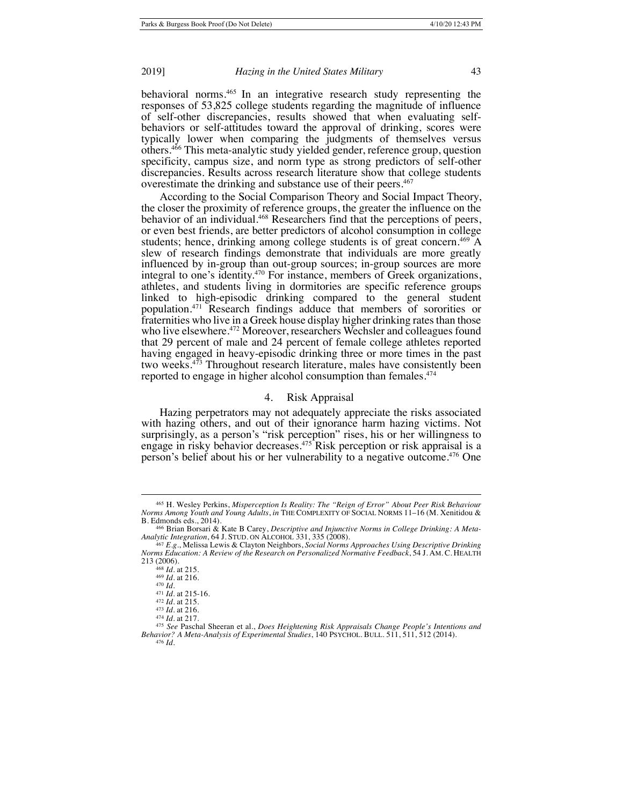behavioral norms.465 In an integrative research study representing the responses of 53,825 college students regarding the magnitude of influence of self-other discrepancies, results showed that when evaluating selfbehaviors or self-attitudes toward the approval of drinking, scores were typically lower when comparing the judgments of themselves versus others.466 This meta-analytic study yielded gender, reference group, question specificity, campus size, and norm type as strong predictors of self-other discrepancies. Results across research literature show that college students overestimate the drinking and substance use of their peers.<sup>467</sup>

According to the Social Comparison Theory and Social Impact Theory, the closer the proximity of reference groups, the greater the influence on the behavior of an individual.<sup>468</sup> Researchers find that the perceptions of peers, or even best friends, are better predictors of alcohol consumption in college students; hence, drinking among college students is of great concern.<sup>469</sup> A slew of research findings demonstrate that individuals are more greatly influenced by in-group than out-group sources; in-group sources are more integral to one's identity.470 For instance, members of Greek organizations, athletes, and students living in dormitories are specific reference groups linked to high-episodic drinking compared to the general student population.471 Research findings adduce that members of sororities or fraternities who live in a Greek house display higher drinking rates than those who live elsewhere.<sup>472</sup> Moreover, researchers Wechsler and colleagues found that 29 percent of male and 24 percent of female college athletes reported having engaged in heavy-episodic drinking three or more times in the past two weeks.<sup>473</sup> Throughout research literature, males have consistently been reported to engage in higher alcohol consumption than females.<sup>474</sup>

# 4. Risk Appraisal

Hazing perpetrators may not adequately appreciate the risks associated with hazing others, and out of their ignorance harm hazing victims. Not surprisingly, as a person's "risk perception" rises, his or her willingness to engage in risky behavior decreases.<sup>475</sup> Risk perception or risk appraisal is a person's belief about his or her vulnerability to a negative outcome.476 One

<sup>465</sup> H. Wesley Perkins, *Misperception Is Reality: The "Reign of Error" About Peer Risk Behaviour Norms Among Youth and Young Adults*, *in* THE COMPLEXITY OF SOCIAL NORMS 11–16 (M. Xenitidou & B. Edmonds eds., 2014).

<sup>466</sup> Brian Borsari & Kate B Carey, *Descriptive and Injunctive Norms in College Drinking: A Meta-*

*Analytic Integration*, 64 J. STUD. ON ALCOHOL 331, 335 (2008). 467 *E.g.*, Melissa Lewis & Clayton Neighbors, *Social Norms Approaches Using Descriptive Drinking Norms Education: A Review of the Research on Personalized Normative Feedback*, 54 J. AM. C. HEALTH 213 (2006).

<sup>468</sup> *Id.* at 215.

<sup>469</sup> *Id*. at 216.  $470$   $\overline{Id}$ .

<sup>471</sup> *Id*. at 215-16.

<sup>472</sup> *Id.* at 215.<br><sup>473</sup> *Id.* at 216.

<sup>&</sup>lt;sup>474</sup> *Id.* at 217.

<sup>475</sup> *See* Paschal Sheeran et al., *Does Heightening Risk Appraisals Change People's Intentions and Behavior? A Meta-Analysis of Experimental Studies*, 140 PSYCHOL. BULL. 511, 511, 512 (2014). <sup>476</sup> *Id.*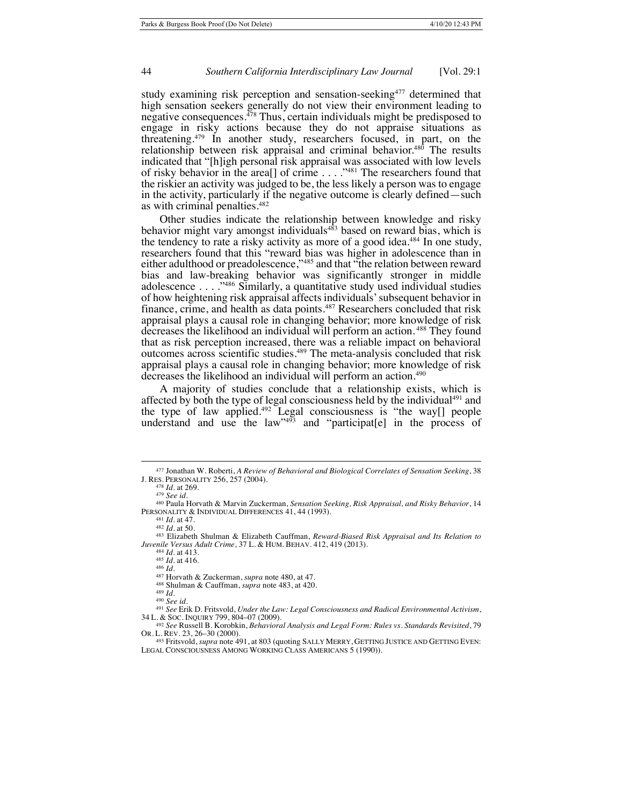study examining risk perception and sensation-seeking<sup>477</sup> determined that high sensation seekers generally do not view their environment leading to negative consequences. $478$  Thus, certain individuals might be predisposed to engage in risky actions because they do not appraise situations as threatening.<sup>479</sup> In another study, researchers focused, in part, on the relationship between risk appraisal and criminal behavior.<sup>480</sup> The results indicated that "[h]igh personal risk appraisal was associated with low levels of risky behavior in the area[] of crime . . . ."481 The researchers found that the riskier an activity was judged to be, the less likely a person was to engage in the activity, particularly if the negative outcome is clearly defined—such as with criminal penalties.482

Other studies indicate the relationship between knowledge and risky behavior might vary amongst individuals<sup>483</sup> based on reward bias, which is the tendency to rate a risky activity as more of a good idea.484 In one study, researchers found that this "reward bias was higher in adolescence than in either adulthood or preadolescence,"<sup>485</sup> and that "the relation between reward bias and law-breaking behavior was significantly stronger in middle adolescence . . . ."486 Similarly, a quantitative study used individual studies of how heightening risk appraisal affects individuals' subsequent behavior in finance, crime, and health as data points.<sup>487</sup> Researchers concluded that risk appraisal plays a causal role in changing behavior; more knowledge of risk decreases the likelihood an individual will perform an action. <sup>488</sup> They found that as risk perception increased, there was a reliable impact on behavioral outcomes across scientific studies.<sup>489</sup> The meta-analysis concluded that risk appraisal plays a causal role in changing behavior; more knowledge of risk decreases the likelihood an individual will perform an action.<sup>490</sup>

A majority of studies conclude that a relationship exists, which is affected by both the type of legal consciousness held by the individual<sup>491</sup> and the type of law applied.492 Legal consciousness is "the way[] people understand and use the law<sup>1493</sup> and "participat[e] in the process of

<sup>477</sup> Jonathan W. Roberti, *A Review of Behavioral and Biological Correlates of Sensation Seeking*, 38 J. RES. PERSONALITY 256, 257 (2004).

<sup>478</sup> *Id.* at 269.

<sup>479</sup> *See id.*

<sup>480</sup> Paula Horvath & Marvin Zuckerman, *Sensation Seeking, Risk Appraisal, and Risky Behavior*, 14 PERSONALITY & INDIVIDUAL DIFFERENCES 41, 44 (1993).

<sup>481</sup> *Id.* at 47.

<sup>482</sup> *Id.* at 50.

<sup>483</sup> Elizabeth Shulman & Elizabeth Cauffman, *Reward-Biased Risk Appraisal and Its Relation to Juvenile Versus Adult Crime*, 37 L. & HUM. BEHAV. 412, 419 (2013).

<sup>484</sup> *Id.* at 413.

<sup>485</sup> *Id*. at 416. <sup>486</sup> *Id*.

<sup>487</sup> Horvath & Zuckerman, *supra* note 480, at 47.

<sup>488</sup> Shulman & Cauffman, *supra* note 483, at 420.

<sup>489</sup> *Id.*

<sup>490</sup> *See id.* 

<sup>491</sup> *See* Erik D. Fritsvold, *Under the Law: Legal Consciousness and Radical Environmental Activism*, 34 L. & SOC. INQUIRY 799, 804–07 (2009).

<sup>492</sup> *See* Russell B. Korobkin, *Behavioral Analysis and Legal Form: Rules vs. Standards Revisited*, 79 OR. L. REV. 23, 26–30 (2000).

<sup>493</sup> Fritsvold, *supra* note 491, at 803 (quoting SALLY MERRY, GETTING JUSTICE AND GETTING EVEN: LEGAL CONSCIOUSNESS AMONG WORKING CLASS AMERICANS 5 (1990)).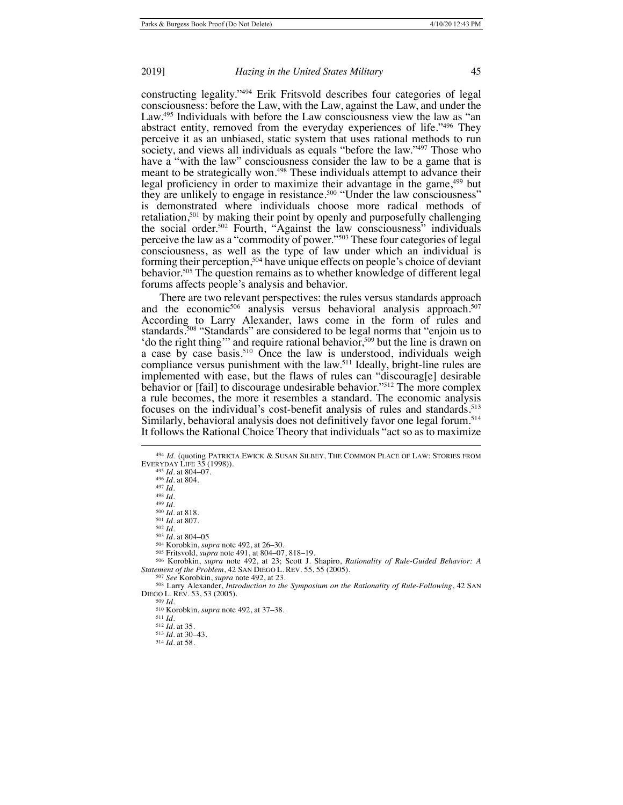constructing legality."494 Erik Fritsvold describes four categories of legal consciousness: before the Law, with the Law, against the Law, and under the Law.<sup>495</sup> Individuals with before the Law consciousness view the law as "an abstract entity, removed from the everyday experiences of life."496 They perceive it as an unbiased, static system that uses rational methods to run society, and views all individuals as equals "before the law."<sup>497</sup> Those who have a "with the law" consciousness consider the law to be a game that is meant to be strategically won.<sup>498</sup> These individuals attempt to advance their legal proficiency in order to maximize their advantage in the game,<sup>499</sup> but they are unlikely to engage in resistance.<sup>500</sup> "Under the law consciousness" is demonstrated where individuals choose more radical methods of retaliation,<sup>501</sup> by making their point by openly and purposefully challenging the social order.502 Fourth, "Against the law consciousness" individuals perceive the law as a "commodity of power."503 These four categories of legal consciousness, as well as the type of law under which an individual is forming their perception,<sup>504</sup> have unique effects on people's choice of deviant behavior.<sup>505</sup> The question remains as to whether knowledge of different legal forums affects people's analysis and behavior.

There are two relevant perspectives: the rules versus standards approach and the economic<sup>506</sup> analysis versus behavioral analysis approach.<sup>507</sup> According to Larry Alexander, laws come in the form of rules and standards.<sup>508</sup> "Standards" are considered to be legal norms that "enjoin us to 'do the right thing'" and require rational behavior,509 but the line is drawn on a case by case basis.<sup>510</sup> Once the law is understood, individuals weigh compliance versus punishment with the law.<sup>511</sup> Ideally, bright-line rules are implemented with ease, but the flaws of rules can "discourag[e] desirable behavior or [fail] to discourage undesirable behavior."<sup>512</sup> The more complex a rule becomes, the more it resembles a standard. The economic analysis focuses on the individual's cost-benefit analysis of rules and standards.<sup>513</sup> Similarly, behavioral analysis does not definitively favor one legal forum.<sup>514</sup> It follows the Rational Choice Theory that individuals "act so as to maximize

<sup>500</sup> *Id.* at 818.

<sup>501</sup> *Id.* at 807.

<sup>502</sup> *Id.*

<sup>503</sup> *Id.* at 804–05

<sup>504</sup> Korobkin, *supra* note 492, at 26–30.

<sup>505</sup> Fritsvold, *supra* note 491, at 804–07, 818–19.

<sup>506</sup> Korobkin, *supra* note 492, at 23; Scott J. Shapiro, *Rationality of Rule-Guided Behavior: A Statement of the Problem*, 42 SAN DIEGO L. REV. 55, 55 (2005). <sup>507</sup> *See* Korobkin, *supra* note 492, at 23.

<sup>508</sup> Larry Alexander, *Introduction to the Symposium on the Rationality of Rule-Following*, 42 SAN DIEGO L. REV. 53, 53 (2005).

- <sup>513</sup> *Id.* at 30–43.
- <sup>514</sup> *Id.* at 58.

<sup>494</sup> *Id.* (quoting PATRICIA EWICK & SUSAN SILBEY, THE COMMON PLACE OF LAW: STORIES FROM EVERYDAY LIFE 35 (1998)).

<sup>495</sup> *Id.* at 804–07.

<sup>496</sup> *Id.* at 804.

<sup>497</sup> *Id.*

<sup>498</sup> *Id.*

<sup>499</sup> *Id.*

<sup>509</sup> *Id.*

<sup>510</sup> Korobkin, *supra* note 492, at 37–38.

<sup>511</sup> *Id.*

<sup>512</sup> *Id.* at 35.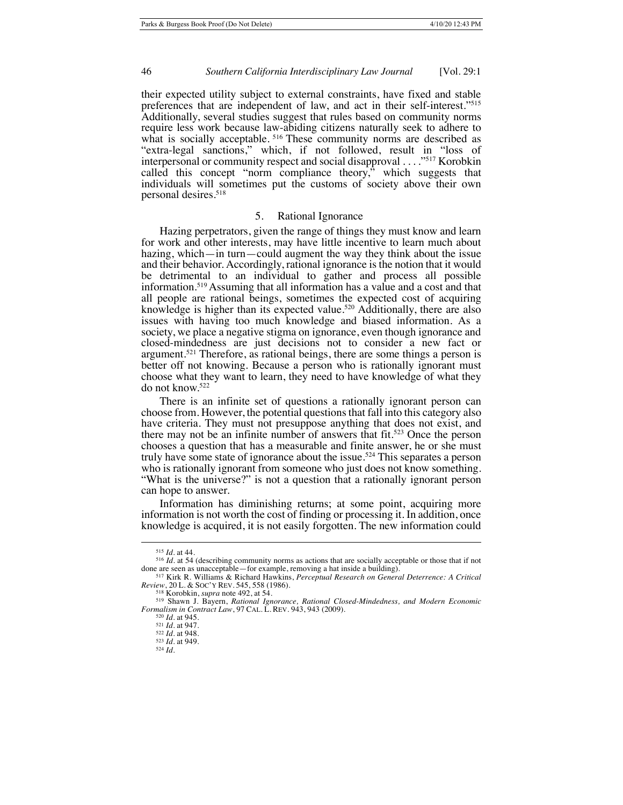their expected utility subject to external constraints, have fixed and stable preferences that are independent of law, and act in their self-interest."515 Additionally, several studies suggest that rules based on community norms require less work because law-abiding citizens naturally seek to adhere to what is socially acceptable.<sup>516</sup> These community norms are described as "extra-legal sanctions," which, if not followed, result in "loss of interpersonal or community respect and social disapproval . . . ."517 Korobkin called this concept "norm compliance theory," which suggests that individuals will sometimes put the customs of society above their own personal desires.<sup>518</sup>

#### 5. Rational Ignorance

Hazing perpetrators, given the range of things they must know and learn for work and other interests, may have little incentive to learn much about hazing, which—in turn—could augment the way they think about the issue and their behavior. Accordingly, rational ignorance is the notion that it would be detrimental to an individual to gather and process all possible information.519 Assuming that all information has a value and a cost and that all people are rational beings, sometimes the expected cost of acquiring knowledge is higher than its expected value.<sup>520</sup> Additionally, there are also issues with having too much knowledge and biased information. As a society, we place a negative stigma on ignorance, even though ignorance and closed-mindedness are just decisions not to consider a new fact or argument.<sup>521</sup> Therefore, as rational beings, there are some things a person is better off not knowing. Because a person who is rationally ignorant must choose what they want to learn, they need to have knowledge of what they do not know.522

There is an infinite set of questions a rationally ignorant person can choose from. However, the potential questions that fall into this category also have criteria. They must not presuppose anything that does not exist, and there may not be an infinite number of answers that fit.<sup>523</sup> Once the person chooses a question that has a measurable and finite answer, he or she must truly have some state of ignorance about the issue.<sup>524</sup> This separates a person who is rationally ignorant from someone who just does not know something. "What is the universe?" is not a question that a rationally ignorant person can hope to answer.

Information has diminishing returns; at some point, acquiring more information is not worth the cost of finding or processing it. In addition, once knowledge is acquired, it is not easily forgotten. The new information could

<sup>515</sup> *Id.* at 44.

<sup>516</sup> *Id.* at 54 (describing community norms as actions that are socially acceptable or those that if not done are seen as unacceptable—for example, removing a hat inside a building).

<sup>517</sup> Kirk R. Williams & Richard Hawkins, *Perceptual Research on General Deterrence: A Critical Review*, 20 L. & SOC'Y REV. 545, 558 (1986).

<sup>518</sup> Korobkin, *supra* note 492, at 54.

<sup>519</sup> Shawn J. Bayern, *Rational Ignorance, Rational Closed-Mindedness, and Modern Economic Formalism in Contract Law*, 97 CAL. L. REV. 943, 943 (2009).

<sup>520</sup> *Id.* at 945.

<sup>521</sup> *Id.* at 947.

<sup>522</sup> *Id.* at 948. <sup>523</sup> *Id.* at 949.

<sup>524</sup> *Id.*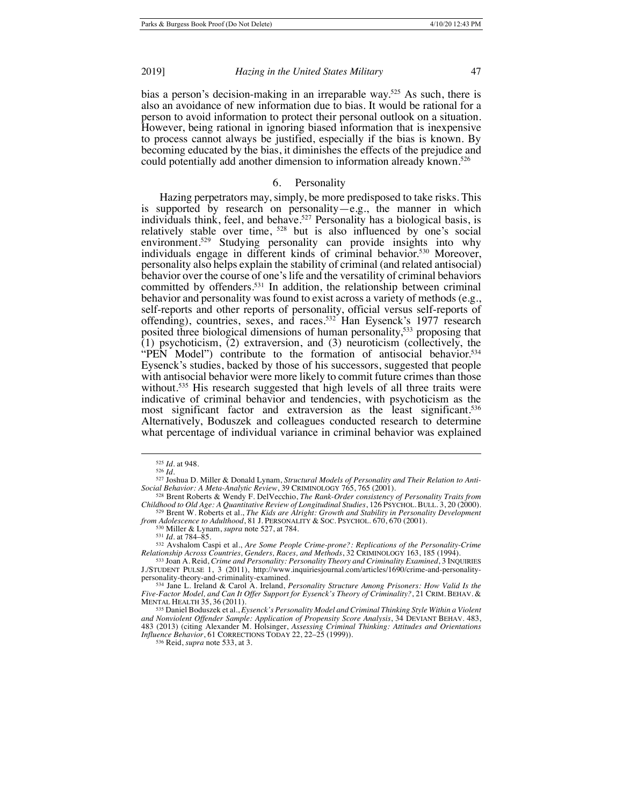bias a person's decision-making in an irreparable way.<sup>525</sup> As such, there is also an avoidance of new information due to bias. It would be rational for a person to avoid information to protect their personal outlook on a situation. However, being rational in ignoring biased information that is inexpensive to process cannot always be justified, especially if the bias is known. By becoming educated by the bias, it diminishes the effects of the prejudice and could potentially add another dimension to information already known.526

# 6. Personality

Hazing perpetrators may, simply, be more predisposed to take risks. This is supported by research on personality—e.g., the manner in which individuals think, feel, and behave.<sup>527</sup> Personality has a biological basis, is relatively stable over time, <sup>528</sup> but is also influenced by one's social environment.<sup>529</sup> Studying personality can provide insights into why individuals engage in different kinds of criminal behavior.<sup>530</sup> Moreover, personality also helps explain the stability of criminal (and related antisocial) behavior over the course of one's life and the versatility of criminal behaviors committed by offenders.<sup>531</sup> In addition, the relationship between criminal behavior and personality was found to exist across a variety of methods (e.g., self-reports and other reports of personality, official versus self-reports of offending), countries, sexes, and races.<sup>532</sup> Han Eysenck's 1977 research posited three biological dimensions of human personality,<sup>533</sup> proposing that  $(1)$  psychoticism,  $(2)$  extraversion, and  $(3)$  neuroticism (collectively, the "PEN Model") contribute to the formation of antisocial behavior.<sup>534</sup> Eysenck's studies, backed by those of his successors, suggested that people with antisocial behavior were more likely to commit future crimes than those without.<sup>535</sup> His research suggested that high levels of all three traits were indicative of criminal behavior and tendencies, with psychoticism as the most significant factor and extraversion as the least significant.<sup>536</sup> Alternatively, Boduszek and colleagues conducted research to determine what percentage of individual variance in criminal behavior was explained

*from Adolescence to Adulthood*, 81 J. PERSONALITY & SOC. PSYCHOL. 670, 670 (2001).

<sup>532</sup> Avshalom Caspi et al., *Are Some People Crime-prone?: Replications of the Personality-Crime Relationship Across Countries, Genders, Races, and Methods*, 32 CRIMINOLOGY 163, 185 (1994).

<sup>533</sup> Joan A. Reid, *Crime and Personality: Personality Theory and Criminality Examined*, 3 INQUIRIES J./STUDENT PULSE 1, 3 (2011), http://www.inquiriesjournal.com/articles/1690/crime-and-personalitypersonality-theory-and-criminality-examined.

<sup>535</sup> Daniel Boduszek et al., *Eysenck's Personality Model and Criminal Thinking Style Within a Violent*  and Nonviolent Offender Sample: Application of Propensity Score Analysis, 34 DEVIANT BEHAV. 483,<br>483 (2013) (citing Alexander M. Holsinger, *Assessing Criminal Thinking: Attitudes and Orientations Influence Behavior*, 61 CORRECTIONS TODAY 22, 22–25 (1999)).

<sup>536</sup> Reid, *supra* note 533, at 3.

<sup>525</sup> *Id.* at 948.

<sup>&</sup>lt;sup>526</sup> *Id.*<br><sup>527</sup> Joshua D. Miller & Donald Lynam, *Structural Models of Personality and Their Relation to Anti-Social Behavior: A Meta-Analytic Review*, 39 CRIMINOLOGY 765, 765 (2001).

<sup>528</sup> Brent Roberts & Wendy F. DelVecchio, *The Rank-Order consistency of Personality Traits from Childhood to Old Age: A Quantitative Review of Longitudinal Studies*, 126 PSYCHOL. BULL. 3, 20 (2000). <sup>529</sup> Brent W. Roberts et al., *The Kids are Alright: Growth and Stability in Personality Development* 

<sup>530</sup> Miller & Lynam, *supra* note 527, at 784.

<sup>531</sup> *Id.* at 784–85.

<sup>534</sup> Jane L. Ireland & Carol A. Ireland, *Personality Structure Among Prisoners: How Valid Is the Five-Factor Model, and Can It Offer Support for Eysenck's Theory of Criminality?*, 21 CRIM. BEHAV. & MENTAL HEALTH 35, 36 (2011).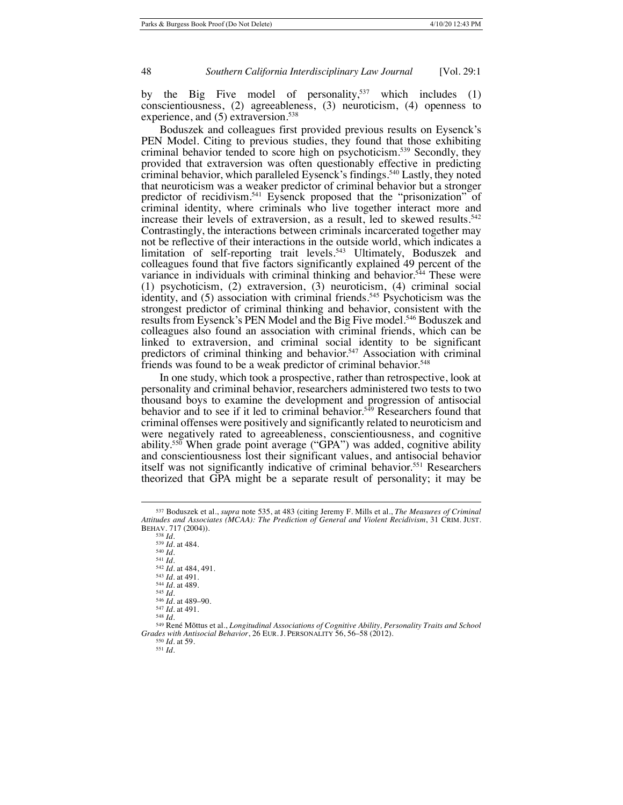by the Big Five model of personality, $537$  which includes (1) conscientiousness, (2) agreeableness, (3) neuroticism, (4) openness to experience, and (5) extraversion.<sup>538</sup>

Boduszek and colleagues first provided previous results on Eysenck's PEN Model. Citing to previous studies, they found that those exhibiting criminal behavior tended to score high on psychoticism.539 Secondly, they provided that extraversion was often questionably effective in predicting criminal behavior, which paralleled Eysenck's findings.540 Lastly, they noted that neuroticism was a weaker predictor of criminal behavior but a stronger predictor of recidivism.<sup>541</sup> Eysenck proposed that the "prisonization" of criminal identity, where criminals who live together interact more and increase their levels of extraversion, as a result, led to skewed results.<sup>542</sup> Contrastingly, the interactions between criminals incarcerated together may not be reflective of their interactions in the outside world, which indicates a limitation of self-reporting trait levels.<sup>543</sup> Ultimately, Boduszek and colleagues found that five factors significantly explained 49 percent of the variance in individuals with criminal thinking and behavior.<sup>544</sup> These were (1) psychoticism, (2) extraversion, (3) neuroticism, (4) criminal social identity, and (5) association with criminal friends.<sup>545</sup> Psychoticism was the strongest predictor of criminal thinking and behavior, consistent with the results from Eysenck's PEN Model and the Big Five model.546 Boduszek and colleagues also found an association with criminal friends, which can be linked to extraversion, and criminal social identity to be significant predictors of criminal thinking and behavior.<sup>547</sup> Association with criminal friends was found to be a weak predictor of criminal behavior.<sup>548</sup>

In one study, which took a prospective, rather than retrospective, look at personality and criminal behavior, researchers administered two tests to two thousand boys to examine the development and progression of antisocial behavior and to see if it led to criminal behavior.<sup>549</sup> Researchers found that criminal offenses were positively and significantly related to neuroticism and were negatively rated to agreeableness, conscientiousness, and cognitive ability.550 When grade point average ("GPA") was added, cognitive ability and conscientiousness lost their significant values, and antisocial behavior itself was not significantly indicative of criminal behavior.<sup>551</sup> Researchers theorized that GPA might be a separate result of personality; it may be

<sup>538</sup> *Id.*

<sup>539</sup> *Id.* at 484.

<sup>540</sup> *Id.* <sup>541</sup> *Id.*

<sup>542</sup> *Id.* at 484, 491.

<sup>543</sup> *Id.* at 491.

<sup>544</sup> *Id.* at 489.

<sup>545</sup> *Id.*

<sup>546</sup> *Id.* at 489–90.

<sup>549</sup> René Mõttus et al., *Longitudinal Associations of Cognitive Ability, Personality Traits and School Grades with Antisocial Behavior*, 26 EUR. J. PERSONALITY 56, 56–58 (2012). <sup>550</sup> *Id.* at 59.

<sup>551</sup> *Id.*

<sup>537</sup> Boduszek et al., *supra* note 535, at 483 (citing Jeremy F. Mills et al., *The Measures of Criminal Attitudes and Associates (MCAA): The Prediction of General and Violent Recidivism*, 31 CRIM. JUST. BEHAV. 717 (2004)).

<sup>547</sup> *Id.* at 491. 548 *Id.*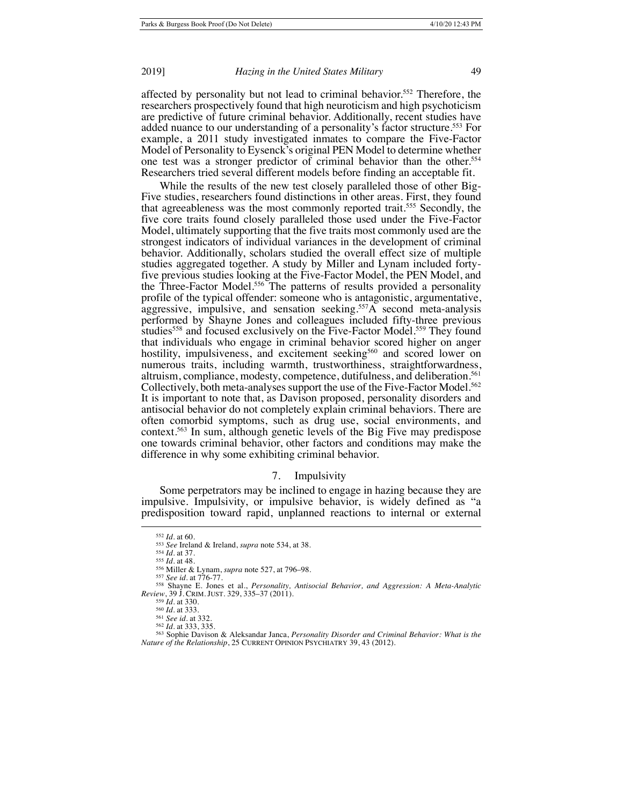affected by personality but not lead to criminal behavior.<sup>552</sup> Therefore, the researchers prospectively found that high neuroticism and high psychoticism are predictive of future criminal behavior. Additionally, recent studies have added nuance to our understanding of a personality's factor structure.<sup>553</sup> For example, a 2011 study investigated inmates to compare the Five-Factor Model of Personality to Eysenck's original PEN Model to determine whether one test was a stronger predictor of criminal behavior than the other.<sup>554</sup> Researchers tried several different models before finding an acceptable fit.

While the results of the new test closely paralleled those of other Big-<br>Five studies, researchers found distinctions in other areas. First, they found that agreeableness was the most commonly reported trait.555 Secondly, the five core traits found closely paralleled those used under the Five-Factor Model, ultimately supporting that the five traits most commonly used are the strongest indicators of individual variances in the development of criminal behavior. Additionally, scholars studied the overall effect size of multiple studies aggregated together. A study by Miller and Lynam included fortyfive previous studies looking at the Five-Factor Model, the PEN Model, and the Three-Factor Model.<sup>556</sup> The patterns of results provided a personality profile of the typical offender: someone who is antagonistic, argumentative, aggressive, impulsive, and sensation seeking.<sup>557</sup>A second meta-analysis performed by Shayne Jones and colleagues included fifty-three previous studies<sup>558</sup> and focused exclusively on the Five-Factor Model.<sup>559</sup> They found that individuals who engage in criminal behavior scored higher on anger hostility, impulsiveness, and excitement seeking<sup>560</sup> and scored lower on numerous traits, including warmth, trustworthiness, straightforwardness, altruism, compliance, modesty, competence, dutifulness, and deliberation.<sup>561</sup> Collectively, both meta-analyses support the use of the Five-Factor Model. 562 It is important to note that, as Davison proposed, personality disorders and antisocial behavior do not completely explain criminal behaviors. There are often comorbid symptoms, such as drug use, social environments, and context.563 In sum, although genetic levels of the Big Five may predispose one towards criminal behavior, other factors and conditions may make the difference in why some exhibiting criminal behavior.

# 7. Impulsivity

Some perpetrators may be inclined to engage in hazing because they are impulsive. Impulsivity, or impulsive behavior, is widely defined as "a predisposition toward rapid, unplanned reactions to internal or external

<sup>552</sup> *Id.* at 60.

<sup>553</sup> *See* Ireland & Ireland, *supra* note 534, at 38.

<sup>554</sup> *Id.* at 37. <sup>555</sup> *Id.* at 48.

<sup>556</sup> Miller & Lynam, *supra* note 527, at 796–98. <sup>557</sup> *See id.* at 776-77.

<sup>558</sup> Shayne E. Jones et al., *Personality, Antisocial Behavior, and Aggression: A Meta-Analytic Review*, 39 J. CRIM. JUST. 329, 335–37 (2011).

<sup>559</sup> *Id.* at 330.

<sup>560</sup> *Id.* at 333.

<sup>561</sup> *See id.* at 332*.*

<sup>562</sup> *Id.* at 333, 335.

<sup>563</sup> Sophie Davison & Aleksandar Janca, *Personality Disorder and Criminal Behavior: What is the Nature of the Relationship*, 25 CURRENT OPINION PSYCHIATRY 39, 43 (2012).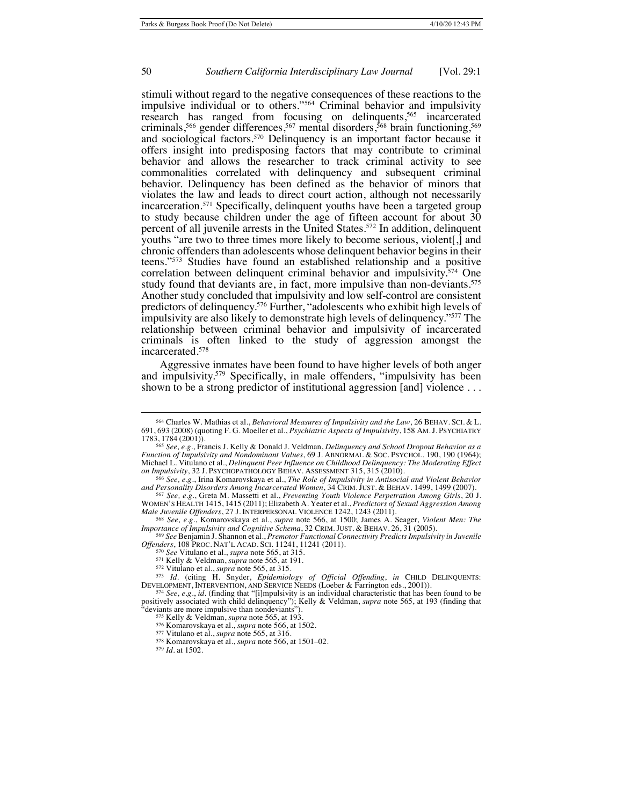stimuli without regard to the negative consequences of these reactions to the impulsive individual or to others."564 Criminal behavior and impulsivity research has ranged from focusing on delinquents,<sup>565</sup> incarcerated criminals,<sup>566</sup> gender differences,<sup>567</sup> mental disorders,<sup>568</sup> brain functioning,<sup>569</sup> and sociological factors.<sup>570</sup> Delinquency is an important factor because it offers insight into predisposing factors that may contribute to criminal behavior and allows the researcher to track criminal activity to see commonalities correlated with delinquency and subsequent criminal behavior. Delinquency has been defined as the behavior of minors that violates the law and leads to direct court action, although not necessarily incarceration.571 Specifically, delinquent youths have been a targeted group to study because children under the age of fifteen account for about 30 percent of all juvenile arrests in the United States.<sup>572</sup> In addition, delinquent youths "are two to three times more likely to become serious, violent[,] and chronic offenders than adolescents whose delinquent behavior begins in their teens."<sup>573</sup> Studies have found an established relationship and a positive correlation between delinquent criminal behavior and impulsivity.<sup>574</sup> One study found that deviants are, in fact, more impulsive than non-deviants.<sup>575</sup> Another study concluded that impulsivity and low self-control are consistent predictors of delinquency.576 Further, "adolescents who exhibit high levels of impulsivity are also likely to demonstrate high levels of delinquency."577 The relationship between criminal behavior and impulsivity of incarcerated criminals is often linked to the study of aggression amongst the incarcerated.578

Aggressive inmates have been found to have higher levels of both anger and impulsivity.579 Specifically, in male offenders, "impulsivity has been shown to be a strong predictor of institutional aggression [and] violence ...

<sup>569</sup> *See* Benjamin J. Shannon et al., *Premotor Functional Connectivity Predicts Impulsivity in Juvenile Offenders*, 108 PROC. NAT'L ACAD. SCI. 11241, 11241 (2011).

<sup>570</sup> *See* Vitulano et al., *supra* note 565, at 315.

573 Id. (citing H. Snyder, *Epidemiology of Official Offending*, *in* CHILD DELINQUENTS: DEVELOPMENT, INTERVENTION, AND SERVICE NEEDS (Loeber & Farrington eds., 2001)).

<sup>574</sup> *See, e.g.*, *id.* (finding that "[i]mpulsivity is an individual characteristic that has been found to be positively associated with child delinquency"); Kelly & Veldman, *supra* note 565, at 193 (finding that deviants are more impulsive than nondeviants").<br>
<sup>575</sup> Kelly & Veldman, *supra* note 565, at 193

<sup>564</sup> Charles W. Mathias et al., *Behavioral Measures of Impulsivity and the Law*, 26 BEHAV. SCI. & L. 691, 693 (2008) (quoting F. G. Moeller et al., *Psychiatric Aspects of Impulsivity*, 158 AM.J. PSYCHIATRY

<sup>1783,</sup> 1784 (2001)). <sup>565</sup> *See, e.g.*, Francis J. Kelly & Donald J. Veldman, *Delinquency and School Dropout Behavior as a Function of Impulsivity and Nondominant Values*, 69 J. ABNORMAL & SOC. PSYCHOL. 190, 190 (1964); Michael L. Vitulano et al., *Delinquent Peer Influence on Childhood Delinquency: The Moderating Effect on Impulsivity*, 32 J. PSYCHOPATHOLOGY BEHAV. ASSESSMENT 315, 315 (2010).

<sup>566</sup> *See, e.g.*, Irina Komarovskaya et al., *The Role of Impulsivity in Antisocial and Violent Behavior and Personality Disorders Among Incarcerated Women*, 34 CRIM. JUST. & BEHAV. 1499, 1499 (2007). <sup>567</sup> *See, e.g.*, Greta M. Massetti et al., *Preventing Youth Violence Perpetration Among Girls*, 20 J.

WOMEN'S HEALTH 1415, 1415 (2011); Elizabeth A. Yeater et al., *Predictors of Sexual Aggression Among Male Juvenile Offenders*, 27 J. INTERPERSONAL VIOLENCE 1242, 1243 (2011).

<sup>568</sup> *See, e.g.*, Komarovskaya et al., *supra* note 566, at 1500; James A. Seager, *Violent Men: The Importance of Impulsivity and Cognitive Schema*, 32 CRIM. JUST. & BEHAV. 26, 31 (2005).

<sup>571</sup> Kelly & Veldman, *supra* note 565, at 191.

<sup>575</sup> Kelly & Veldman, *supra* note 565, at 193. 576 Komarovskaya et al., *supra* note 566, at 1502. 577 Vitulano et al., *supra* note 565, at 316.

<sup>578</sup> Komarovskaya et al., *supra* note 566, at 1501–02. 579 *Id.* at 1502.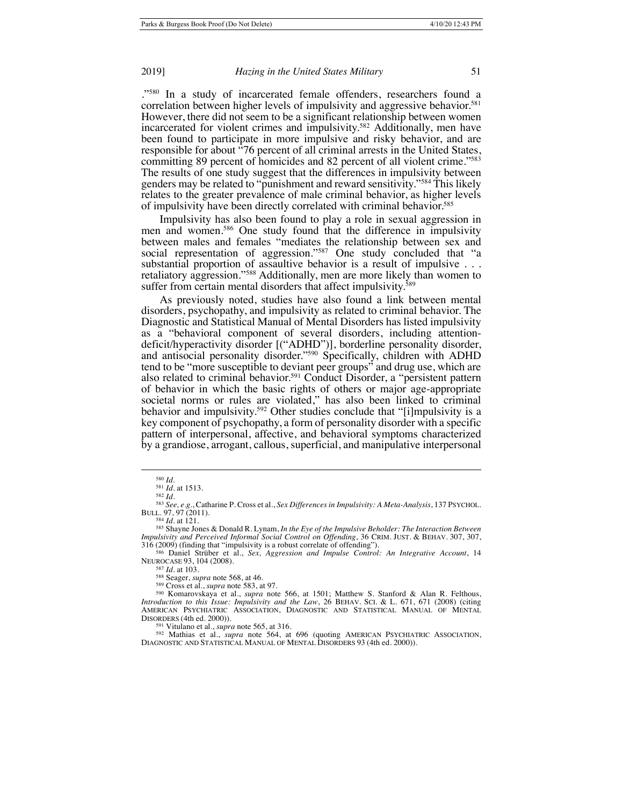."580 In a study of incarcerated female offenders, researchers found a correlation between higher levels of impulsivity and aggressive behavior.<sup>581</sup> However, there did not seem to be a significant relationship between women incarcerated for violent crimes and impulsivity.<sup>582</sup> Additionally, men have been found to participate in more impulsive and risky behavior, and are responsible for about "76 percent of all criminal arrests in the United States, committing 89 percent of homicides and 82 percent of all violent crime."583 The results of one study suggest that the differences in impulsivity between genders may be related to "punishment and reward sensitivity."584 This likely relates to the greater prevalence of male criminal behavior, as higher levels of impulsivity have been directly correlated with criminal behavior.585

Impulsivity has also been found to play a role in sexual aggression in men and women.586 One study found that the difference in impulsivity between males and females "mediates the relationship between sex and social representation of aggression."<sup>587</sup> One study concluded that "a substantial proportion of assaultive behavior is a result of impulsive . . . retaliatory aggression."588 Additionally, men are more likely than women to suffer from certain mental disorders that affect impulsivity.<sup>589</sup>

As previously noted, studies have also found a link between mental disorders, psychopathy, and impulsivity as related to criminal behavior. The Diagnostic and Statistical Manual of Mental Disorders has listed impulsivity as a "behavioral component of several disorders, including attention- deficit/hyperactivity disorder [("ADHD")], borderline personality disorder, and antisocial personality disorder."590 Specifically, children with ADHD tend to be "more susceptible to deviant peer groups" and drug use, which are also related to criminal behavior.591 Conduct Disorder, a "persistent pattern of behavior in which the basic rights of others or major age-appropriate societal norms or rules are violated," has also been linked to criminal behavior and impulsivity.<sup>592</sup> Other studies conclude that "[i]mpulsivity is a key component of psychopathy, a form of personality disorder with a specific pattern of interpersonal, affective, and behavioral symptoms characterized by a grandiose, arrogant, callous, superficial, and manipulative interpersonal

<sup>586</sup> Daniel Strüber et al., *Sex, Aggression and Impulse Control: An Integrative Account*, 14 NEUROCASE 93, 104 (2008).

<sup>591</sup> Vitulano et al., *supra* note 565, at 316.

<sup>592</sup> Mathias et al., *supra* note 564, at 696 (quoting AMERICAN PSYCHIATRIC ASSOCIATION, DIAGNOSTIC AND STATISTICAL MANUAL OF MENTAL DISORDERS 93 (4th ed. 2000)).

<sup>580</sup> *Id.*

<sup>581</sup> *Id.* at 1513. 582 *Id.*

<sup>583</sup> *See, e.g.*, Catharine P. Cross et al., *Sex Differences in Impulsivity: A Meta-Analysis*, 137 PSYCHOL. BULL. 97, 97 (2011).<br> $584$  *Id.* at 121.

<sup>584</sup> *Id.* at 121. 585 Shayne Jones & Donald R. Lynam, *In the Eye of the Impulsive Beholder: The Interaction Between Impulsivity and Perceived Informal Social Control on Offending*, 36 CRIM. JUST. & BEHAV. 307, 307, 316 (2009) (finding that "impulsivity is a robust correlate of offending").

<sup>587</sup> *Id.* at 103*.*

<sup>588</sup> Seager, *supra* note 568, at 46. 589 Cross et al., *supra* note 583, at 97.

<sup>590</sup> Komarovskaya et al., *supra* note 566, at 1501; Matthew S. Stanford & Alan R. Felthous, *Introduction to this Issue: Impulsivity and the Law*, 26 BEHAV. SCI. & L. 671, 671 (2008) (citing AMERICAN PSYCHIATRIC ASSOCIATION, DIAGNOSTIC AND STATISTICAL MANUAL OF MENTAL DISORDERS (4th ed. 2000)).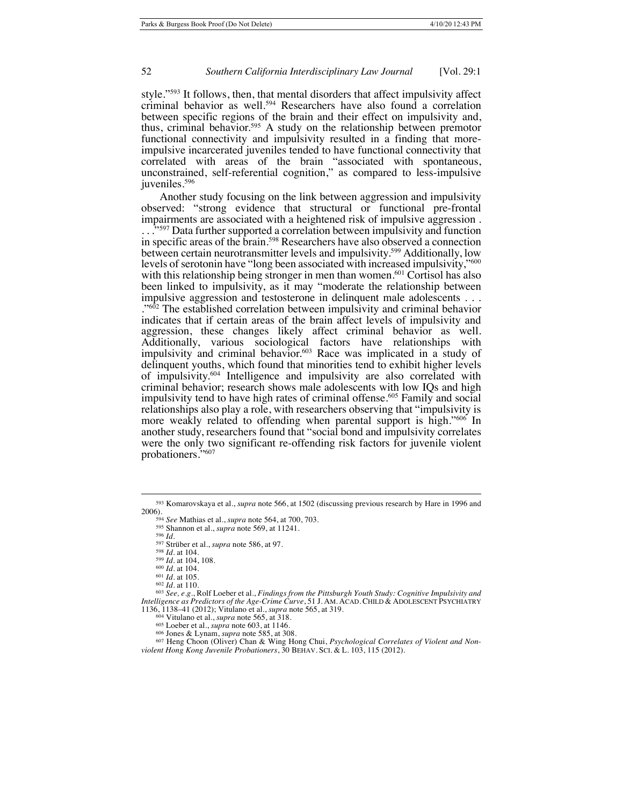style."<sup>593</sup> It follows, then, that mental disorders that affect impulsivity affect criminal behavior as well.<sup>594</sup> Researchers have also found a correlation between specific regions of the brain and their effect on impulsivity and, thus, criminal behavior.<sup>595</sup> A study on the relationship between premotor functional connectivity and impulsivity resulted in a finding that moreimpulsive incarcerated juveniles tended to have functional connectivity that correlated with areas of the brain "associated with spontaneous, unconstrained, self-referential cognition," as compared to less-impulsive juveniles.<sup>596</sup>

Another study focusing on the link between aggression and impulsivity observed: "strong evidence that structural or functional pre-frontal impairments are associated with a heightened risk of impulsive aggression . ...<sup>"597</sup> Data further supported a correlation between impulsivity and function in specific areas of the brain.<sup>598</sup> Researchers have also observed a connection between certain neurotransmitter levels and impulsivity.<sup>599</sup> Additionally, low levels of serotonin have "long been associated with increased impulsivity,"<sup>600</sup> with this relationship being stronger in men than women.<sup>601</sup> Cortisol has also been linked to impulsivity, as it may "moderate the relationship between impulsive aggression and testosterone in delinquent male adolescents . . . ."602 The established correlation between impulsivity and criminal behavior indicates that if certain areas of the brain affect levels of impulsivity and aggression, these changes likely affect criminal behavior as well. Additionally, various sociological factors have relationships with impulsivity and criminal behavior.<sup>603</sup> Race was implicated in a study of delinquent youths, which found that minorities tend to exhibit higher levels of impulsivity.604 Intelligence and impulsivity are also correlated with criminal behavior; research shows male adolescents with low IQs and high impulsivity tend to have high rates of criminal offense.<sup>605</sup> Family and social relationships also play a role, with researchers observing that "impulsivity is more weakly related to offending when parental support is high."<sup>606</sup> In another study, researchers found that "social bond and impulsivity correlates were the only two significant re-offending risk factors for juvenile violent probationers."607

<sup>596</sup> *Id.*

<sup>593</sup> Komarovskaya et al., *supra* note 566, at 1502 (discussing previous research by Hare in 1996 and 2006). <sup>594</sup> *See* Mathias et al., *supra* note 564, at 700, 703.

<sup>595</sup> Shannon et al., *supra* note 569, at 11241.

<sup>597</sup> Strüber et al., *supra* note 586, at 97.

<sup>598</sup> *Id.* at 104. 599 *Id.* at 104, 108. 600 *Id.* at 104.

<sup>601</sup> *Id.* at 105. 602 *Id.* at 110.

<sup>603</sup> *See, e.g.*, Rolf Loeber et al., *Findings from the Pittsburgh Youth Study: Cognitive Impulsivity and Intelligence as Predictors of the Age-Crime Curve*, 51 J. AM. ACAD. CHILD & ADOLESCENT PSYCHIATRY 1136, 1138–41 (2012); Vitulano et al., *supra* note 565, at 319.

<sup>604</sup> Vitulano et al., *supra* note 565, at 318. 605 Loeber et al., *supra* note 603, at 1146. 606 Jones & Lynam, *supra* note 585, at 308.

<sup>607</sup> Heng Choon (Oliver) Chan & Wing Hong Chui, *Psychological Correlates of Violent and Nonviolent Hong Kong Juvenile Probationers*, 30 BEHAV. SCI. & L. 103, 115 (2012).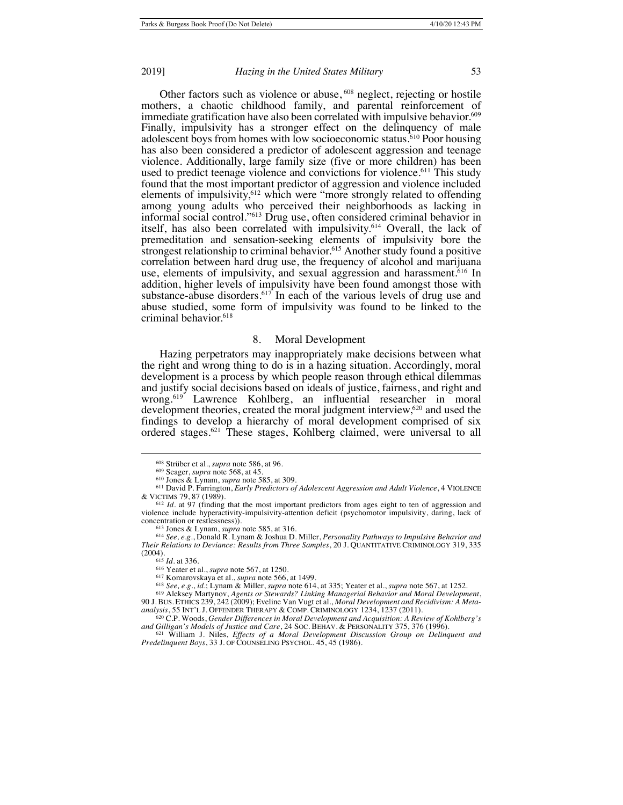Other factors such as violence or abuse, <sup>608</sup> neglect, rejecting or hostile mothers, a chaotic childhood family, and parental reinforcement of immediate gratification have also been correlated with impulsive behavior.<sup>609</sup> Finally, impulsivity has a stronger effect on the delinquency of male adolescent boys from homes with low socioeconomic status.<sup>610</sup> Poor housing has also been considered a predictor of adolescent aggression and teenage violence. Additionally, large family size (five or more children) has been used to predict teenage violence and convictions for violence.<sup>611</sup> This study found that the most important predictor of aggression and violence included elements of impulsivity,  $612$  which were "more strongly related to offending among young adults who perceived their neighborhoods as lacking in informal social control."613 Drug use, often considered criminal behavior in itself, has also been correlated with impulsivity.<sup>614</sup> Overall, the lack of premeditation and sensation-seeking elements of impulsivity bore the strongest relationship to criminal behavior.<sup>615</sup> Another study found a positive correlation between hard drug use, the frequency of alcohol and marijuana use, elements of impulsivity, and sexual aggression and harassment.<sup>616</sup> In addition, higher levels of impulsivity have been found amongst those with substance-abuse disorders.<sup>617</sup> In each of the various levels of drug use and abuse studied, some form of impulsivity was found to be linked to the criminal behavior.<sup>618</sup>

#### 8. Moral Development

Hazing perpetrators may inappropriately make decisions between what the right and wrong thing to do is in a hazing situation. Accordingly, moral development is a process by which people reason through ethical dilemmas and justify social decisions based on ideals of justice, fairness, and right and wrong.<sup>619</sup> Lawrence Kohlberg, an influential researcher in moral development theories, created the moral judgment interview,<sup>620</sup> and used the findings to develop a hierarchy of moral development comprised of six ordered stages.621 These stages, Kohlberg claimed, were universal to all

<sup>&</sup>lt;sup>608</sup> Strüber et al., *supra* note 586, at 96.<br><sup>609</sup> Seager, *supra* note 568, at 45.<br><sup>610</sup> Jones & Lynam, *supra* note 585, at 309.<br><sup>611</sup> David P. Farrington, *Early Predictors of Adolescent Aggression and Adult Violence* & VICTIMS 79, 87 (1989).

<sup>&</sup>lt;sup>612</sup> *Id.* at 97 (finding that the most important predictors from ages eight to ten of aggression and violence include hyperactivity-impulsivity-attention deficit (psychomotor impulsivity, daring, lack of concentration or restlessness).<br><sup>613</sup> Jones & Lynam, *supra* note 585, at 316.

<sup>613</sup> Jones & Lynam, *supra* note 585, at 316. 614 *See, e.g.*, Donald R. Lynam & Joshua D. Miller, *Personality Pathways to Impulsive Behavior and Their Relations to Deviance: Results from Three Samples*, 20 J. QUANTITATIVE CRIMINOLOGY 319, 335 (2004).

<sup>615</sup> *Id.* at 336.

<sup>616</sup> Yeater et al., *supra* note 567, at 1250.

<sup>617</sup> Komarovskaya et al., *supra* note 566, at 1499.

<sup>618</sup> *See, e.g.*, *id.*; Lynam & Miller, *supra* note 614, at 335; Yeater et al., *supra* note 567, at 1252.

<sup>619</sup> Aleksey Martynov, *Agents or Stewards? Linking Managerial Behavior and Moral Development*, 90 J.BUS. ETHICS 239, 242 (2009); Eveline Van Vugt et al., *Moral Development and Recidivism: A Meta-*

analysis, 55 INT'L J. OFFENDER THERAPY & COMP. CRIMINOLOGY 1234, 1237 (2011).<br><sup>620</sup> C.P. Woods, *Gender Differences in Moral Development and Acquisition: A Review of Kohlberg's*<br>and Gilligan's *Models of Justice and Care*,

<sup>&</sup>lt;sup>621</sup> William J. Niles, *Effects of a Moral Development Discussion Group on Delinquent and Predelinquent Boys*, 33 J. OF COUNSELING PSYCHOL*.* 45, 45 (1986).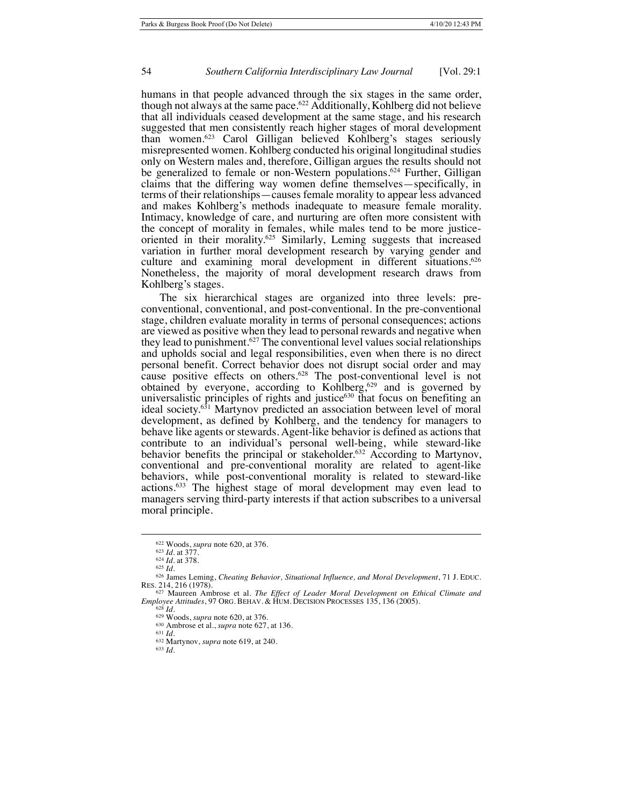humans in that people advanced through the six stages in the same order, though not always at the same pace.<sup>622</sup> Additionally, Kohlberg did not believe that all individuals ceased development at the same stage, and his research suggested that men consistently reach higher stages of moral development than women.623 Carol Gilligan believed Kohlberg's stages seriously misrepresented women. Kohlberg conducted his original longitudinal studies only on Western males and, therefore, Gilligan argues the results should not be generalized to female or non-Western populations.<sup>624</sup> Further, Gilligan claims that the differing way women define themselves—specifically, in terms of their relationships—causes female morality to appear less advanced and makes Kohlberg's methods inadequate to measure female morality. Intimacy, knowledge of care, and nurturing are often more consistent with the concept of morality in females, while males tend to be more justiceoriented in their morality.<sup>625</sup> Similarly, Leming suggests that increased variation in further moral development research by varying gender and culture and examining moral development in different situations.<sup>626</sup> Nonetheless, the majority of moral development research draws from Kohlberg's stages.

The six hierarchical stages are organized into three levels: pre- conventional, conventional, and post-conventional. In the pre-conventional stage, children evaluate morality in terms of personal consequences; actions are viewed as positive when they lead to personal rewards and negative when they lead to punishment.<sup>627</sup> The conventional level values social relationships and upholds social and legal responsibilities, even when there is no direct personal benefit. Correct behavior does not disrupt social order and may cause positive effects on others.<sup>628</sup> The post-conventional level is not obtained by everyone, according to Kohlberg,<sup>629</sup> and is governed by universalistic principles of rights and justice $630$  that focus on benefiting an ideal society.<sup>631</sup> Martynov predicted an association between level of moral development, as defined by Kohlberg, and the tendency for managers to behave like agents or stewards. Agent-like behavior is defined as actions that contribute to an individual's personal well-being, while steward-like behavior benefits the principal or stakeholder.<sup>632</sup> According to Martynov, conventional and pre-conventional morality are related to agent-like behaviors, while post-conventional morality is related to steward-like actions.633 The highest stage of moral development may even lead to managers serving third-party interests if that action subscribes to a universal moral principle*.* 

<sup>622</sup> Woods, *supra* note 620, at 376.

<sup>623</sup> *Id.* at 377. <sup>624</sup> *Id.* at 378.

<sup>625</sup> *Id.*

<sup>626</sup> James Leming, *Cheating Behavior, Situational Influence, and Moral Development*, 71 J. EDUC. RES. 214, 216 (1978).

<sup>627</sup> Maureen Ambrose et al. *The Effect of Leader Moral Development on Ethical Climate and Employee Attitudes*, 97 ORG. BEHAV. & HUM. DECISION PROCESSES 135, 136 (2005). <sup>628</sup> *Id.*

<sup>629</sup> Woods, *supra* note 620, at 376.

<sup>630</sup> Ambrose et al., *supra* note 627, at 136.

<sup>631</sup> *Id.*

<sup>632</sup> Martynov, *supra* note 619, at 240.

<sup>633</sup> *Id.*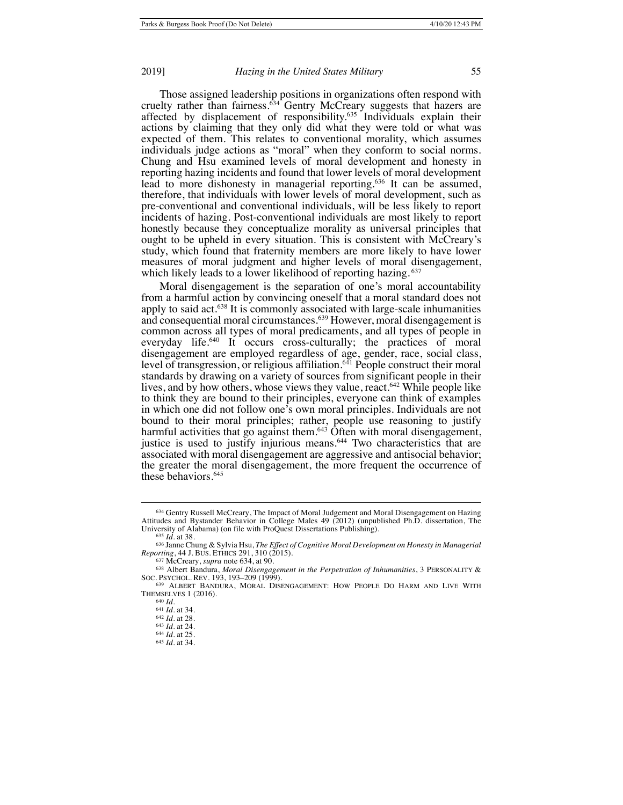Those assigned leadership positions in organizations often respond with cruelty rather than fairness. $634$  Gentry McCreary suggests that hazers are affected by displacement of responsibility.<sup>635</sup> Individuals explain their actions by claiming that they only did what they were told or what was expected of them. This relates to conventional morality, which assumes individuals judge actions as "moral" when they conform to social norms. Chung and Hsu examined levels of moral development and honesty in reporting hazing incidents and found that lower levels of moral development lead to more dishonesty in managerial reporting.636 It can be assumed, therefore, that individuals with lower levels of moral development, such as pre-conventional and conventional individuals, will be less likely to report incidents of hazing. Post-conventional individuals are most likely to report honestly because they conceptualize morality as universal principles that ought to be upheld in every situation. This is consistent with McCreary's study, which found that fraternity members are more likely to have lower measures of moral judgment and higher levels of moral disengagement, which likely leads to a lower likelihood of reporting hazing. 637

Moral disengagement is the separation of one's moral accountability from a harmful action by convincing oneself that a moral standard does not apply to said act.<sup>638</sup> It is commonly associated with large-scale inhumanities and consequential moral circumstances.639 However, moral disengagement is common across all types of moral predicaments, and all types of people in everyday life.<sup>640</sup> It occurs cross-culturally; the practices of moral disengagement are employed regardless of age, gender, race, social class, level of transgression, or religious affiliation.<sup>641</sup> People construct their moral standards by drawing on a variety of sources from significant people in their lives, and by how others, whose views they value, react.<sup>642</sup> While people like to think they are bound to their principles, everyone can think of examples in which one did not follow one's own moral principles. Individuals are not bound to their moral principles; rather, people use reasoning to justify harmful activities that go against them.<sup>643</sup> Often with moral disengagement, justice is used to justify injurious means.<sup>644</sup> Two characteristics that are associated with moral disengagement are aggressive and antisocial behavior; the greater the moral disengagement, the more frequent the occurrence of these behaviors.<sup>645</sup>

<sup>634</sup> Gentry Russell McCreary, The Impact of Moral Judgement and Moral Disengagement on Hazing Attitudes and Bystander Behavior in College Males 49 (2012) (unpublished Ph.D. dissertation, The University of Alabama) (on file with ProQuest Dissertations Publishing). 635 *Id.* at 38.

<sup>636</sup> Janne Chung & Sylvia Hsu, *The Effect of Cognitive Moral Development on Honesty in Managerial Reporting*, 44 J. BUS. ETHICS 291, 310 (2015). 637 McCreary, *supra* note 634, at 90.

<sup>638</sup> Albert Bandura, *Moral Disengagement in the Perpetration of Inhumanities*, 3 PERSONALITY &<br>SOC. PSYCHOL. REV. 193, 193–209 (1999).

<sup>539</sup> ALBERT BANDURA, MORAL DISENGAGEMENT: HOW PEOPLE DO HARM AND LIVE WITH THEMSELVES 1 (2016).<br><sup>640</sup> *Id.*<br><sup>641</sup> *Id.* at 34.

<sup>641</sup> *Id.* at 34. 642 *Id.* at 28.

<sup>643</sup> *Id.* at 24.

<sup>644</sup> *Id.* at 25. 645 *Id.* at 34.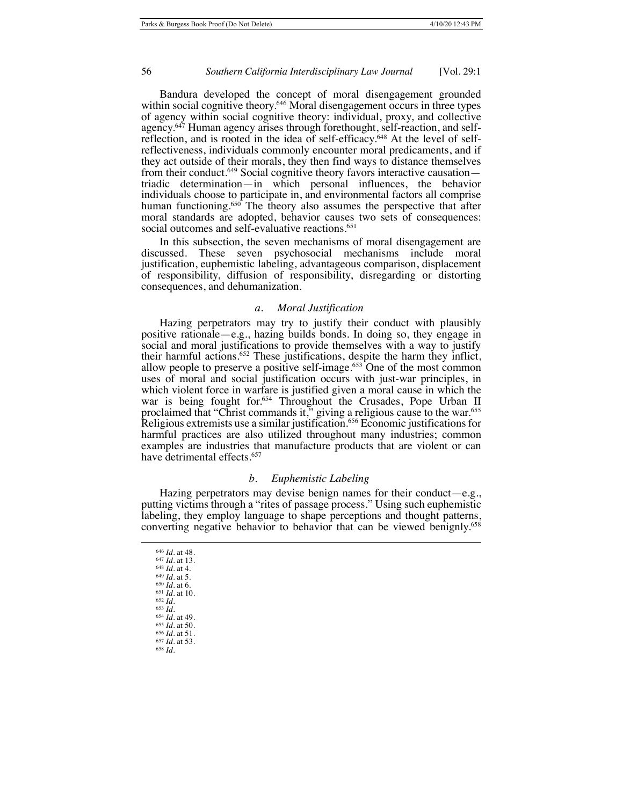Bandura developed the concept of moral disengagement grounded within social cognitive theory.<sup>646</sup> Moral disengagement occurs in three types of agency within social cognitive theory: individual, proxy, and collective agency.<sup>647</sup> Human agency arises through forethought, self-reaction, and selfreflection, and is rooted in the idea of self-efficacy.<sup>648</sup> At the level of self-<br>reflectiveness, individuals commonly encounter moral predicaments, and if they act outside of their morals, they then find ways to distance themselves from their conduct.<sup>649</sup> Social cognitive theory favors interactive causation—<br>triadic determination—in which personal influences, the behavior individuals choose to participate in, and environmental factors all comprise human functioning.<sup>650</sup> The theory also assumes the perspective that after moral standards are adopted, behavior causes two sets of consequences: social outcomes and self-evaluative reactions.<sup>651</sup>

In this subsection, the seven mechanisms of moral disengagement are discussed. These seven psychosocial mechanisms include moral justification, euphemistic labeling, advantageous comparison, displacement of responsibility, diffusion of responsibility, disregarding or distorting consequences, and dehumanization.

#### *a. Moral Justification*

Hazing perpetrators may try to justify their conduct with plausibly positive rationale—e.g., hazing builds bonds. In doing so, they engage in social and moral justifications to provide themselves with a way to justify their harmful actions.652 These justifications, despite the harm they inflict, allow people to preserve a positive self-image.<sup>653</sup> One of the most common uses of moral and social justification occurs with just-war principles, in which violent force in warfare is justified given a moral cause in which the war is being fought for.<sup>654</sup> Throughout the Crusades, Pope Urban II proclaimed that "Christ commands it," giving a religious cause to the war.<sup>655</sup> Religious extremists use a similar justification.<sup>656</sup> Economic justifications for harmful practices are also utilized throughout many industries; common examples are industries that manufacture products that are violent or can have detrimental effects.<sup>657</sup>

#### *b. Euphemistic Labeling*

Hazing perpetrators may devise benign names for their conduct—e.g., putting victims through a "rites of passage process." Using such euphemistic labeling, they employ language to shape perceptions and thought patterns, converting negative behavior to behavior that can be viewed benignly.<sup>658</sup>

 *Id.* at 48*. Id.* at 13. *Id.* at 4. 649 *Id.* at 5. 650 *Id.* at 6. *Id.* at 10. 652 *Id.*  $\frac{653 \text{ Id.}}{654 \text{ Id.}}$  at 49. *Id.* at 50.<br>656 *Id.* at 51. *Id.* at 51. 657 *Id.* at 53. <sup>658</sup> *Id.*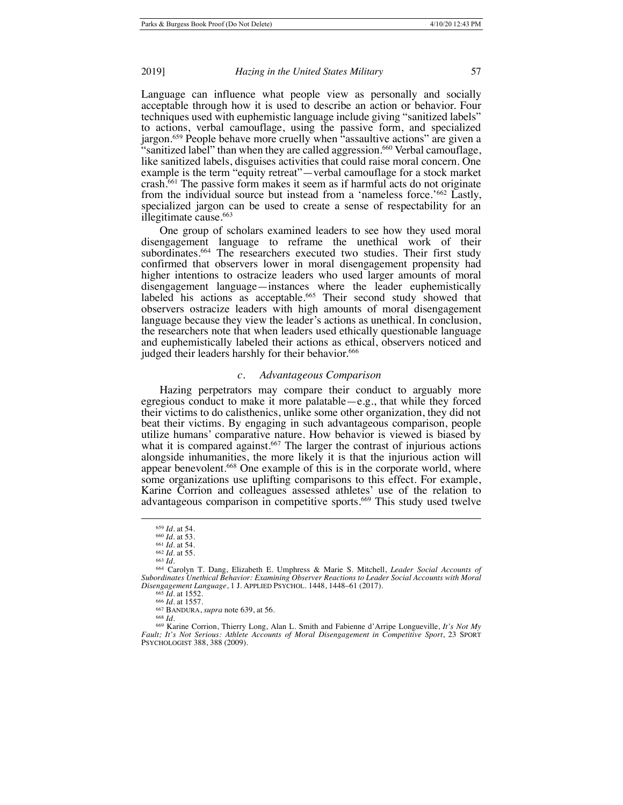Language can influence what people view as personally and socially acceptable through how it is used to describe an action or behavior. Four techniques used with euphemistic language include giving "sanitized labels" to actions, verbal camouflage, using the passive form, and specialized jargon.<sup>659</sup> People behave more cruelly when "assaultive actions" are given a "sanitized label" than when they are called aggression.<sup>660</sup> Verbal camouflage, like sanitized labels, disguises activities that could raise moral concern. One example is the term "equity retreat"—verbal camouflage for a stock market crash.<sup>661</sup> The passive form makes it seem as if harmful acts do not originate from the individual source but instead from a 'nameless force.'662 Lastly, specialized jargon can be used to create a sense of respectability for an illegitimate cause. $663$ 

One group of scholars examined leaders to see how they used moral disengagement language to reframe the unethical work of their subordinates.<sup>664</sup> The researchers executed two studies. Their first study confirmed that observers lower in moral disengagement propensity had higher intentions to ostracize leaders who used larger amounts of moral disengagement language—instances where the leader euphemistically labeled his actions as acceptable.<sup>665</sup> Their second study showed that observers ostracize leaders with high amounts of moral disengagement language because they view the leader's actions as unethical. In conclusion, the researchers note that when leaders used ethically questionable language and euphemistically labeled their actions as ethical, observers noticed and judged their leaders harshly for their behavior.<sup>666</sup>

#### *c. Advantageous Comparison*

Hazing perpetrators may compare their conduct to arguably more egregious conduct to make it more palatable—e.g., that while they forced their victims to do calisthenics, unlike some other organization, they did not beat their victims. By engaging in such advantageous comparison, people utilize humans' comparative nature. How behavior is viewed is biased by what it is compared against.<sup>667</sup> The larger the contrast of injurious actions alongside inhumanities, the more likely it is that the injurious action will appear benevolent.<sup>668</sup> One example of this is in the corporate world, where some organizations use uplifting comparisons to this effect. For example, Karine Corrion and colleagues assessed athletes' use of the relation to advantageous comparison in competitive sports.<sup>669</sup> This study used twelve

<sup>659</sup> *Id.* at 54. 660 *Id.* at 53. 661 *Id.* at 54.

<sup>662</sup> *Id.* at 55.

<sup>663</sup> *Id.* 

<sup>664</sup> Carolyn T. Dang, Elizabeth E. Umphress & Marie S. Mitchell, *Leader Social Accounts of Subordinates Unethical Behavior: Examining Observer Reactions to Leader Social Accounts with Moral Disengagement Language*, 1 J. APPLIED PSYCHOL. 1448, 1448–61 (2017).

<sup>665</sup> *Id.* at 1552. 666 *Id.* at 1557.

<sup>667</sup> BANDURA, *supra* note 639, at 56.

<sup>668</sup> *Id.*

<sup>669</sup> Karine Corrion, Thierry Long, Alan L. Smith and Fabienne d'Arripe Longueville, *It's Not My Fault; It's Not Serious: Athlete Accounts of Moral Disengagement in Competitive Sport*, 23 SPORT PSYCHOLOGIST 388, 388 (2009).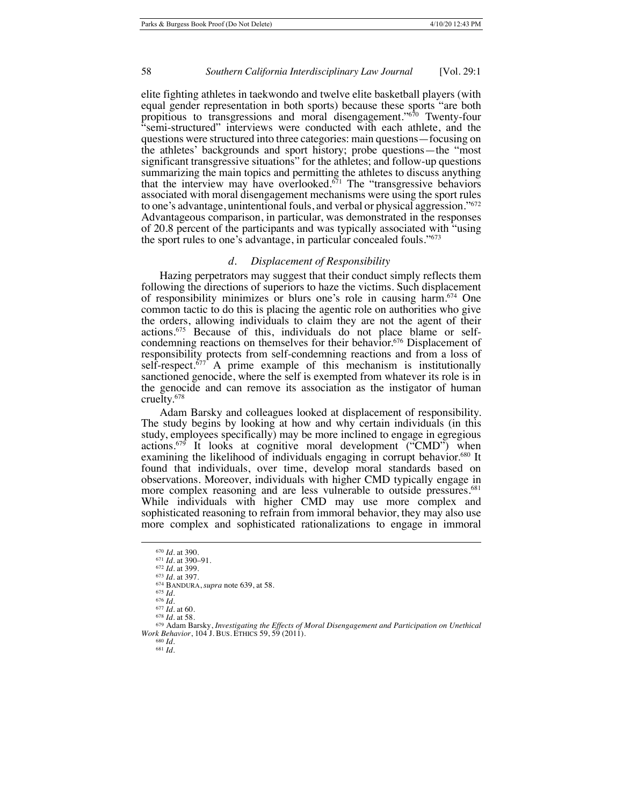elite fighting athletes in taekwondo and twelve elite basketball players (with equal gender representation in both sports) because these sports "are both propitious to transgressions and moral disengagement."670 Twenty-four 'semi-structured" interviews were conducted with each athlete, and the questions were structured into three categories: main questions—focusing on the athletes' backgrounds and sport history; probe questions—the "most significant transgressive situations" for the athletes; and follow-up questions summarizing the main topics and permitting the athletes to discuss anything that the interview may have overlooked.<sup> $\delta$ 1</sup> The "transgressive behaviors" associated with moral disengagement mechanisms were using the sport rules to one's advantage, unintentional fouls, and verbal or physical aggression."672 Advantageous comparison, in particular, was demonstrated in the responses of 20.8 percent of the participants and was typically associated with "using the sport rules to one's advantage, in particular concealed fouls."673

# *d. Displacement of Responsibility*

Hazing perpetrators may suggest that their conduct simply reflects them following the directions of superiors to haze the victims. Such displacement of responsibility minimizes or blurs one's role in causing harm.674 One common tactic to do this is placing the agentic role on authorities who give the orders, allowing individuals to claim they are not the agent of their actions.675 Because of this, individuals do not place blame or selfcondemning reactions on themselves for their behavior.<sup>676</sup> Displacement of responsibility protects from self-condemning reactions and from a loss of self-respect. $677$  A prime example of this mechanism is institutionally sanctioned genocide, where the self is exempted from whatever its role is in the genocide and can remove its association as the instigator of human cruelty.678

Adam Barsky and colleagues looked at displacement of responsibility. The study begins by looking at how and why certain individuals (in this study, employees specifically) may be more inclined to engage in egregious actions.679 It looks at cognitive moral development ("CMD") when examining the likelihood of individuals engaging in corrupt behavior.<sup>680</sup> It found that individuals, over time, develop moral standards based on observations. Moreover, individuals with higher CMD typically engage in more complex reasoning and are less vulnerable to outside pressures.<sup>681</sup> While individuals with higher CMD may use more complex and sophisticated reasoning to refrain from immoral behavior, they may also use more complex and sophisticated rationalizations to engage in immoral

<sup>675</sup> *Id.*

<sup>680</sup> *Id*. 681 *Id*.

<sup>670</sup> *Id.* at 390. <sup>671</sup> *Id.* at 390–91.

<sup>672</sup> *Id.* at 399.

<sup>673</sup> *Id.* at 397.

<sup>674</sup> BANDURA, *supra* note 639, at 58.

<sup>&</sup>lt;sup>676</sup> *Id*.<br><sup>677</sup> *Id*. at 60.

<sup>677</sup> *Id.* at 60. 678 *Id.* at 58.

<sup>679</sup> Adam Barsky, *Investigating the Effects of Moral Disengagement and Participation on Unethical Work Behavior*, 104 J. BUS. ETHICS 59, 59 (2011).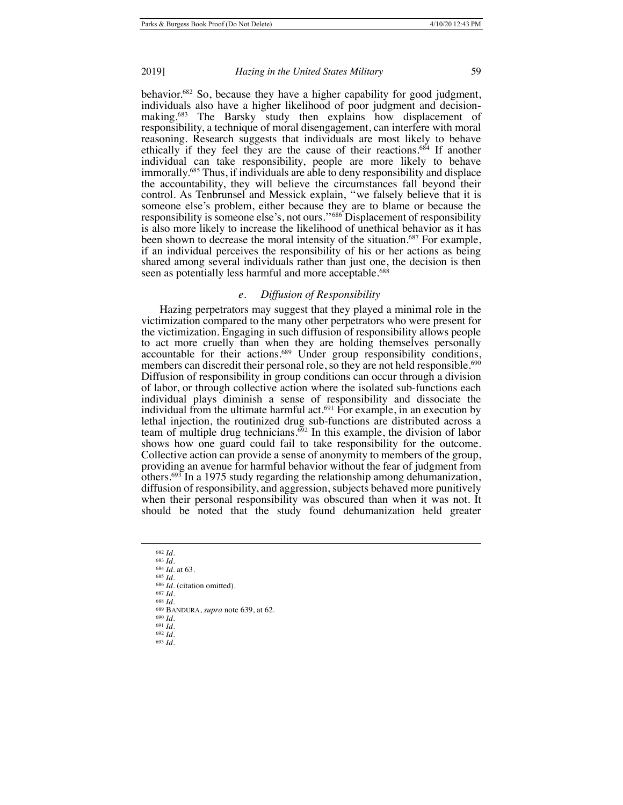behavior.<sup>682</sup> So, because they have a higher capability for good judgment, individuals also have a higher likelihood of poor judgment and decisionmaking.<sup>683</sup> The Barsky study then explains how displacement of responsibility, a technique of moral disengagement, can interfere with moral reasoning. Research suggests that individuals are most likely to behave ethically if they feel they are the cause of their reactions.<sup>684</sup> If another individual can take responsibility, people are more likely to behave immorally.685 Thus, if individuals are able to deny responsibility and displace the accountability, they will believe the circumstances fall beyond their control. As Tenbrunsel and Messick explain, ''we falsely believe that it is someone else's problem, either because they are to blame or because the responsibility is someone else's, not ours."<sup>686</sup> Displacement of responsibility is also more likely to increase the likelihood of unethical behavior as it has been shown to decrease the moral intensity of the situation.<sup>687</sup> For example, if an individual perceives the responsibility of his or her actions as being shared among several individuals rather than just one, the decision is then seen as potentially less harmful and more acceptable.<sup>688</sup>

# *e. Diffusion of Responsibility*

Hazing perpetrators may suggest that they played a minimal role in the victimization compared to the many other perpetrators who were present for the victimization. Engaging in such diffusion of responsibility allows people to act more cruelly than when they are holding themselves personally accountable for their actions.689 Under group responsibility conditions, members can discredit their personal role, so they are not held responsible.<sup>690</sup> Diffusion of responsibility in group conditions can occur through a division of labor, or through collective action where the isolated sub-functions each individual plays diminish a sense of responsibility and dissociate the individual from the ultimate harmful act.<sup>691</sup> For example, in an execution by lethal injection, the routinized drug sub-functions are distributed across a team of multiple drug technicians. $692$  In this example, the division of labor shows how one guard could fail to take responsibility for the outcome. Collective action can provide a sense of anonymity to members of the group, providing an avenue for harmful behavior without the fear of judgment from others.<sup>693</sup> In a 1975 study regarding the relationship among dehumanization, diffusion of responsibility, and aggression, subjects behaved more punitively when their personal responsibility was obscured than when it was not. It should be noted that the study found dehumanization held greater

<sup>682</sup> *Id*. 683 *Id*. 684 *Id*. at 63.

<sup>685</sup> *Id*.

<sup>686</sup> *Id.* (citation omitted).

 $\frac{687}{688}$  *Id*.

<sup>688</sup> *Id*. 689 BANDURA, *supra* note 639, at 62.

<sup>690</sup> *Id.* 

 $691$  *Id.* 

<sup>692</sup> *Id.*

<sup>693</sup> *Id.*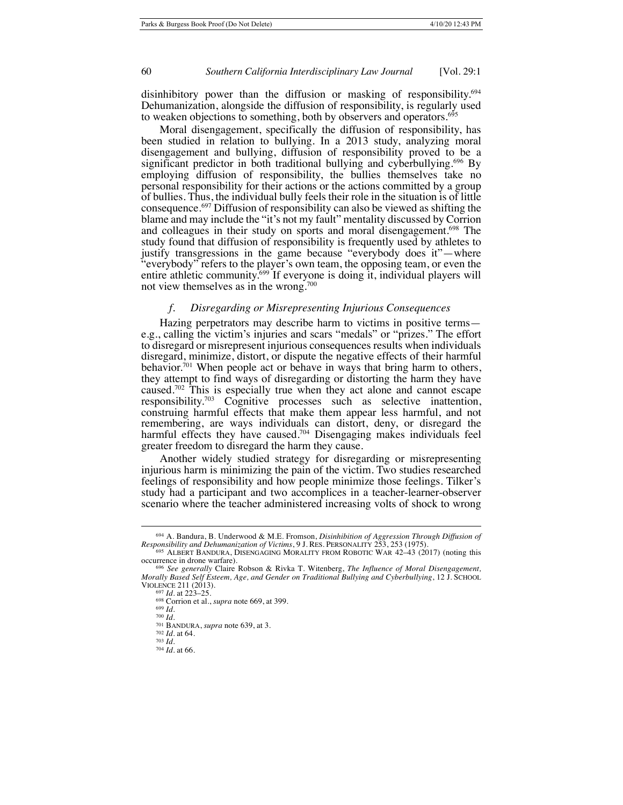disinhibitory power than the diffusion or masking of responsibility.<sup>694</sup> Dehumanization, alongside the diffusion of responsibility, is regularly used to weaken objections to something, both by observers and operators.<sup>695</sup>

Moral disengagement, specifically the diffusion of responsibility, has been studied in relation to bullying. In a 2013 study, analyzing moral disengagement and bullying, diffusion of responsibility proved to be a significant predictor in both traditional bullying and cyberbullying.<sup>696</sup> By employing diffusion of responsibility, the bullies themselves take no personal responsibility for their actions or the actions committed by a group of bullies. Thus, the individual bully feels their role in the situation is of little consequence.697 Diffusion of responsibility can also be viewed as shifting the blame and may include the "it's not my fault" mentality discussed by Corrion and colleagues in their study on sports and moral disengagement.698 The study found that diffusion of responsibility is frequently used by athletes to justify transgressions in the game because "everybody does it"—where "everybody" refers to the player's own team, the opposing team, or even the entire athletic community.<sup>699</sup> If everyone is doing it, individual players will not view themselves as in the wrong.700

# *f. Disregarding or Misrepresenting Injurious Consequences*

Hazing perpetrators may describe harm to victims in positive terms e.g., calling the victim's injuries and scars "medals" or "prizes." The effort to disregard or misrepresent injurious consequences results when individuals disregard, minimize, distort, or dispute the negative effects of their harmful behavior.701 When people act or behave in ways that bring harm to others, they attempt to find ways of disregarding or distorting the harm they have caused.702 This is especially true when they act alone and cannot escape responsibility.703 Cognitive processes such as selective inattention, construing harmful effects that make them appear less harmful, and not remembering, are ways individuals can distort, deny, or disregard the harmful effects they have caused.<sup>704</sup> Disengaging makes individuals feel greater freedom to disregard the harm they cause.

Another widely studied strategy for disregarding or misrepresenting injurious harm is minimizing the pain of the victim. Two studies researched feelings of responsibility and how people minimize those feelings. Tilker's study had a participant and two accomplices in a teacher-learner-observer scenario where the teacher administered increasing volts of shock to wrong

<sup>700</sup> *Id.*

<sup>704</sup> *Id.* at 66.

<sup>694</sup> A. Bandura, B. Underwood & M.E. Fromson, *Disinhibition of Aggression Through Diffusion of* 

<sup>&</sup>lt;sup>695</sup> ALBERT BANDURA, DISENGAGING MORALITY FROM ROBOTIC WAR 42–43 (2017) (noting this occurrence in drone warfare).

<sup>696</sup> *See generally* Claire Robson & Rivka T. Witenberg, *The Influence of Moral Disengagement, Morally Based Self Esteem, Age, and Gender on Traditional Bullying and Cyberbullying*, 12 J. SCHOOL VIOLENCE 211 (2013).

<sup>697</sup> *Id.* at 223–25.

<sup>698</sup> Corrion et al., *supra* note 669, at 399. 699 *Id.*

<sup>701</sup> BANDURA, *supra* note 639, at 3.

<sup>702</sup> *Id.* at 64.

<sup>703</sup> *Id.*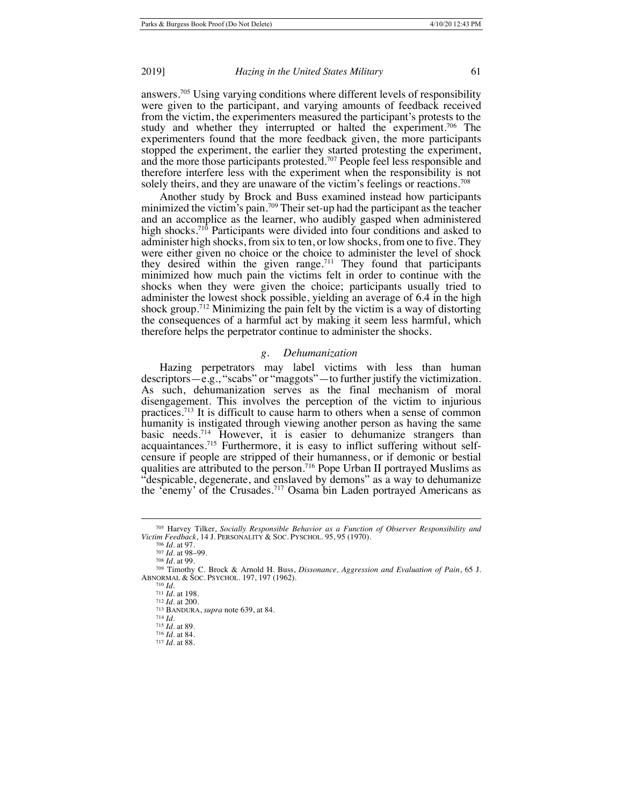answers.705 Using varying conditions where different levels of responsibility were given to the participant, and varying amounts of feedback received from the victim, the experimenters measured the participant's protests to the study and whether they interrupted or halted the experiment.<sup>706</sup> The experimenters found that the more feedback given, the more participants stopped the experiment, the earlier they started protesting the experiment, and the more those participants protested.<sup>707</sup> People feel less responsible and therefore interfere less with the experiment when the responsibility is not solely theirs, and they are unaware of the victim's feelings or reactions.<sup>708</sup>

Another study by Brock and Buss examined instead how participants minimized the victim's pain.<sup>709</sup> Their set-up had the participant as the teacher and an accomplice as the learner, who audibly gasped when administered high shocks.<sup>710</sup> Participants were divided into four conditions and asked to administer high shocks, from six to ten, or low shocks, from one to five. They were either given no choice or the choice to administer the level of shock they desired within the given range.<sup>711</sup> They found that participants minimized how much pain the victims felt in order to continue with the shocks when they were given the choice; participants usually tried to administer the lowest shock possible, yielding an average of 6.4 in the high shock group.712 Minimizing the pain felt by the victim is a way of distorting the consequences of a harmful act by making it seem less harmful, which therefore helps the perpetrator continue to administer the shocks.

#### *g. Dehumanization*

Hazing perpetrators may label victims with less than human descriptors—e.g., "scabs" or "maggots"—to further justify the victimization. As such, dehumanization serves as the final mechanism of moral disengagement. This involves the perception of the victim to injurious practices.713 It is difficult to cause harm to others when a sense of common humanity is instigated through viewing another person as having the same basic needs.714 However, it is easier to dehumanize strangers than acquaintances.715 Furthermore, it is easy to inflict suffering without selfcensure if people are stripped of their humanness, or if demonic or bestial qualities are attributed to the person.<sup>716</sup> Pope Urban II portrayed Muslims as "despicable, degenerate, and enslaved by demons" as a way to dehumanize the 'enemy' of the Crusades.<sup>717</sup> Osama bin Laden portrayed Americans as

<sup>707</sup> *Id.* at 98–99.

<sup>708</sup> *Id.* at 99.

<sup>709</sup> Timothy C. Brock & Arnold H. Buss, *Dissonance, Aggression and Evaluation of Pain*, 65 J.

ABNORMAL & SOC. PSYCHOL. 197, 197 (1962).

<sup>711</sup> *Id.* at 198.

<sup>705</sup> Harvey Tilker, *Socially Responsible Behavior as a Function of Observer Responsibility and Victim Feedback*, 14 J. PERSONALITY & SOC. PYSCHOL. 95, 95 (1970). 706 *Id.* at 97.

<sup>710</sup> *Id.*

<sup>712</sup> *Id.* at 200.

<sup>713</sup> BANDURA, *supra* note 639, at 84. 714 *Id.* 

<sup>715</sup> *Id.* at 89. 716 *Id.* at 84. 717 *Id.* at 88.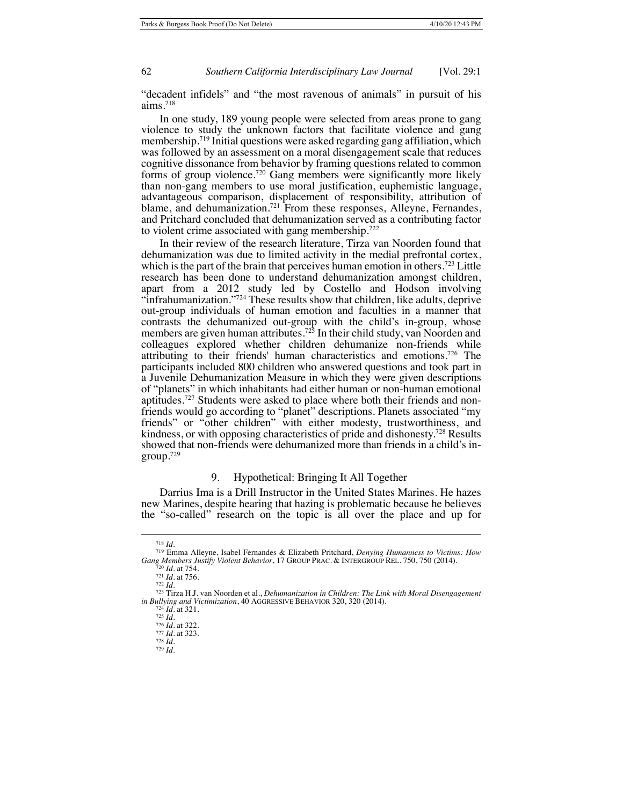"decadent infidels" and "the most ravenous of animals" in pursuit of his  $aims.<sup>718</sup>$ 

In one study, 189 young people were selected from areas prone to gang violence to study the unknown factors that facilitate violence and gang membership.719 Initial questions were asked regarding gang affiliation, which was followed by an assessment on a moral disengagement scale that reduces cognitive dissonance from behavior by framing questions related to common forms of group violence.720 Gang members were significantly more likely than non-gang members to use moral justification, euphemistic language, advantageous comparison, displacement of responsibility, attribution of blame, and dehumanization.<sup>721</sup> From these responses, Alleyne, Fernandes, and Pritchard concluded that dehumanization served as a contributing factor to violent crime associated with gang membership.<sup>722</sup>

In their review of the research literature, Tirza van Noorden found that dehumanization was due to limited activity in the medial prefrontal cortex, which is the part of the brain that perceives human emotion in others.<sup>723</sup> Little research has been done to understand dehumanization amongst children, apart from a 2012 study led by Costello and Hodson involving "infrahumanization."<sup>724</sup> These results show that children, like adults, deprive out-group individuals of human emotion and faculties in a manner that contrasts the dehumanized out-group with the child's in-group, whose members are given human attributes.<sup>725</sup> In their child study, van Noorden and colleagues explored whether children dehumanize non-friends while attributing to their friends' human characteristics and emotions.726 The participants included 800 children who answered questions and took part in a Juvenile Dehumanization Measure in which they were given descriptions of "planets" in which inhabitants had either human or non-human emotional aptitudes.<sup>727</sup> Students were asked to place where both their friends and nonfriends would go according to "planet" descriptions. Planets associated "my friends" or "other children" with either modesty, trustworthiness, and kindness, or with opposing characteristics of pride and dishonesty.<sup>728</sup> Results showed that non-friends were dehumanized more than friends in a child's in-<br>group.<sup>729</sup>

#### 9. Hypothetical: Bringing It All Together

Darrius Ima is a Drill Instructor in the United States Marines. He hazes new Marines, despite hearing that hazing is problematic because he believes the "so-called" research on the topic is all over the place and up for

<sup>718</sup> *Id.* 

<sup>719</sup> Emma Alleyne, Isabel Fernandes & Elizabeth Pritchard, *Denying Humanness to Victims: How Gang Members Justify Violent Behavior*, 17 GROUP PRAC. & INTERGROUP REL. 750, 750 (2014).

<sup>720</sup> *Id.* at 754. 721 *Id.* at 756. 722 *Id*. 723 Tirza H.J. van Noorden et al., *Dehumanization in Children: The Link with Moral Disengagement in Bullying and Victimization*, 40 AGGRESSIVE BEHAVIOR 320, 320 (2014).<br>
<sup>724</sup> *Id.* at 321.<br>
<sup>725</sup> *Id.* at 322.

<sup>726</sup> *Id.* at 322. 727 *Id.* at 323.

<sup>728</sup> *Id.* 

<sup>729</sup> *Id.*